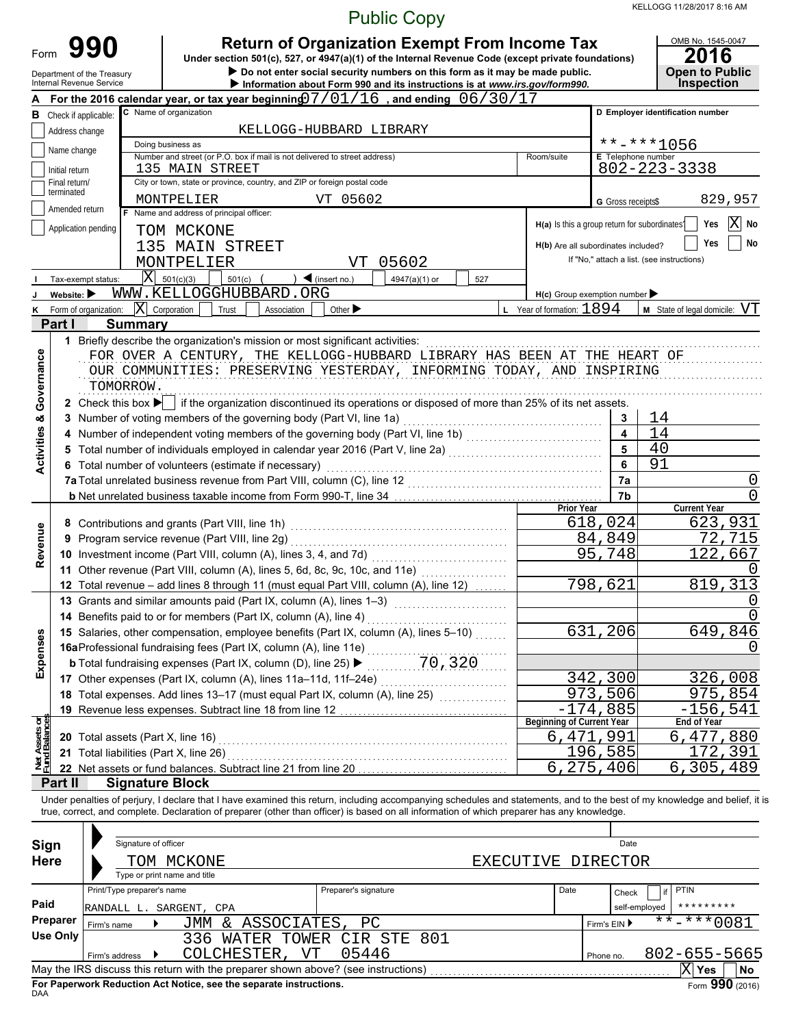KELLOGG 11/28/2017 8:16 AM

|                               |                                |                                                                                                                                                              |                                                                                                                                                                                                                                                                                                                          |                              | <b>Public Copy</b> |     |                                               |            | KELLOGG 11/28/2017 8:16 AM                                              |
|-------------------------------|--------------------------------|--------------------------------------------------------------------------------------------------------------------------------------------------------------|--------------------------------------------------------------------------------------------------------------------------------------------------------------------------------------------------------------------------------------------------------------------------------------------------------------------------|------------------------------|--------------------|-----|-----------------------------------------------|------------|-------------------------------------------------------------------------|
| Form                          |                                | 990<br>Department of the Treasury<br>Internal Revenue Service                                                                                                | <b>Return of Organization Exempt From Income Tax</b><br>Under section 501(c), 527, or 4947(a)(1) of the Internal Revenue Code (except private foundations)<br>Do not enter social security numbers on this form as it may be made public.<br>Information about Form 990 and its instructions is at www.irs.gov/form990.  |                              |                    |     |                                               |            | OMB No. 1545-0047<br>2016<br><b>Open to Public</b><br><b>Inspection</b> |
|                               |                                |                                                                                                                                                              | For the 2016 calendar year, or tax year beginning $07/01/16$ , and ending $06/30/17$<br>C Name of organization                                                                                                                                                                                                           |                              |                    |     |                                               |            | D Employer identification number                                        |
| в                             |                                | Check if applicable:                                                                                                                                         |                                                                                                                                                                                                                                                                                                                          | KELLOGG-HUBBARD LIBRARY      |                    |     |                                               |            |                                                                         |
|                               | Address change                 |                                                                                                                                                              | $******1056$                                                                                                                                                                                                                                                                                                             |                              |                    |     |                                               |            |                                                                         |
|                               | Name change                    | E Telephone number                                                                                                                                           |                                                                                                                                                                                                                                                                                                                          |                              |                    |     |                                               |            |                                                                         |
|                               | Initial return                 | $802 - 223 - 3338$                                                                                                                                           |                                                                                                                                                                                                                                                                                                                          |                              |                    |     |                                               |            |                                                                         |
|                               | Final return/<br>terminated    |                                                                                                                                                              | City or town, state or province, country, and ZIP or foreign postal code                                                                                                                                                                                                                                                 |                              |                    |     |                                               |            |                                                                         |
|                               | Amended return                 |                                                                                                                                                              | MONTPELIER<br>Name and address of principal officer:                                                                                                                                                                                                                                                                     | VT 05602                     |                    |     | G Gross receipts\$                            | 829,957    |                                                                         |
|                               |                                | Application pending                                                                                                                                          | TOM MCKONE                                                                                                                                                                                                                                                                                                               |                              |                    |     | H(a) Is this a group return for subordinates? |            | X <br>No<br>Yes                                                         |
|                               |                                |                                                                                                                                                              | 135 MAIN STREET                                                                                                                                                                                                                                                                                                          |                              |                    |     | H(b) Are all subordinates included?           |            | No<br>Yes                                                               |
|                               |                                |                                                                                                                                                              | MONTPELIER                                                                                                                                                                                                                                                                                                               | VT                           | 05602              |     |                                               |            | If "No," attach a list. (see instructions)                              |
|                               |                                | Tax-exempt status:                                                                                                                                           | $ \mathbf{X} $ 501(c)(3)<br>$501(c)$ (                                                                                                                                                                                                                                                                                   | $\triangleleft$ (insert no.) | 4947(a)(1) or      | 527 |                                               |            |                                                                         |
|                               | Website: $\blacktriangleright$ |                                                                                                                                                              | WWW.KELLOGGHUBBARD.ORG                                                                                                                                                                                                                                                                                                   |                              |                    |     | $H(c)$ Group exemption number                 |            |                                                                         |
| ĸ                             |                                | Form of organization:                                                                                                                                        | $ \mathbf{X} $ Corporation<br>Trust<br>Association                                                                                                                                                                                                                                                                       | Other $\blacktriangleright$  |                    |     | L Year of formation: $1894$                   |            | $M$ State of legal domicile: $VT$                                       |
|                               | Part I                         | <b>Summary</b>                                                                                                                                               |                                                                                                                                                                                                                                                                                                                          |                              |                    |     |                                               |            |                                                                         |
| Governance                    |                                | TOMORROW.                                                                                                                                                    | 1 Briefly describe the organization's mission or most significant activities:<br>FOR OVER A CENTURY, THE KELLOGG-HUBBARD LIBRARY HAS BEEN AT THE HEART OF<br>OUR COMMUNITIES: PRESERVING YESTERDAY, INFORMING TODAY, AND INSPIRING                                                                                       |                              |                    |     |                                               |            |                                                                         |
|                               |                                |                                                                                                                                                              | 2 Check this box $\blacktriangleright$ if the organization discontinued its operations or disposed of more than 25% of its net assets.                                                                                                                                                                                   |                              |                    |     |                                               |            |                                                                         |
| <b>Activities &amp;</b>       |                                |                                                                                                                                                              | 3 Number of voting members of the governing body (Part VI, line 1a) [2010] (2010) [2010] (2010) [30] Mumber of voting members of the governing body (Part VI, line 1a) [2010] (2010) [30] $\frac{1}{2}$                                                                                                                  |                              |                    |     |                                               | 3          | 14                                                                      |
|                               |                                |                                                                                                                                                              | $\overline{4}$<br>5                                                                                                                                                                                                                                                                                                      | 14<br>40                     |                    |     |                                               |            |                                                                         |
|                               |                                | Total number of individuals employed in calendar year 2016 (Part V, line 2a)<br>Total number of individuals employed in calendar year 2016 (Part V, line 2a) | 6                                                                                                                                                                                                                                                                                                                        | 91                           |                    |     |                                               |            |                                                                         |
|                               |                                |                                                                                                                                                              | 6 Total number of volunteers (estimate if necessary)                                                                                                                                                                                                                                                                     |                              |                    |     |                                               | 7a         |                                                                         |
|                               |                                |                                                                                                                                                              |                                                                                                                                                                                                                                                                                                                          |                              |                    |     |                                               | 7b         |                                                                         |
|                               |                                |                                                                                                                                                              |                                                                                                                                                                                                                                                                                                                          |                              |                    |     | <b>Prior Year</b>                             |            | <b>Current Year</b>                                                     |
|                               |                                |                                                                                                                                                              |                                                                                                                                                                                                                                                                                                                          |                              |                    |     |                                               | 618,024    | 623,931                                                                 |
|                               |                                |                                                                                                                                                              | 9 Program service revenue (Part VIII, line 2g)                                                                                                                                                                                                                                                                           |                              |                    |     |                                               | 84,849     | 72,715                                                                  |
| Revenue                       |                                |                                                                                                                                                              | 10 Investment income (Part VIII, column (A), lines 3, 4, and 7d) [11, 12, 12, 12, 12, 12, 13, 13, 13, 13, 13, 1                                                                                                                                                                                                          |                              |                    |     |                                               | 95,748     | 122,667                                                                 |
|                               |                                |                                                                                                                                                              | 11 Other revenue (Part VIII, column (A), lines 5, 6d, 8c, 9c, 10c, and 11e) [[[[[[[[[[[[[[[[[[[[[[[[[[[[[[[[                                                                                                                                                                                                             |                              |                    |     |                                               |            |                                                                         |
|                               |                                |                                                                                                                                                              | 12 Total revenue - add lines 8 through 11 (must equal Part VIII, column (A), line 12)                                                                                                                                                                                                                                    |                              |                    |     |                                               | 798,621    | 819, 313                                                                |
|                               |                                |                                                                                                                                                              | 13 Grants and similar amounts paid (Part IX, column (A), lines 1-3)<br>14 Benefits paid to or for members (Part IX, column (A), line 4)                                                                                                                                                                                  |                              |                    |     |                                               |            | O<br>0                                                                  |
|                               |                                |                                                                                                                                                              |                                                                                                                                                                                                                                                                                                                          |                              |                    |     |                                               | 631,206    | 649,846                                                                 |
| Expenses                      |                                |                                                                                                                                                              | 15 Salaries, other compensation, employee exception (A), line 11e)<br>16aProfessional fundraising fees (Part IX, column (A), line 11e)<br>25 $\blacktriangleright$ 70, 320                                                                                                                                               |                              |                    |     |                                               |            | $\cup$                                                                  |
|                               |                                |                                                                                                                                                              |                                                                                                                                                                                                                                                                                                                          |                              |                    |     |                                               |            |                                                                         |
|                               |                                |                                                                                                                                                              |                                                                                                                                                                                                                                                                                                                          |                              |                    |     |                                               | 342,300    | 326,008                                                                 |
|                               |                                |                                                                                                                                                              | 18 Total expenses. Add lines 13-17 (must equal Part IX, column (A), line 25) [                                                                                                                                                                                                                                           |                              |                    |     |                                               | 973,506    | 975,854                                                                 |
|                               |                                |                                                                                                                                                              |                                                                                                                                                                                                                                                                                                                          |                              |                    |     |                                               | $-174,885$ | $-156, 541$                                                             |
| let Assets or<br>und Balances |                                |                                                                                                                                                              |                                                                                                                                                                                                                                                                                                                          |                              |                    |     | <b>Beginning of Current Year</b>              |            | End of Year                                                             |
|                               |                                | 20 Total assets (Part X, line 16)<br>21 Total liabilities (Part X, line 26)                                                                                  |                                                                                                                                                                                                                                                                                                                          |                              |                    |     | 6,471,991                                     | 196,585    | 6, 477, 880<br>172,391                                                  |
| zZ                            |                                |                                                                                                                                                              | 22 Net assets or fund balances. Subtract line 21 from line 20 [11, 11] Net assets or fund balances. Subtract line 21 from line 20                                                                                                                                                                                        |                              |                    |     |                                               | 6,275,406  | 6,305,489                                                               |
|                               | Part II                        |                                                                                                                                                              | <b>Signature Block</b>                                                                                                                                                                                                                                                                                                   |                              |                    |     |                                               |            |                                                                         |
|                               |                                |                                                                                                                                                              | Under penalties of perjury, I declare that I have examined this return, including accompanying schedules and statements, and to the best of my knowledge and belief, it is<br>true, correct, and complete. Declaration of preparer (other than officer) is based on all information of which preparer has any knowledge. |                              |                    |     |                                               |            |                                                                         |
|                               |                                |                                                                                                                                                              |                                                                                                                                                                                                                                                                                                                          |                              |                    |     |                                               |            |                                                                         |
| Sign                          |                                | Signature of officer                                                                                                                                         |                                                                                                                                                                                                                                                                                                                          |                              |                    |     |                                               | Date       |                                                                         |
| <b>Here</b>                   |                                |                                                                                                                                                              | TOM MCKONE                                                                                                                                                                                                                                                                                                               |                              |                    |     | EXECUTIVE DIRECTOR                            |            |                                                                         |
|                               |                                | Print/Type preparer's name                                                                                                                                   | Type or print name and title                                                                                                                                                                                                                                                                                             | Preparer's signature         |                    |     | Date                                          |            | PTIN                                                                    |
| Paid                          |                                |                                                                                                                                                              |                                                                                                                                                                                                                                                                                                                          |                              |                    |     |                                               | Check      | if<br>*********                                                         |
|                               | Preparer                       |                                                                                                                                                              | RANDALL L. SARGENT, CPA<br>JMM & ASSOCIATES,                                                                                                                                                                                                                                                                             | PC                           |                    |     |                                               |            | self-employed<br>$\frac{1}{11}$ + * * * 0081                            |
|                               | Use Only                       | Firm's name                                                                                                                                                  | 336 WATER TOWER CIR STE 801                                                                                                                                                                                                                                                                                              |                              | Firm's EIN ▶       |     |                                               |            |                                                                         |
|                               |                                | Firm's address                                                                                                                                               | COLCHESTER, VT                                                                                                                                                                                                                                                                                                           | 05446                        |                    |     |                                               | Phone no.  | 802-655-5665                                                            |
|                               |                                |                                                                                                                                                              |                                                                                                                                                                                                                                                                                                                          |                              |                    |     |                                               |            | $ X $ Yes<br>No                                                         |

| Sign<br><b>Here</b>         | Signature of officer<br>Type or print name and title  | TOM MCKONE                                                                                                                                              |                            | EXECUTIVE DIRECTOR |      | Date                      |                                                 |
|-----------------------------|-------------------------------------------------------|---------------------------------------------------------------------------------------------------------------------------------------------------------|----------------------------|--------------------|------|---------------------------|-------------------------------------------------|
| Paid                        | Print/Type preparer's name<br>RANDALL L. SARGENT, CPA |                                                                                                                                                         | Preparer's signature       |                    | Date | Check<br>self-employed    | PTIN<br>*********                               |
| Preparer<br><b>Use Only</b> | Firm's name<br>Firm's address                         | & ASSOCIATES, PC<br><b>TMM</b><br>WATER<br>336<br>COLCHESTER,<br>VT                                                                                     | TOWER CIR STE 801<br>05446 |                    |      | Firm's $EIN$<br>Phone no. | $\frac{1}{1}$ * - * * * 0081<br>802-655-5665    |
|                             |                                                       | May the IRS discuss this return with the preparer shown above? (see instructions)<br>Fig. Books, and Bodiestics Ast Matter and the concerts to starting |                            |                    |      |                           | ΙX<br><b>Yes</b><br><b>No</b><br>$\overline{a}$ |

**For Paperwork Reduction Act Notice, see the separate instructions.**<br><sub>DAA</sub>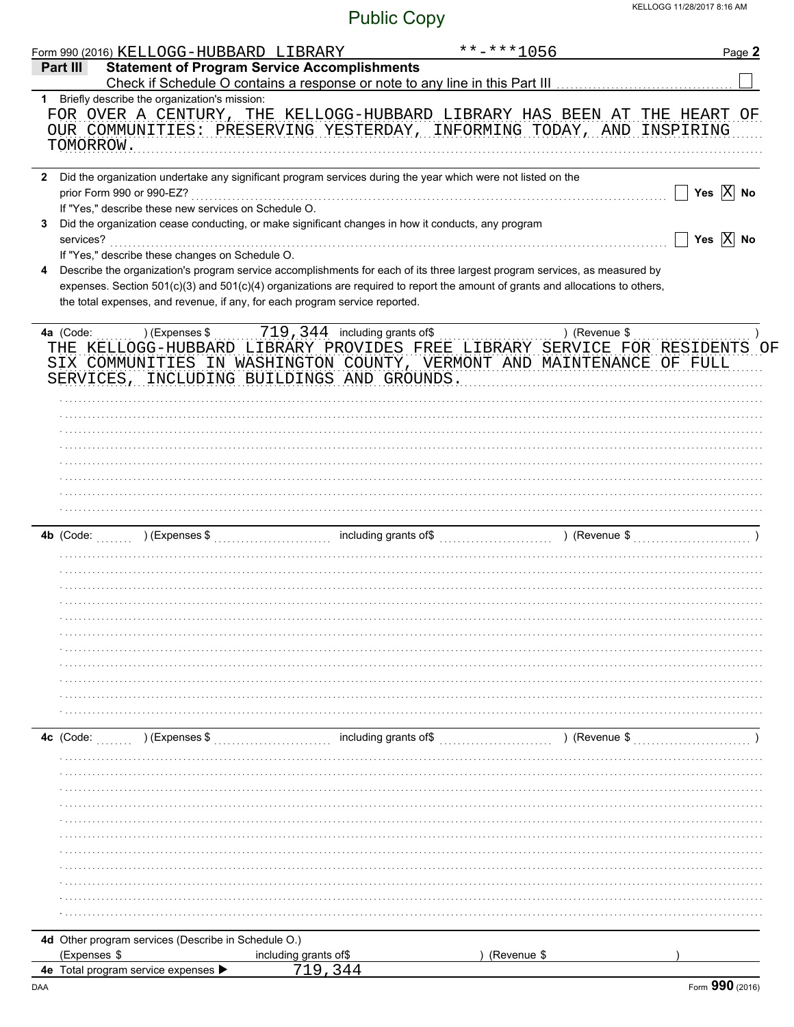|                | Form 990 (2016) KELLOGG-HUBBARD LIBRARY                                                                                                                                                                       |                       | **-***1056            |               | Page 2                |
|----------------|---------------------------------------------------------------------------------------------------------------------------------------------------------------------------------------------------------------|-----------------------|-----------------------|---------------|-----------------------|
| Part III       | <b>Statement of Program Service Accomplishments</b>                                                                                                                                                           |                       |                       |               |                       |
|                | 1 Briefly describe the organization's mission:                                                                                                                                                                |                       |                       |               |                       |
| TOMORROW.      | FOR OVER A CENTURY, THE KELLOGG-HUBBARD LIBRARY HAS BEEN AT THE HEART OF<br>OUR COMMUNITIES: PRESERVING YESTERDAY, INFORMING TODAY, AND INSPIRING                                                             |                       |                       |               |                       |
| $\mathbf{2}$   | Did the organization undertake any significant program services during the year which were not listed on the<br>prior Form 990 or 990-EZ?                                                                     |                       |                       |               | Yes $X$ No            |
| 3<br>services? | If "Yes," describe these new services on Schedule O.<br>Did the organization cease conducting, or make significant changes in how it conducts, any program                                                    |                       |                       |               | Yes $\overline{X}$ No |
| 4              | If "Yes," describe these changes on Schedule O.<br>Describe the organization's program service accomplishments for each of its three largest program services, as measured by                                 |                       |                       |               |                       |
|                | expenses. Section 501(c)(3) and 501(c)(4) organizations are required to report the amount of grants and allocations to others,<br>the total expenses, and revenue, if any, for each program service reported. |                       |                       |               |                       |
|                | THE KELLOGG-HUBBARD LIBRARY PROVIDES FREE LIBRARY SERVICE FOR RESIDENTS OF<br>SIX COMMUNITIES IN WASHINGTON COUNTY, VERMONT AND MAINTENANCE OF FULL<br>SERVICES, INCLUDING BUILDINGS AND GROUNDS.             |                       |                       |               |                       |
|                |                                                                                                                                                                                                               |                       |                       |               |                       |
|                |                                                                                                                                                                                                               |                       |                       |               |                       |
|                |                                                                                                                                                                                                               |                       |                       |               |                       |
|                |                                                                                                                                                                                                               |                       |                       |               |                       |
|                |                                                                                                                                                                                                               |                       |                       |               |                       |
| $4b$ (Code:    |                                                                                                                                                                                                               |                       |                       |               |                       |
|                |                                                                                                                                                                                                               |                       |                       |               |                       |
|                |                                                                                                                                                                                                               |                       |                       |               |                       |
|                |                                                                                                                                                                                                               |                       |                       |               |                       |
|                |                                                                                                                                                                                                               |                       |                       |               |                       |
|                |                                                                                                                                                                                                               |                       |                       |               |                       |
| 4c (Code:      | ) (Expenses \$                                                                                                                                                                                                |                       | including grants of\$ | ) (Revenue \$ |                       |
|                |                                                                                                                                                                                                               |                       |                       |               |                       |
|                |                                                                                                                                                                                                               |                       |                       |               |                       |
|                |                                                                                                                                                                                                               |                       |                       |               |                       |
|                |                                                                                                                                                                                                               |                       |                       |               |                       |
|                |                                                                                                                                                                                                               |                       |                       |               |                       |
|                |                                                                                                                                                                                                               |                       |                       |               |                       |
|                |                                                                                                                                                                                                               |                       |                       |               |                       |
|                | 4d Other program services (Describe in Schedule O.)                                                                                                                                                           |                       |                       |               |                       |
| (Expenses \$   |                                                                                                                                                                                                               | including grants of\$ | (Revenue \$           |               |                       |
|                | 4e Total program service expenses                                                                                                                                                                             |                       |                       |               |                       |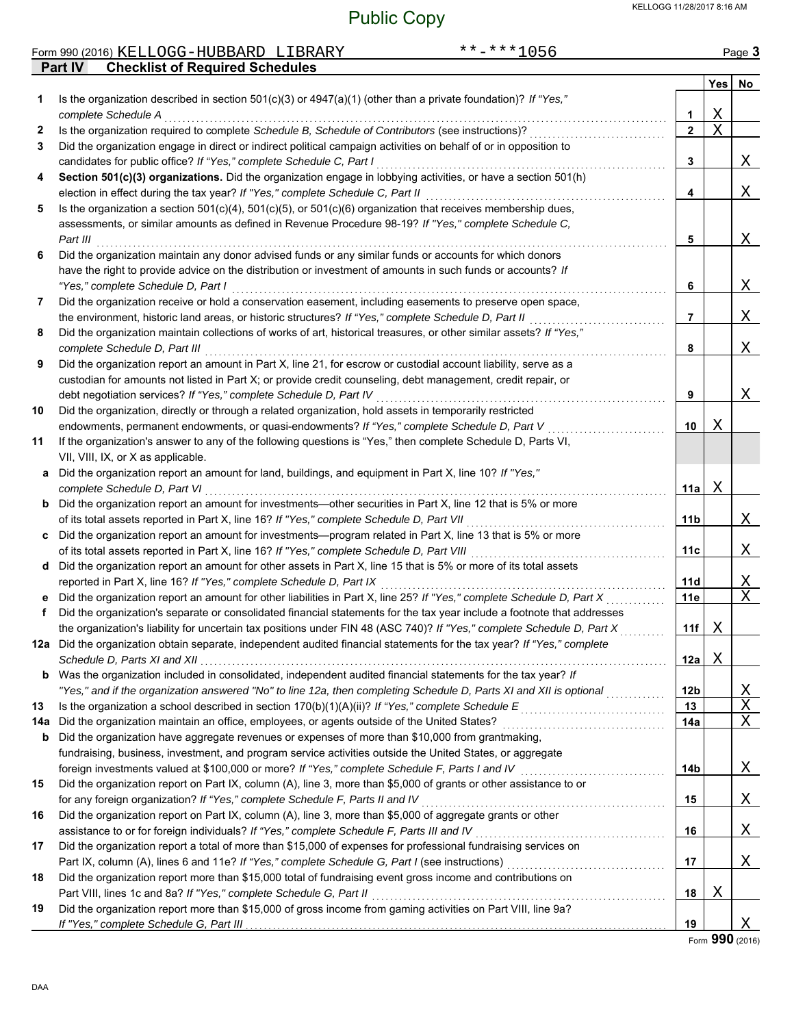X

| KELLOGG 11/28/2017 8:16 AM<br><b>Public Copy</b> |          |                                                                                                                          |              |                 |             |        |  |
|--------------------------------------------------|----------|--------------------------------------------------------------------------------------------------------------------------|--------------|-----------------|-------------|--------|--|
|                                                  |          | Form 990 (2016) KELLOGG-HUBBARD LIBRARY                                                                                  | $******1056$ |                 |             | Page 3 |  |
|                                                  | Part IV  | <b>Checklist of Required Schedules</b>                                                                                   |              |                 |             |        |  |
|                                                  |          |                                                                                                                          |              |                 | Yes         | No     |  |
| 1                                                |          | Is the organization described in section $501(c)(3)$ or $4947(a)(1)$ (other than a private foundation)? If "Yes,"        |              | 1               | Χ           |        |  |
| 2                                                |          | complete Schedule A<br>Is the organization required to complete Schedule B, Schedule of Contributors (see instructions)? |              | $\mathbf{2}$    | $\mathbf X$ |        |  |
| 3                                                |          | Did the organization engage in direct or indirect political campaign activities on behalf of or in opposition to         |              |                 |             |        |  |
|                                                  |          | candidates for public office? If "Yes," complete Schedule C, Part I                                                      |              | 3               |             | Χ      |  |
| 4                                                |          | Section 501(c)(3) organizations. Did the organization engage in lobbying activities, or have a section 501(h)            |              |                 |             |        |  |
|                                                  |          | election in effect during the tax year? If "Yes," complete Schedule C, Part II                                           |              | 4               |             | Χ      |  |
| 5                                                |          | Is the organization a section $501(c)(4)$ , $501(c)(5)$ , or $501(c)(6)$ organization that receives membership dues,     |              |                 |             |        |  |
|                                                  |          | assessments, or similar amounts as defined in Revenue Procedure 98-19? If "Yes," complete Schedule C,                    |              |                 |             |        |  |
|                                                  | Part III |                                                                                                                          |              | 5               |             | Χ      |  |
| 6                                                |          | Did the organization maintain any donor advised funds or any similar funds or accounts for which donors                  |              |                 |             |        |  |
|                                                  |          | have the right to provide advice on the distribution or investment of amounts in such funds or accounts? If              |              |                 |             |        |  |
|                                                  |          | "Yes," complete Schedule D, Part I                                                                                       |              | 6               |             | Χ      |  |
| 7                                                |          | Did the organization receive or hold a conservation easement, including easements to preserve open space,                |              |                 |             |        |  |
|                                                  |          | the environment, historic land areas, or historic structures? If "Yes," complete Schedule D, Part II                     |              | $\overline{7}$  |             | Χ      |  |
| 8                                                |          | Did the organization maintain collections of works of art, historical treasures, or other similar assets? If "Yes,"      |              |                 |             |        |  |
|                                                  |          | complete Schedule D, Part III                                                                                            |              | 8               |             | Χ      |  |
| 9                                                |          | Did the organization report an amount in Part X, line 21, for escrow or custodial account liability, serve as a          |              |                 |             |        |  |
|                                                  |          | custodian for amounts not listed in Part X; or provide credit counseling, debt management, credit repair, or             |              |                 |             |        |  |
|                                                  |          | debt negotiation services? If "Yes," complete Schedule D, Part IV                                                        |              | 9               |             | Χ      |  |
| 10                                               |          | Did the organization, directly or through a related organization, hold assets in temporarily restricted                  |              |                 |             |        |  |
|                                                  |          | endowments, permanent endowments, or quasi-endowments? If "Yes," complete Schedule D, Part V                             |              | 10              | Χ           |        |  |
| 11                                               |          | If the organization's answer to any of the following questions is "Yes," then complete Schedule D, Parts VI,             |              |                 |             |        |  |
|                                                  |          | VII, VIII, IX, or X as applicable.                                                                                       |              |                 |             |        |  |
|                                                  |          | a Did the organization report an amount for land, buildings, and equipment in Part X, line 10? If "Yes,"                 |              |                 |             |        |  |
|                                                  |          | complete Schedule D, Part VI                                                                                             |              | 11a             | Χ           |        |  |
|                                                  |          | <b>b</b> Did the organization report an amount for investments—other securities in Part X, line 12 that is 5% or more    |              |                 |             |        |  |
|                                                  |          | of its total assets reported in Part X, line 16? If "Yes," complete Schedule D, Part VII                                 |              | 11b             |             | Χ      |  |
|                                                  |          | c Did the organization report an amount for investments—program related in Part X, line 13 that is 5% or more            |              |                 |             |        |  |
|                                                  |          | of its total assets reported in Part X, line 16? If "Yes," complete Schedule D, Part VIII                                |              | 11c             |             | Χ      |  |
|                                                  |          | d Did the organization report an amount for other assets in Part X, line 15 that is 5% or more of its total assets       |              |                 |             |        |  |
|                                                  |          | reported in Part X, line 16? If "Yes," complete Schedule D, Part IX                                                      |              | 11d             |             | Χ      |  |
|                                                  |          | Did the organization report an amount for other liabilities in Part X, line 25? If "Yes," complete Schedule D, Part X    |              | 11e             |             | Χ      |  |
| f                                                |          | Did the organization's separate or consolidated financial statements for the tax year include a footnote that addresses  |              |                 |             |        |  |
|                                                  |          | the organization's liability for uncertain tax positions under FIN 48 (ASC 740)? If "Yes," complete Schedule D, Part X   |              | 11f             | Χ           |        |  |
|                                                  |          | 12a Did the organization obtain separate, independent audited financial statements for the tax year? If "Yes," complete  |              |                 |             |        |  |
|                                                  |          |                                                                                                                          |              | 12a             | Χ           |        |  |
| b                                                |          | Was the organization included in consolidated, independent audited financial statements for the tax year? If             |              |                 |             |        |  |
|                                                  |          | "Yes," and if the organization answered "No" to line 12a, then completing Schedule D, Parts XI and XII is optional       |              | 12 <sub>b</sub> |             | Χ      |  |
| 13                                               |          | Is the organization a school described in section 170(b)(1)(A)(ii)? If "Yes," complete Schedule E                        |              | 13              |             | Χ      |  |
| 14a                                              |          | Did the organization maintain an office, employees, or agents outside of the United States?                              |              | 14a             |             | Χ      |  |
| b                                                |          | Did the organization have aggregate revenues or expenses of more than \$10,000 from grantmaking,                         |              |                 |             |        |  |
|                                                  |          | fundraising, business, investment, and program service activities outside the United States, or aggregate                |              |                 |             |        |  |
|                                                  |          | foreign investments valued at \$100,000 or more? If "Yes," complete Schedule F, Parts I and IV [[[[[[[[[[[[[[[           |              | 14b             |             | Χ      |  |
| 15                                               |          | Did the organization report on Part IX, column (A), line 3, more than \$5,000 of grants or other assistance to or        |              |                 |             |        |  |
|                                                  |          | for any foreign organization? If "Yes," complete Schedule F, Parts II and IV                                             |              | 15              |             | Χ      |  |
| 16                                               |          | Did the organization report on Part IX, column (A), line 3, more than \$5,000 of aggregate grants or other               |              |                 |             |        |  |
|                                                  |          | assistance to or for foreign individuals? If "Yes," complete Schedule F, Parts III and IV                                |              | 16              |             | Χ      |  |
| 17                                               |          | Did the organization report a total of more than \$15,000 of expenses for professional fundraising services on           |              |                 |             |        |  |
|                                                  |          |                                                                                                                          |              | 17              |             | Χ      |  |
|                                                  |          |                                                                                                                          |              |                 |             |        |  |

**18** Did the organization report more than \$15,000 total of fundraising event gross income and contributions on Part VIII, lines 1c and 8a? *If "Yes," complete Schedule G, Part II*<br>Part VIII, lines 1c and 8a? *If "Yes," complete Schedule G, Part II* 

**19** Did the organization report more than \$15,000 of gross income from gaming activities on Part VIII, line 9a? **19** If "Yes," complete Schedule G, Part III

Form **990** (2016)

X

**18**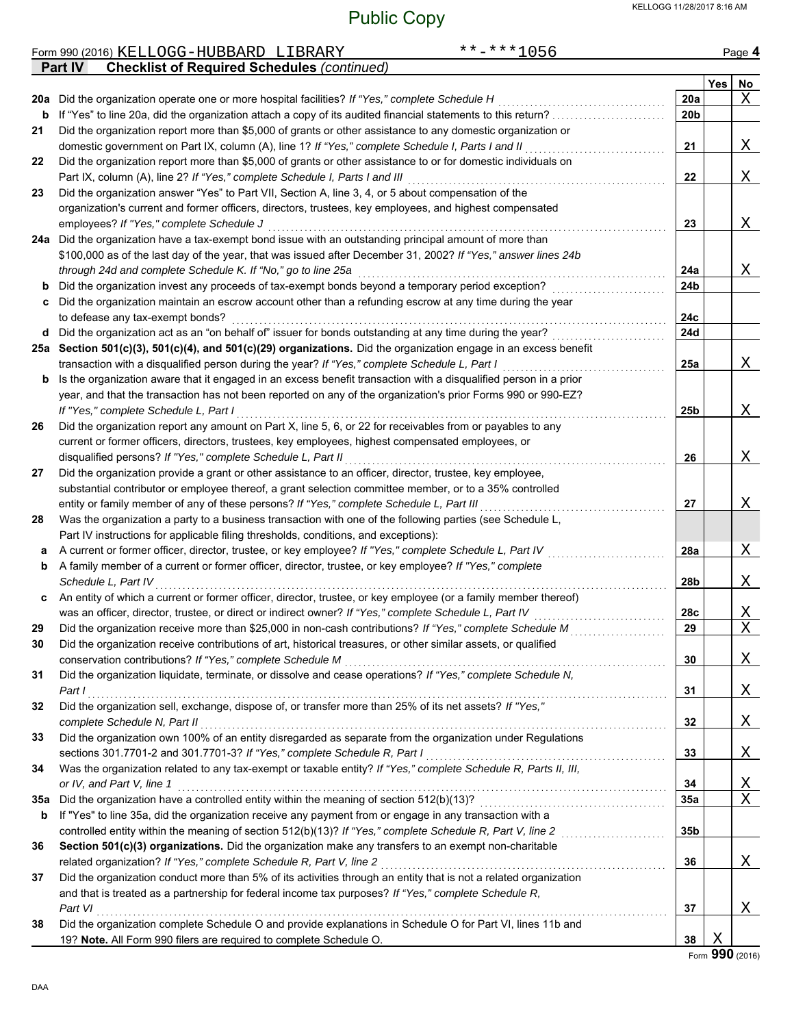|     | **-***1056<br>Form 990 (2016) KELLOGG-HUBBARD LIBRARY                                                                                                                                              |                 |     | Page 4           |
|-----|----------------------------------------------------------------------------------------------------------------------------------------------------------------------------------------------------|-----------------|-----|------------------|
|     | <b>Checklist of Required Schedules (continued)</b><br><b>Part IV</b>                                                                                                                               |                 |     |                  |
|     |                                                                                                                                                                                                    |                 | Yes | No               |
|     | 20a Did the organization operate one or more hospital facilities? If "Yes," complete Schedule H                                                                                                    | 20a             |     | X                |
| b   | If "Yes" to line 20a, did the organization attach a copy of its audited financial statements to this return?                                                                                       | 20 <sub>b</sub> |     |                  |
| 21  | Did the organization report more than \$5,000 of grants or other assistance to any domestic organization or                                                                                        |                 |     |                  |
|     | domestic government on Part IX, column (A), line 1? If "Yes," complete Schedule I, Parts I and II                                                                                                  | 21              |     | Χ                |
| 22  | Did the organization report more than \$5,000 of grants or other assistance to or for domestic individuals on                                                                                      |                 |     |                  |
|     | Part IX, column (A), line 2? If "Yes," complete Schedule I, Parts I and III                                                                                                                        | 22              |     | Χ                |
| 23  | Did the organization answer "Yes" to Part VII, Section A, line 3, 4, or 5 about compensation of the                                                                                                |                 |     |                  |
|     | organization's current and former officers, directors, trustees, key employees, and highest compensated                                                                                            |                 |     |                  |
|     | employees? If "Yes," complete Schedule J                                                                                                                                                           | 23              |     | Χ                |
|     | 24a Did the organization have a tax-exempt bond issue with an outstanding principal amount of more than                                                                                            |                 |     |                  |
|     | \$100,000 as of the last day of the year, that was issued after December 31, 2002? If "Yes," answer lines 24b                                                                                      |                 |     |                  |
|     | through 24d and complete Schedule K. If "No," go to line 25a                                                                                                                                       | 24a             |     | Χ                |
| b   | Did the organization invest any proceeds of tax-exempt bonds beyond a temporary period exception?                                                                                                  | 24b             |     |                  |
|     | Did the organization maintain an escrow account other than a refunding escrow at any time during the year                                                                                          |                 |     |                  |
|     | to defease any tax-exempt bonds?                                                                                                                                                                   | 24c             |     |                  |
| d   | Did the organization act as an "on behalf of" issuer for bonds outstanding at any time during the year?                                                                                            | 24d             |     |                  |
|     | 25a Section 501(c)(3), 501(c)(4), and 501(c)(29) organizations. Did the organization engage in an excess benefit                                                                                   |                 |     |                  |
|     | transaction with a disqualified person during the year? If "Yes," complete Schedule L, Part I                                                                                                      | 25a             |     | Χ                |
| b   | Is the organization aware that it engaged in an excess benefit transaction with a disqualified person in a prior                                                                                   |                 |     |                  |
|     | year, and that the transaction has not been reported on any of the organization's prior Forms 990 or 990-EZ?                                                                                       |                 |     |                  |
|     | If "Yes," complete Schedule L, Part I                                                                                                                                                              | 25b             |     | Χ                |
| 26  | Did the organization report any amount on Part X, line 5, 6, or 22 for receivables from or payables to any                                                                                         |                 |     |                  |
|     | current or former officers, directors, trustees, key employees, highest compensated employees, or                                                                                                  |                 |     |                  |
|     | disqualified persons? If "Yes," complete Schedule L, Part II                                                                                                                                       | 26              |     | Χ                |
| 27  | Did the organization provide a grant or other assistance to an officer, director, trustee, key employee,                                                                                           |                 |     |                  |
|     | substantial contributor or employee thereof, a grant selection committee member, or to a 35% controlled                                                                                            |                 |     |                  |
|     | entity or family member of any of these persons? If "Yes," complete Schedule L, Part III                                                                                                           | 27              |     | Χ                |
| 28  | Was the organization a party to a business transaction with one of the following parties (see Schedule L,                                                                                          |                 |     |                  |
|     | Part IV instructions for applicable filing thresholds, conditions, and exceptions):                                                                                                                |                 |     |                  |
| а   | A current or former officer, director, trustee, or key employee? If "Yes," complete Schedule L, Part IV                                                                                            | 28a             |     | Χ                |
| b   | A family member of a current or former officer, director, trustee, or key employee? If "Yes," complete                                                                                             |                 |     |                  |
|     | Schedule L, Part IV                                                                                                                                                                                | 28b             |     | Χ                |
|     | c An entity of which a current or former officer, director, trustee, or key employee (or a family member thereof)                                                                                  |                 |     |                  |
|     | was an officer, director, trustee, or direct or indirect owner? If "Yes," complete Schedule L, Part IV                                                                                             | 28c             |     | Χ                |
| 29  |                                                                                                                                                                                                    | 29              |     | $\overline{X}$   |
| 30  | Did the organization receive contributions of art, historical treasures, or other similar assets, or qualified                                                                                     |                 |     |                  |
|     | conservation contributions? If "Yes," complete Schedule M                                                                                                                                          | 30              |     | Χ                |
| 31  | Did the organization liquidate, terminate, or dissolve and cease operations? If "Yes," complete Schedule N,                                                                                        |                 |     |                  |
|     | Part I                                                                                                                                                                                             | 31              |     | Χ                |
| 32  | Did the organization sell, exchange, dispose of, or transfer more than 25% of its net assets? If "Yes,"                                                                                            |                 |     |                  |
|     | complete Schedule N, Part II                                                                                                                                                                       | 32              |     | Χ                |
| 33  | Did the organization own 100% of an entity disregarded as separate from the organization under Regulations                                                                                         |                 |     |                  |
|     | sections 301.7701-2 and 301.7701-3? If "Yes," complete Schedule R, Part I<br>Was the organization related to any tax-exempt or taxable entity? If "Yes," complete Schedule R, Parts II, III,       | 33              |     | Χ                |
| 34  |                                                                                                                                                                                                    |                 |     |                  |
|     | or IV, and Part V, line 1                                                                                                                                                                          | 34              |     | X<br>$\mathbf X$ |
| 35а | Did the organization have a controlled entity within the meaning of section 512(b)(13)?<br>If "Yes" to line 35a, did the organization receive any payment from or engage in any transaction with a | 35a             |     |                  |
| b   | controlled entity within the meaning of section 512(b)(13)? If "Yes," complete Schedule R, Part V, line 2                                                                                          | 35b             |     |                  |
|     |                                                                                                                                                                                                    |                 |     |                  |
| 36  | Section 501(c)(3) organizations. Did the organization make any transfers to an exempt non-charitable                                                                                               |                 |     |                  |
| 37  | related organization? If "Yes," complete Schedule R, Part V, line 2<br>Did the organization conduct more than 5% of its activities through an entity that is not a related organization            | 36              |     | Χ                |
|     | and that is treated as a partnership for federal income tax purposes? If "Yes," complete Schedule R,                                                                                               |                 |     |                  |
|     | Part VI                                                                                                                                                                                            | 37              |     | Χ                |
| 38  | Did the organization complete Schedule O and provide explanations in Schedule O for Part VI, lines 11b and                                                                                         |                 |     |                  |
|     | 19? Note. All Form 990 filers are required to complete Schedule O.                                                                                                                                 | 38              | X   |                  |
|     |                                                                                                                                                                                                    |                 |     |                  |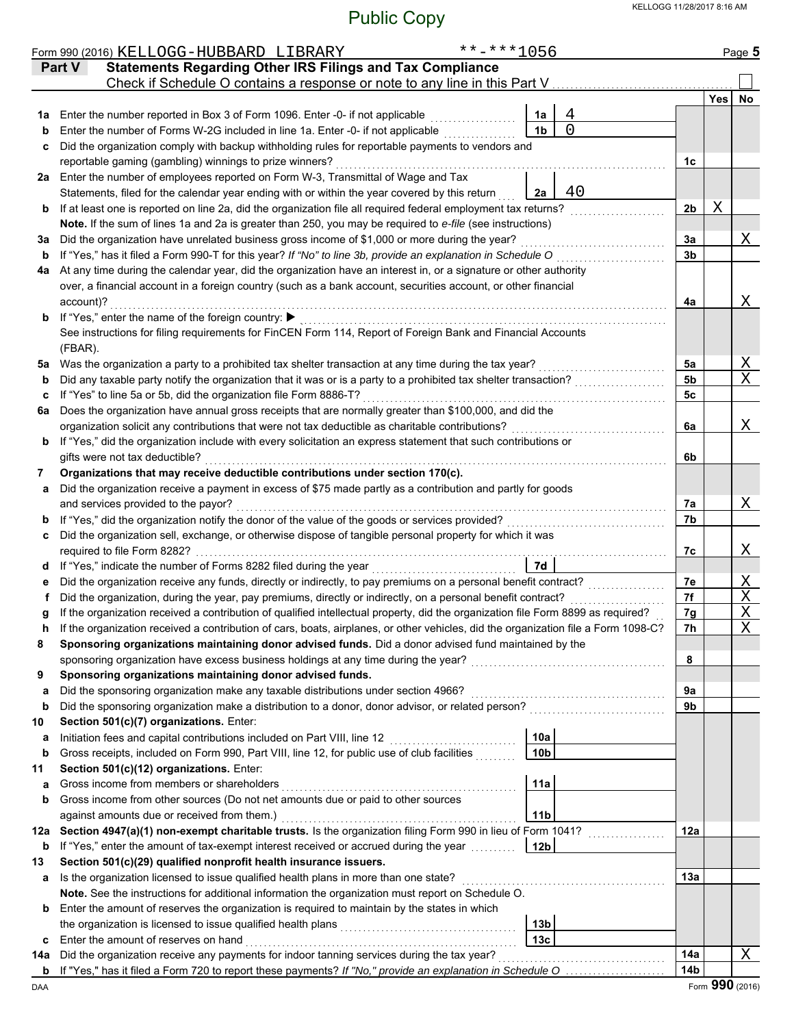|     | **-***1056<br>Form 990 (2016) KELLOGG-HUBBARD LIBRARY                                                                              |                 |            | Page 5          |  |  |  |  |  |  |
|-----|------------------------------------------------------------------------------------------------------------------------------------|-----------------|------------|-----------------|--|--|--|--|--|--|
|     | <b>Statements Regarding Other IRS Filings and Tax Compliance</b><br>Part V                                                         |                 |            |                 |  |  |  |  |  |  |
|     | Check if Schedule O contains a response or note to any line in this Part V                                                         |                 |            |                 |  |  |  |  |  |  |
|     |                                                                                                                                    |                 | <b>Yes</b> | No              |  |  |  |  |  |  |
| 1а  | 4<br>Enter the number reported in Box 3 of Form 1096. Enter -0- if not applicable<br>1a                                            |                 |            |                 |  |  |  |  |  |  |
| b   | $\overline{0}$<br>Enter the number of Forms W-2G included in line 1a. Enter -0- if not applicable<br>1 <sub>b</sub>                |                 |            |                 |  |  |  |  |  |  |
| c   | Did the organization comply with backup withholding rules for reportable payments to vendors and                                   |                 |            |                 |  |  |  |  |  |  |
|     | reportable gaming (gambling) winnings to prize winners?                                                                            | 1c              |            |                 |  |  |  |  |  |  |
|     | 2a Enter the number of employees reported on Form W-3, Transmittal of Wage and Tax                                                 |                 |            |                 |  |  |  |  |  |  |
|     | 40<br>Statements, filed for the calendar year ending with or within the year covered by this return<br>2a                          |                 |            |                 |  |  |  |  |  |  |
| b   | If at least one is reported on line 2a, did the organization file all required federal employment tax returns?                     | 2 <sub>b</sub>  | Χ          |                 |  |  |  |  |  |  |
|     | Note. If the sum of lines 1a and 2a is greater than 250, you may be required to e-file (see instructions)                          |                 |            |                 |  |  |  |  |  |  |
| за  | Did the organization have unrelated business gross income of \$1,000 or more during the year?                                      | 3a              |            | Χ               |  |  |  |  |  |  |
| b   | If "Yes," has it filed a Form 990-T for this year? If "No" to line 3b, provide an explanation in Schedule O                        | 3b              |            |                 |  |  |  |  |  |  |
| 4a  | At any time during the calendar year, did the organization have an interest in, or a signature or other authority                  |                 |            |                 |  |  |  |  |  |  |
|     | over, a financial account in a foreign country (such as a bank account, securities account, or other financial<br>account)?        |                 |            | Χ               |  |  |  |  |  |  |
|     | <b>b</b> If "Yes," enter the name of the foreign country:                                                                          | 4a              |            |                 |  |  |  |  |  |  |
|     | See instructions for filing requirements for FinCEN Form 114, Report of Foreign Bank and Financial Accounts                        |                 |            |                 |  |  |  |  |  |  |
|     | (FBAR).                                                                                                                            |                 |            |                 |  |  |  |  |  |  |
| 5a  | Was the organization a party to a prohibited tax shelter transaction at any time during the tax year?                              | 5a              |            | Χ               |  |  |  |  |  |  |
| b   | Did any taxable party notify the organization that it was or is a party to a prohibited tax shelter transaction?                   | 5b              |            | X               |  |  |  |  |  |  |
| c   | If "Yes" to line 5a or 5b, did the organization file Form 8886-T?                                                                  | 5с              |            |                 |  |  |  |  |  |  |
| 6a  | Does the organization have annual gross receipts that are normally greater than \$100,000, and did the                             |                 |            |                 |  |  |  |  |  |  |
|     | organization solicit any contributions that were not tax deductible as charitable contributions?                                   | 6a              |            | Χ               |  |  |  |  |  |  |
| b   | If "Yes," did the organization include with every solicitation an express statement that such contributions or                     |                 |            |                 |  |  |  |  |  |  |
|     | gifts were not tax deductible?<br>6b                                                                                               |                 |            |                 |  |  |  |  |  |  |
| 7   | Organizations that may receive deductible contributions under section 170(c).                                                      |                 |            |                 |  |  |  |  |  |  |
| a   | Did the organization receive a payment in excess of \$75 made partly as a contribution and partly for goods                        |                 |            |                 |  |  |  |  |  |  |
|     | and services provided to the payor?                                                                                                | 7a              |            | Χ               |  |  |  |  |  |  |
| b   | If "Yes," did the organization notify the donor of the value of the goods or services provided?                                    |                 |            |                 |  |  |  |  |  |  |
| c   | Did the organization sell, exchange, or otherwise dispose of tangible personal property for which it was                           |                 |            |                 |  |  |  |  |  |  |
|     | required to file Form 8282?                                                                                                        | 7c              |            | Χ               |  |  |  |  |  |  |
| d   | 7d                                                                                                                                 |                 |            |                 |  |  |  |  |  |  |
|     | Did the organization receive any funds, directly or indirectly, to pay premiums on a personal benefit contract?                    | 7е              |            | Χ               |  |  |  |  |  |  |
|     | Did the organization, during the year, pay premiums, directly or indirectly, on a personal benefit contract?                       | 7f              |            | Χ               |  |  |  |  |  |  |
|     | If the organization received a contribution of qualified intellectual property, did the organization file Form 8899 as required?   | 7g              |            | $\mathbf X$     |  |  |  |  |  |  |
|     | If the organization received a contribution of cars, boats, airplanes, or other vehicles, did the organization file a Form 1098-C? | 7h              |            | $\mathbf X$     |  |  |  |  |  |  |
| 8   | Sponsoring organizations maintaining donor advised funds. Did a donor advised fund maintained by the                               |                 |            |                 |  |  |  |  |  |  |
|     | sponsoring organization have excess business holdings at any time during the year?                                                 | 8               |            |                 |  |  |  |  |  |  |
| 9   | Sponsoring organizations maintaining donor advised funds.                                                                          |                 |            |                 |  |  |  |  |  |  |
| a   | Did the sponsoring organization make any taxable distributions under section 4966?                                                 | 9a              |            |                 |  |  |  |  |  |  |
| b   | Did the sponsoring organization make a distribution to a donor, donor advisor, or related person?                                  | 9b              |            |                 |  |  |  |  |  |  |
| 10  | Section 501(c)(7) organizations. Enter:                                                                                            |                 |            |                 |  |  |  |  |  |  |
| а   | Initiation fees and capital contributions included on Part VIII, line 12<br>10a                                                    |                 |            |                 |  |  |  |  |  |  |
| b   | Gross receipts, included on Form 990, Part VIII, line 12, for public use of club facilities<br>10 <sub>b</sub>                     |                 |            |                 |  |  |  |  |  |  |
| 11  | Section 501(c)(12) organizations. Enter:<br>Gross income from members or shareholders                                              |                 |            |                 |  |  |  |  |  |  |
| a   | 11a<br>Gross income from other sources (Do not net amounts due or paid to other sources                                            |                 |            |                 |  |  |  |  |  |  |
| b   | against amounts due or received from them.)<br>11 <sub>b</sub>                                                                     |                 |            |                 |  |  |  |  |  |  |
| 12a | Section 4947(a)(1) non-exempt charitable trusts. Is the organization filing Form 990 in lieu of Form 1041?                         | 12a             |            |                 |  |  |  |  |  |  |
| b   | If "Yes," enter the amount of tax-exempt interest received or accrued during the year [[[[[[[[[[[[[[[[]]]]]]]<br>12 <sub>b</sub>   |                 |            |                 |  |  |  |  |  |  |
| 13  | Section 501(c)(29) qualified nonprofit health insurance issuers.                                                                   |                 |            |                 |  |  |  |  |  |  |
| а   | Is the organization licensed to issue qualified health plans in more than one state?                                               | 13а             |            |                 |  |  |  |  |  |  |
|     | Note. See the instructions for additional information the organization must report on Schedule O.                                  |                 |            |                 |  |  |  |  |  |  |
| b   | Enter the amount of reserves the organization is required to maintain by the states in which                                       |                 |            |                 |  |  |  |  |  |  |
|     | 13 <sub>b</sub>                                                                                                                    |                 |            |                 |  |  |  |  |  |  |
| c   | Enter the amount of reserves on hand<br>13 <sub>c</sub>                                                                            |                 |            |                 |  |  |  |  |  |  |
| 14a | Did the organization receive any payments for indoor tanning services during the tax year?                                         | 14a             |            | X               |  |  |  |  |  |  |
| b   |                                                                                                                                    | 14 <sub>b</sub> |            |                 |  |  |  |  |  |  |
| DAA |                                                                                                                                    |                 |            | Form 990 (2016) |  |  |  |  |  |  |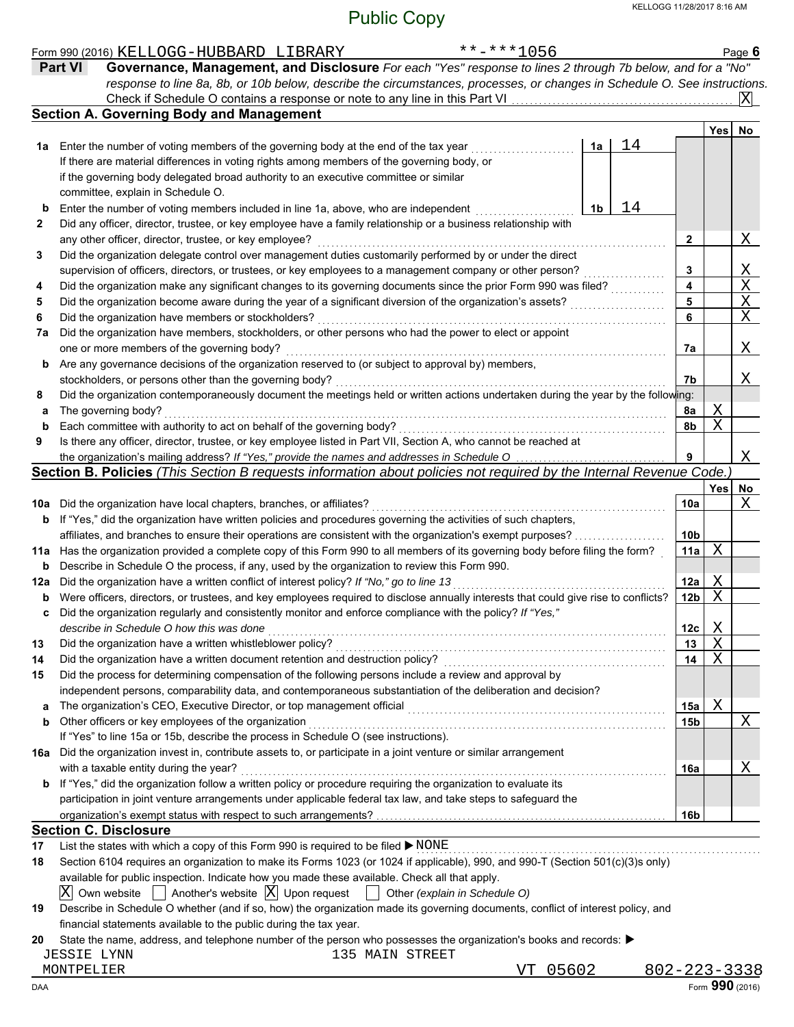|     | $******1056$<br>Form 990 (2016) KELLOGG-HUBBARD LIBRARY                                                                             |    |                 |            | Page 6                |
|-----|-------------------------------------------------------------------------------------------------------------------------------------|----|-----------------|------------|-----------------------|
|     | Governance, Management, and Disclosure For each "Yes" response to lines 2 through 7b below, and for a "No"<br><b>Part VI</b>        |    |                 |            |                       |
|     | response to line 8a, 8b, or 10b below, describe the circumstances, processes, or changes in Schedule O. See instructions.           |    |                 |            |                       |
|     | Check if Schedule O contains a response or note to any line in this Part VI.                                                        |    |                 |            | X                     |
|     | <b>Section A. Governing Body and Management</b>                                                                                     |    |                 |            |                       |
|     |                                                                                                                                     |    |                 | <b>Yes</b> | No                    |
|     | 1a<br><b>1a</b> Enter the number of voting members of the governing body at the end of the tax year                                 | 14 |                 |            |                       |
|     | If there are material differences in voting rights among members of the governing body, or                                          |    |                 |            |                       |
|     | if the governing body delegated broad authority to an executive committee or similar                                                |    |                 |            |                       |
|     | committee, explain in Schedule O.                                                                                                   |    |                 |            |                       |
| b   | Enter the number of voting members included in line 1a, above, who are independent<br>1b                                            | 14 |                 |            |                       |
| 2   | Did any officer, director, trustee, or key employee have a family relationship or a business relationship with                      |    |                 |            |                       |
|     | any other officer, director, trustee, or key employee?                                                                              |    | $\mathbf{2}$    |            | Χ                     |
| 3   | Did the organization delegate control over management duties customarily performed by or under the direct                           |    |                 |            |                       |
|     | supervision of officers, directors, or trustees, or key employees to a management company or other person?                          |    | 3               |            | $\frac{X}{X}$         |
| 4   | Did the organization make any significant changes to its governing documents since the prior Form 990 was filed?                    |    | 4               |            |                       |
| 5   | Did the organization become aware during the year of a significant diversion of the organization's assets?                          |    | 5               |            | $\overline{\text{X}}$ |
| 6   | Did the organization have members or stockholders?                                                                                  |    | 6               |            | $\overline{\text{X}}$ |
| 7a  | Did the organization have members, stockholders, or other persons who had the power to elect or appoint                             |    |                 |            |                       |
|     | one or more members of the governing body?                                                                                          |    | 7a              |            | Χ                     |
| b   | Are any governance decisions of the organization reserved to (or subject to approval by) members,                                   |    |                 |            |                       |
|     | stockholders, or persons other than the governing body?                                                                             |    | 7b              |            | Χ                     |
| 8   | Did the organization contemporaneously document the meetings held or written actions undertaken during the year by the following:   |    |                 |            |                       |
| а   | The governing body?                                                                                                                 |    | 8a              | Χ          |                       |
| b   | Each committee with authority to act on behalf of the governing body?                                                               |    | 8b              | X          |                       |
| 9   | Is there any officer, director, trustee, or key employee listed in Part VII, Section A, who cannot be reached at                    |    |                 |            |                       |
|     | the organization's mailing address? If "Yes," provide the names and addresses in Schedule O                                         |    | 9               |            | Χ                     |
|     | Section B. Policies (This Section B requests information about policies not required by the Internal Revenue Code.)                 |    |                 |            |                       |
|     |                                                                                                                                     |    |                 | Yes        | No                    |
|     | 10a Did the organization have local chapters, branches, or affiliates?                                                              |    | 10a             |            | Χ                     |
| b   | If "Yes," did the organization have written policies and procedures governing the activities of such chapters,                      |    |                 |            |                       |
|     | affiliates, and branches to ensure their operations are consistent with the organization's exempt purposes?                         |    | 10 <sub>b</sub> |            |                       |
|     | 11a Has the organization provided a complete copy of this Form 990 to all members of its governing body before filing the form?     |    | 11a             | X          |                       |
| b   | Describe in Schedule O the process, if any, used by the organization to review this Form 990.                                       |    |                 |            |                       |
| 12a | Did the organization have a written conflict of interest policy? If "No," go to line 13                                             |    | 12a             | Χ          |                       |
| b   | Were officers, directors, or trustees, and key employees required to disclose annually interests that could give rise to conflicts? |    | 12 <sub>b</sub> | X          |                       |
| c   | Did the organization regularly and consistently monitor and enforce compliance with the policy? If "Yes,"                           |    |                 |            |                       |
|     | describe in Schedule O how this was done                                                                                            |    | 12c             | X          |                       |
| 13  | Did the organization have a written whistleblower policy?                                                                           |    | 13              | X          |                       |
| 14  | Did the organization have a written document retention and destruction policy?                                                      |    | 14              | X          |                       |
| 15  | Did the process for determining compensation of the following persons include a review and approval by                              |    |                 |            |                       |
|     | independent persons, comparability data, and contemporaneous substantiation of the deliberation and decision?                       |    |                 |            |                       |
| a   | The organization's CEO, Executive Director, or top management official                                                              |    | 15a             | X          |                       |
| b   | Other officers or key employees of the organization                                                                                 |    | 15b             |            | Χ                     |
|     | If "Yes" to line 15a or 15b, describe the process in Schedule O (see instructions).                                                 |    |                 |            |                       |
| 16а | Did the organization invest in, contribute assets to, or participate in a joint venture or similar arrangement                      |    |                 |            |                       |
|     | with a taxable entity during the year?                                                                                              |    | 16a             |            | Χ                     |
| b   | If "Yes," did the organization follow a written policy or procedure requiring the organization to evaluate its                      |    |                 |            |                       |
|     | participation in joint venture arrangements under applicable federal tax law, and take steps to safeguard the                       |    |                 |            |                       |
|     |                                                                                                                                     |    | 16b             |            |                       |
|     | <b>Section C. Disclosure</b>                                                                                                        |    |                 |            |                       |
| 17  | List the states with which a copy of this Form 990 is required to be filed ▶ NONE                                                   |    |                 |            |                       |
| 18  | Section 6104 requires an organization to make its Forms 1023 (or 1024 if applicable), 990, and 990-T (Section 501(c)(3)s only)      |    |                 |            |                       |
|     | available for public inspection. Indicate how you made these available. Check all that apply.                                       |    |                 |            |                       |
|     | $ X $ Own website $ $ Another's website $ X $ Upon request<br>Other (explain in Schedule O)                                         |    |                 |            |                       |
| 19  | Describe in Schedule O whether (and if so, how) the organization made its governing documents, conflict of interest policy, and     |    |                 |            |                       |
|     | financial statements available to the public during the tax year.                                                                   |    |                 |            |                       |

**20** State the name, address, and telephone number of the person who possesses the organization's books and records: ▶

JESSIE LYNN 135 MAIN STREET

MONTPELIER VT 05602 802-223-3338

 $\blacksquare$   $\blacksquare$   $\blacksquare$   $\blacksquare$   $\blacksquare$   $\blacksquare$   $\blacksquare$   $\blacksquare$   $\blacksquare$   $\blacksquare$   $\blacksquare$   $\blacksquare$   $\blacksquare$   $\blacksquare$   $\blacksquare$   $\blacksquare$   $\blacksquare$   $\blacksquare$   $\blacksquare$   $\blacksquare$   $\blacksquare$   $\blacksquare$   $\blacksquare$   $\blacksquare$   $\blacksquare$   $\blacksquare$   $\blacksquare$   $\blacksquare$   $\blacksquare$   $\blacksquare$   $\blacksquare$   $\blacks$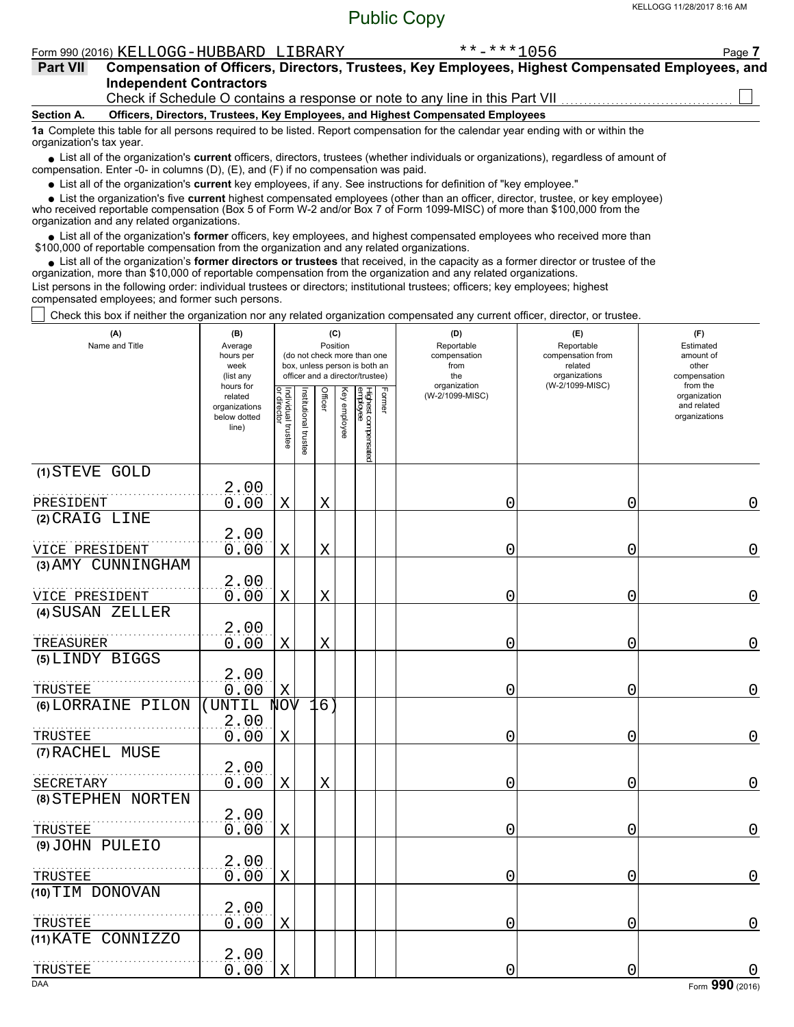| KELLOGG-HUBBARD<br>Form 990 (2016) | LIBRARY | ---<br>--<br>ملد ملد<br>ЭΟ | Page |
|------------------------------------|---------|----------------------------|------|
|                                    |         |                            |      |

| <b>Part VII</b>          | Compensation of Officers, Directors, Trustees, Key Employees, Highest Compensated Employees, and<br><b>Independent Contractors</b>                                                                                                  |  |  |  |  |  |  |  |  |  |
|--------------------------|-------------------------------------------------------------------------------------------------------------------------------------------------------------------------------------------------------------------------------------|--|--|--|--|--|--|--|--|--|
|                          | Check if Schedule O contains a response or note to any line in this Part VII <i>CHARGHOND</i> Check if Schedule O contains a response or note to any line in this Part VII                                                          |  |  |  |  |  |  |  |  |  |
| Section A.               | Officers, Directors, Trustees, Key Employees, and Highest Compensated Employees                                                                                                                                                     |  |  |  |  |  |  |  |  |  |
| organization's tax year. | 1a Complete this table for all persons required to be listed. Report compensation for the calendar year ending with or within the                                                                                                   |  |  |  |  |  |  |  |  |  |
|                          | • List all of the organization's current officers, directors, trustees (whether individuals or organizations), regardless of amount of<br>compensation. Enter -0- in columns $(D)$ , $(E)$ , and $(F)$ if no compensation was paid. |  |  |  |  |  |  |  |  |  |

List all of the organization's **current** key employees, if any. See instructions for definition of "key employee."

List the organization's five **current** highest compensated employees (other than an officer, director, trustee, or key employee) **•**

who received reportable compensation (Box 5 of Form W-2 and/or Box 7 of Form 1099-MISC) of more than \$100,000 from the organization and any related organizations. **•**

List all of the organization's **former** officers, key employees, and highest compensated employees who received more than • List all of the organization's **former** officers, key employees, and highest compensate \$100,000 of reportable compensation from the organization and any related organizations.

• List all of the organization's **former directors or trustees** that received, in the capacity as a former director or trustee of the organization, more than \$10,000 of reportable compensation from the organization and any related organizations. List persons in the following order: individual trustees or directors; institutional trustees; officers; key employees; highest compensated employees; and former such persons.

Check this box if neither the organization nor any related organization compensated any current officer, director, or trustee.

| (A)<br>Name and Title | (B)<br>Average<br>hours per<br>week<br>(list any               |                                   |                       | Position    | (C)          | (do not check more than one<br>box, unless person is both an<br>officer and a director/trustee) |        | (D)<br>Reportable<br>compensation<br>from<br>the<br>organization | (E)<br>Reportable<br>compensation from<br>related<br>organizations<br>(W-2/1099-MISC) | (F)<br>Estimated<br>amount of<br>other<br>compensation   |  |
|-----------------------|----------------------------------------------------------------|-----------------------------------|-----------------------|-------------|--------------|-------------------------------------------------------------------------------------------------|--------|------------------------------------------------------------------|---------------------------------------------------------------------------------------|----------------------------------------------------------|--|
|                       | hours for<br>related<br>organizations<br>below dotted<br>line) | Individual trustee<br>or director | Institutional trustee | Officer     | Key employee | Highest compensated<br>employee                                                                 | Former | (W-2/1099-MISC)                                                  |                                                                                       | from the<br>organization<br>and related<br>organizations |  |
| (1) STEVE GOLD        | 2.00                                                           |                                   |                       |             |              |                                                                                                 |        |                                                                  |                                                                                       |                                                          |  |
| PRESIDENT             | 0.00                                                           | X                                 |                       | $\mathbf X$ |              |                                                                                                 |        | 0                                                                | 0                                                                                     | 0                                                        |  |
| (2) CRAIG LINE        |                                                                |                                   |                       |             |              |                                                                                                 |        |                                                                  |                                                                                       |                                                          |  |
| VICE PRESIDENT        | 2.00<br>0.00                                                   | $\mathbf X$                       |                       | $\mathbf X$ |              |                                                                                                 |        | 0                                                                | 0                                                                                     | 0                                                        |  |
| (3) AMY CUNNINGHAM    |                                                                |                                   |                       |             |              |                                                                                                 |        |                                                                  |                                                                                       |                                                          |  |
| VICE PRESIDENT        | 2.00<br>0.00                                                   | $\mathbf X$                       |                       | $\mathbf X$ |              |                                                                                                 |        | 0                                                                | 0                                                                                     | 0                                                        |  |
| (4) SUSAN ZELLER      |                                                                |                                   |                       |             |              |                                                                                                 |        |                                                                  |                                                                                       |                                                          |  |
| TREASURER             | 2.00<br>0.00                                                   | X                                 |                       | X           |              |                                                                                                 |        | 0                                                                | 0                                                                                     | 0                                                        |  |
| (5) LINDY BIGGS       | 2.00                                                           |                                   |                       |             |              |                                                                                                 |        |                                                                  |                                                                                       |                                                          |  |
| TRUSTEE               | 0.00                                                           | X                                 |                       |             |              |                                                                                                 |        | 0                                                                | 0                                                                                     | 0                                                        |  |
| (6) LORRAINE PILON    | (UNTIL                                                         | <b>NOV</b>                        |                       | 16          |              |                                                                                                 |        |                                                                  |                                                                                       |                                                          |  |
| TRUSTEE               | 2.00<br>0.00                                                   | Χ                                 |                       |             |              |                                                                                                 |        | 0                                                                | 0                                                                                     | $\overline{0}$                                           |  |
| (7) RACHEL MUSE       |                                                                |                                   |                       |             |              |                                                                                                 |        |                                                                  |                                                                                       |                                                          |  |
| SECRETARY             | 2.00<br>0.00                                                   | Χ                                 |                       | X           |              |                                                                                                 |        | 0                                                                | 0                                                                                     | $\mathbf 0$                                              |  |
| (8) STEPHEN NORTEN    |                                                                |                                   |                       |             |              |                                                                                                 |        |                                                                  |                                                                                       |                                                          |  |
| TRUSTEE               | 2.00<br>0.00                                                   | $\mathbf X$                       |                       |             |              |                                                                                                 |        | 0                                                                | 0                                                                                     | 0                                                        |  |
| (9) JOHN PULEIO       |                                                                |                                   |                       |             |              |                                                                                                 |        |                                                                  |                                                                                       |                                                          |  |
| TRUSTEE               | 2.00<br>0.00                                                   | X                                 |                       |             |              |                                                                                                 |        | 0                                                                | 0                                                                                     | $\mathbf 0$                                              |  |
| (10) TIM DONOVAN      |                                                                |                                   |                       |             |              |                                                                                                 |        |                                                                  |                                                                                       |                                                          |  |
| TRUSTEE               | 2.00<br>0.00                                                   | Χ                                 |                       |             |              |                                                                                                 |        | 0                                                                | 0                                                                                     | 0                                                        |  |
| (11) KATE CONNIZZO    |                                                                |                                   |                       |             |              |                                                                                                 |        |                                                                  |                                                                                       |                                                          |  |
|                       | 2.00<br>0.00                                                   | X                                 |                       |             |              |                                                                                                 |        | 0                                                                | 0                                                                                     |                                                          |  |
| TRUSTEE<br><b>DAA</b> |                                                                |                                   |                       |             |              |                                                                                                 |        |                                                                  |                                                                                       | Form 990 (2016)                                          |  |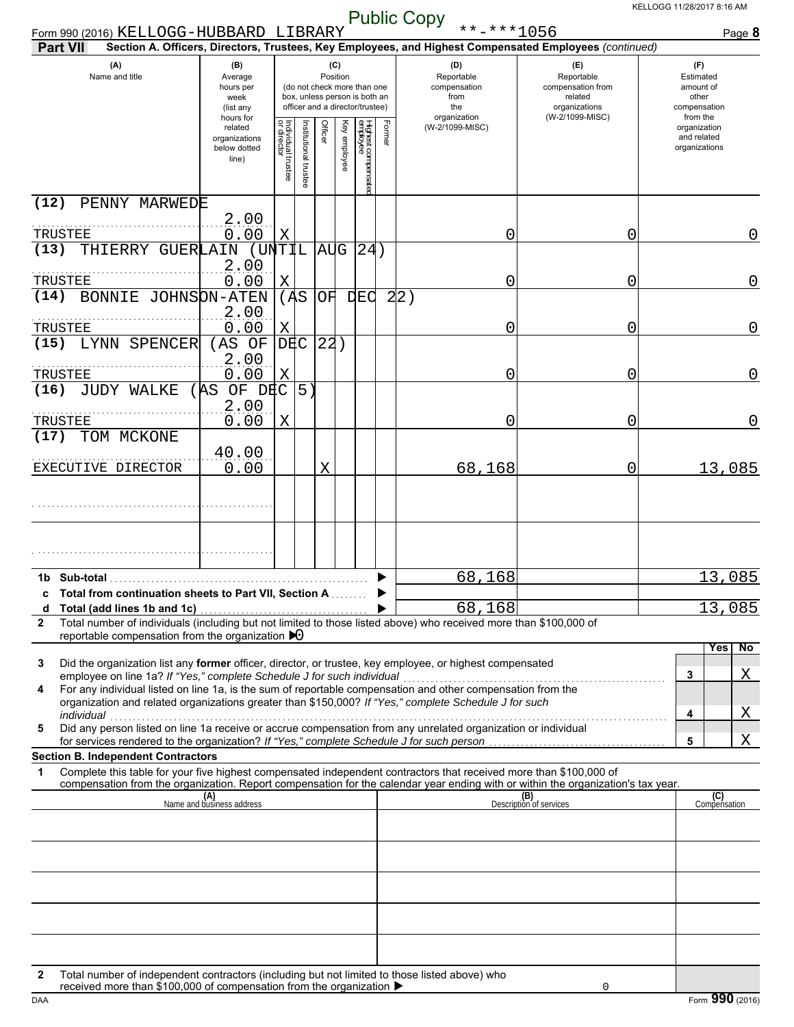| Form 990 (2016) KELLOGG-HUBBARD LIBRARY<br><b>Part VII</b>                                                                                                                                                                                                                                                         |                                                               |                                   |                      |                 |              |                                                                                                 | <b>I</b> donc Oopy              | **-***1056                                       | Section A. Officers, Directors, Trustees, Key Employees, and Highest Compensated Employees (continued) | Page 8                                                             |
|--------------------------------------------------------------------------------------------------------------------------------------------------------------------------------------------------------------------------------------------------------------------------------------------------------------------|---------------------------------------------------------------|-----------------------------------|----------------------|-----------------|--------------|-------------------------------------------------------------------------------------------------|---------------------------------|--------------------------------------------------|--------------------------------------------------------------------------------------------------------|--------------------------------------------------------------------|
| (A)<br>Name and title                                                                                                                                                                                                                                                                                              | (B)<br>Average<br>hours per<br>week<br>(list any<br>hours for |                                   |                      | (C)<br>Position |              | (do not check more than one<br>box, unless person is both an<br>officer and a director/trustee) |                                 | (D)<br>Reportable<br>compensation<br>from<br>the | (E)<br>Reportable<br>compensation from<br>related<br>organizations<br>(W-2/1099-MISC)                  | (F)<br>Estimated<br>amount of<br>other<br>compensation<br>from the |
|                                                                                                                                                                                                                                                                                                                    | related<br>organizations<br>below dotted<br>line)             | Individual trustee<br>or director | nstitutional trustee | Officer         | Key employee | Highest compensatec<br>employee                                                                 | organization<br>(W-2/1099-MISC) |                                                  |                                                                                                        | organization<br>and related<br>organizations                       |
| PENNY MARWEDE<br>(12)                                                                                                                                                                                                                                                                                              |                                                               |                                   |                      |                 |              |                                                                                                 |                                 |                                                  |                                                                                                        |                                                                    |
| TRUSTEE<br>(13)<br>THIERRY GUERLAIN                                                                                                                                                                                                                                                                                | 2.00<br>0.00<br>(UNTIL                                        | Χ                                 |                      |                 | AUG 24       |                                                                                                 |                                 | 0                                                | 0                                                                                                      | 0                                                                  |
| TRUSTEE                                                                                                                                                                                                                                                                                                            | 2.00<br>0.00                                                  | Χ                                 |                      |                 |              |                                                                                                 |                                 | 0                                                | 0                                                                                                      | $\mathbf 0$                                                        |
| (14)<br>BONNIE JOHNSON-ATEN                                                                                                                                                                                                                                                                                        | 2.00                                                          | (AS)                              |                      | OF              | <b>DEC</b>   |                                                                                                 | 2 2)                            |                                                  |                                                                                                        |                                                                    |
| TRUSTEE                                                                                                                                                                                                                                                                                                            | 0.00                                                          | Χ                                 |                      |                 |              |                                                                                                 |                                 | 0                                                | 0                                                                                                      | $\mathbf 0$                                                        |
| LYNN SPENCER<br>(15)<br>TRUSTEE                                                                                                                                                                                                                                                                                    | (AS OF<br>2.00<br>0.00                                        | DEC<br>Χ                          |                      | 22)             |              |                                                                                                 |                                 | 0                                                | 0                                                                                                      | $\mathbf 0$                                                        |
| JUDY WALKE<br>(16)                                                                                                                                                                                                                                                                                                 | OF DEC<br>(AS                                                 |                                   | 5)                   |                 |              |                                                                                                 |                                 |                                                  |                                                                                                        |                                                                    |
| TRUSTEE                                                                                                                                                                                                                                                                                                            | 2.00<br>0.00                                                  | Χ                                 |                      |                 |              |                                                                                                 |                                 | 0                                                | 0                                                                                                      | 0                                                                  |
| (17)<br>TOM MCKONE                                                                                                                                                                                                                                                                                                 |                                                               |                                   |                      |                 |              |                                                                                                 |                                 |                                                  |                                                                                                        |                                                                    |
| EXECUTIVE DIRECTOR                                                                                                                                                                                                                                                                                                 | 40.00<br>0.00                                                 |                                   |                      | Χ               |              |                                                                                                 |                                 | 68,168                                           | 0                                                                                                      | 13,085                                                             |
|                                                                                                                                                                                                                                                                                                                    |                                                               |                                   |                      |                 |              |                                                                                                 |                                 |                                                  |                                                                                                        |                                                                    |
|                                                                                                                                                                                                                                                                                                                    |                                                               |                                   |                      |                 |              |                                                                                                 |                                 |                                                  |                                                                                                        |                                                                    |
| 1b Sub-total                                                                                                                                                                                                                                                                                                       |                                                               |                                   |                      |                 |              |                                                                                                 |                                 | 68,168                                           |                                                                                                        | 13,085                                                             |
| c Total from continuation sheets to Part VII, Section A<br>Total (add lines 1b and 1c)<br>a                                                                                                                                                                                                                        |                                                               |                                   |                      |                 |              |                                                                                                 |                                 | 68,168                                           |                                                                                                        | 13,085                                                             |
| Total number of individuals (including but not limited to those listed above) who received more than \$100,000 of<br>$\mathbf{2}$<br>reportable compensation from the organization $\blacktriangleright$ 0                                                                                                         |                                                               |                                   |                      |                 |              |                                                                                                 |                                 |                                                  |                                                                                                        |                                                                    |
| Did the organization list any <b>former</b> officer, director, or trustee, key employee, or highest compensated<br>3<br>employee on line 1a? If "Yes," complete Schedule J for such individual<br>For any individual listed on line 1a, is the sum of reportable compensation and other compensation from the<br>4 |                                                               |                                   |                      |                 |              |                                                                                                 |                                 |                                                  |                                                                                                        | Yes<br>No.<br>Χ<br>3                                               |
| organization and related organizations greater than \$150,000? If "Yes," complete Schedule J for such<br>individual<br>Did any person listed on line 1a receive or accrue compensation from any unrelated organization or individual                                                                               |                                                               |                                   |                      |                 |              |                                                                                                 |                                 |                                                  |                                                                                                        | Χ<br>4                                                             |
| 5                                                                                                                                                                                                                                                                                                                  |                                                               |                                   |                      |                 |              |                                                                                                 |                                 |                                                  |                                                                                                        | X<br>5                                                             |
| <b>Section B. Independent Contractors</b><br>Complete this table for your five highest compensated independent contractors that received more than \$100,000 of<br>1                                                                                                                                               |                                                               |                                   |                      |                 |              |                                                                                                 |                                 |                                                  |                                                                                                        |                                                                    |
| compensation from the organization. Report compensation for the calendar year ending with or within the organization's tax year.                                                                                                                                                                                   | (A)<br>Name and business address                              |                                   |                      |                 |              |                                                                                                 |                                 |                                                  | (B)<br>Description of services                                                                         | (C)<br>Compensation                                                |
|                                                                                                                                                                                                                                                                                                                    |                                                               |                                   |                      |                 |              |                                                                                                 |                                 |                                                  |                                                                                                        |                                                                    |
|                                                                                                                                                                                                                                                                                                                    |                                                               |                                   |                      |                 |              |                                                                                                 |                                 |                                                  |                                                                                                        |                                                                    |
|                                                                                                                                                                                                                                                                                                                    |                                                               |                                   |                      |                 |              |                                                                                                 |                                 |                                                  |                                                                                                        |                                                                    |
|                                                                                                                                                                                                                                                                                                                    |                                                               |                                   |                      |                 |              |                                                                                                 |                                 |                                                  |                                                                                                        |                                                                    |
|                                                                                                                                                                                                                                                                                                                    |                                                               |                                   |                      |                 |              |                                                                                                 |                                 |                                                  |                                                                                                        |                                                                    |
| Total number of independent contractors (including but not limited to those listed above) who<br>$\mathbf{2}$                                                                                                                                                                                                      |                                                               |                                   |                      |                 |              |                                                                                                 |                                 |                                                  |                                                                                                        |                                                                    |

DAA **Form 990** (2016) received more than \$100,000 of compensation from the organization  $\blacktriangleright$ 

0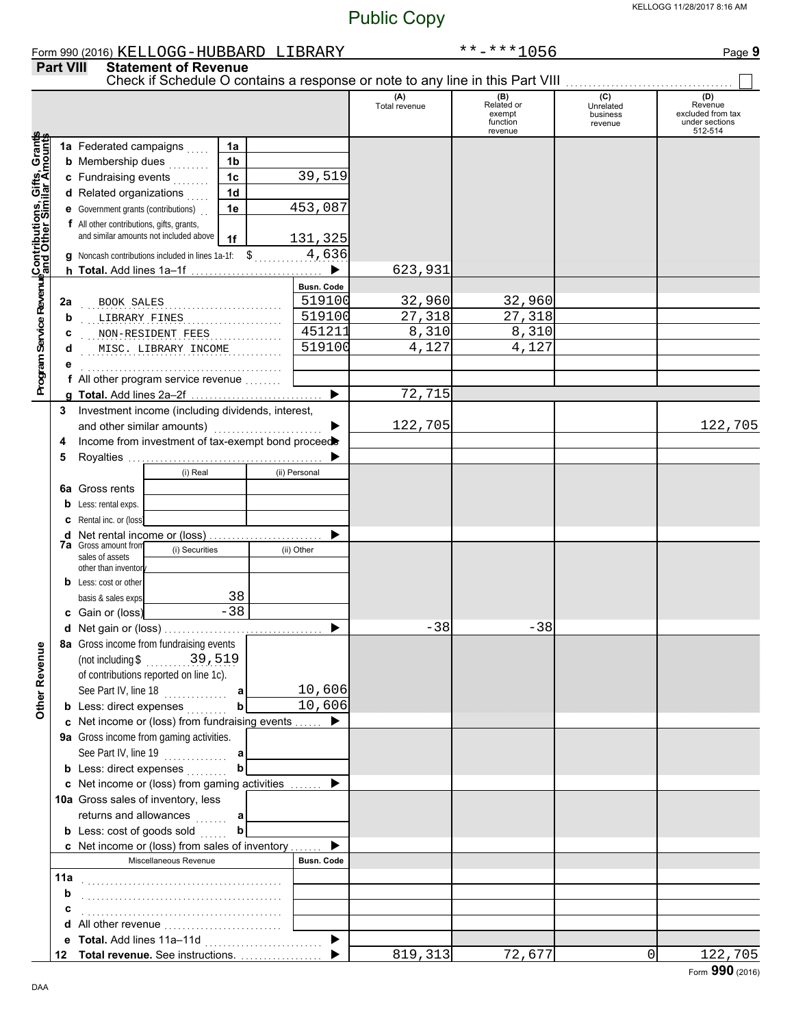|                                                                                                                                      |                  | Form 990 (2016) KELLOGG-HUBBARD LIBRARY                                       |                |                   |                      | $******1056$                                       |                                         | Page 9                                                           |
|--------------------------------------------------------------------------------------------------------------------------------------|------------------|-------------------------------------------------------------------------------|----------------|-------------------|----------------------|----------------------------------------------------|-----------------------------------------|------------------------------------------------------------------|
|                                                                                                                                      | <b>Part VIII</b> | <b>Statement of Revenue</b>                                                   |                |                   |                      |                                                    |                                         |                                                                  |
|                                                                                                                                      |                  | Check if Schedule O contains a response or note to any line in this Part VIII |                |                   | (A)<br>Total revenue | (B)<br>Related or<br>exempt<br>function<br>revenue | (C)<br>Unrelated<br>business<br>revenue | (D)<br>Revenue<br>excluded from tax<br>under sections<br>512-514 |
|                                                                                                                                      |                  | 1a Federated campaigns                                                        | 1a             |                   |                      |                                                    |                                         |                                                                  |
|                                                                                                                                      |                  |                                                                               | 1 <sub>b</sub> |                   |                      |                                                    |                                         |                                                                  |
|                                                                                                                                      |                  | <b>b</b> Membership dues                                                      |                |                   |                      |                                                    |                                         |                                                                  |
|                                                                                                                                      |                  | c Fundraising events                                                          | 1 <sub>c</sub> | 39,519            |                      |                                                    |                                         |                                                                  |
|                                                                                                                                      |                  | d Related organizations                                                       | 1 <sub>d</sub> |                   |                      |                                                    |                                         |                                                                  |
|                                                                                                                                      |                  | e Government grants (contributions)                                           | 1e             | 453,087           |                      |                                                    |                                         |                                                                  |
|                                                                                                                                      |                  | f All other contributions, gifts, grants,                                     |                |                   |                      |                                                    |                                         |                                                                  |
| Program Service Revenu <mark>eContributions, Gifts, Grant</mark> s<br>Program Service Revenue <mark>and Other Similar Amounts</mark> |                  | and similar amounts not included above                                        | 1f             | 131,325           |                      |                                                    |                                         |                                                                  |
|                                                                                                                                      |                  | g Noncash contributions included in lines 1a-1f: \$                           |                | 4,636             |                      |                                                    |                                         |                                                                  |
|                                                                                                                                      |                  | h Total. Add lines 1a-1f                                                      |                | ▶                 | 623,931              |                                                    |                                         |                                                                  |
|                                                                                                                                      |                  |                                                                               |                | Busn. Code        |                      |                                                    |                                         |                                                                  |
|                                                                                                                                      | 2a               | BOOK SALES                                                                    |                | 519100            | 32,960               | 32,960                                             |                                         |                                                                  |
|                                                                                                                                      | b                | LIBRARY FINES                                                                 |                | 519100            | 27,318               | 27,318                                             |                                         |                                                                  |
|                                                                                                                                      | с                | NON-RESIDENT FEES                                                             |                | 451211            | 8,310                | 8,310                                              |                                         |                                                                  |
|                                                                                                                                      | d                | MISC. LIBRARY INCOME                                                          |                | 519100            | 4,127                | 4,127                                              |                                         |                                                                  |
|                                                                                                                                      |                  |                                                                               |                |                   |                      |                                                    |                                         |                                                                  |
|                                                                                                                                      |                  | f All other program service revenue                                           |                |                   |                      |                                                    |                                         |                                                                  |
|                                                                                                                                      |                  |                                                                               |                |                   | 72,715               |                                                    |                                         |                                                                  |
|                                                                                                                                      | 3                | Investment income (including dividends, interest,                             |                |                   |                      |                                                    |                                         |                                                                  |
|                                                                                                                                      |                  | and other similar amounts)                                                    |                |                   | 122,705              |                                                    |                                         | 122,705                                                          |
|                                                                                                                                      |                  | Income from investment of tax-exempt bond proceed                             |                |                   |                      |                                                    |                                         |                                                                  |
|                                                                                                                                      | 4                |                                                                               |                |                   |                      |                                                    |                                         |                                                                  |
|                                                                                                                                      | 5                |                                                                               |                |                   |                      |                                                    |                                         |                                                                  |
|                                                                                                                                      |                  | (i) Real                                                                      |                | (ii) Personal     |                      |                                                    |                                         |                                                                  |
|                                                                                                                                      | 6a               | Gross rents                                                                   |                |                   |                      |                                                    |                                         |                                                                  |
|                                                                                                                                      | b                | Less: rental exps.                                                            |                |                   |                      |                                                    |                                         |                                                                  |
|                                                                                                                                      | c                | Rental inc. or (loss)                                                         |                |                   |                      |                                                    |                                         |                                                                  |
|                                                                                                                                      | d                | Net rental income or (loss)                                                   |                |                   |                      |                                                    |                                         |                                                                  |
|                                                                                                                                      |                  | <b>7a</b> Gross amount from<br>(i) Securities<br>sales of assets              |                | (ii) Other        |                      |                                                    |                                         |                                                                  |
|                                                                                                                                      |                  | other than inventor                                                           |                |                   |                      |                                                    |                                         |                                                                  |
|                                                                                                                                      |                  | <b>b</b> Less: cost or other                                                  |                |                   |                      |                                                    |                                         |                                                                  |
|                                                                                                                                      |                  | basis & sales exps.                                                           | 38             |                   |                      |                                                    |                                         |                                                                  |
|                                                                                                                                      |                  | c Gain or (loss)                                                              | $-38$          |                   |                      |                                                    |                                         |                                                                  |
|                                                                                                                                      |                  | d Net gain or (loss)                                                          |                |                   | 38                   | 38                                                 |                                         |                                                                  |
|                                                                                                                                      |                  | 8a Gross income from fundraising events                                       |                |                   |                      |                                                    |                                         |                                                                  |
|                                                                                                                                      |                  | (not including $$39,519$                                                      |                |                   |                      |                                                    |                                         |                                                                  |
|                                                                                                                                      |                  | of contributions reported on line 1c).                                        |                |                   |                      |                                                    |                                         |                                                                  |
|                                                                                                                                      |                  | See Part IV, line 18                                                          | a              | 10,606            |                      |                                                    |                                         |                                                                  |
| Other Revenue                                                                                                                        |                  | <b>b</b> Less: direct expenses                                                | b              | 10,606            |                      |                                                    |                                         |                                                                  |
|                                                                                                                                      |                  | c Net income or (loss) from fundraising events  ▶                             |                |                   |                      |                                                    |                                         |                                                                  |
|                                                                                                                                      |                  | 9a Gross income from gaming activities.                                       |                |                   |                      |                                                    |                                         |                                                                  |
|                                                                                                                                      |                  |                                                                               |                |                   |                      |                                                    |                                         |                                                                  |
|                                                                                                                                      |                  | <b>b</b> Less: direct expenses                                                |                |                   |                      |                                                    |                                         |                                                                  |
|                                                                                                                                      |                  | c Net income or (loss) from gaming activities  ▶                              |                |                   |                      |                                                    |                                         |                                                                  |
|                                                                                                                                      |                  |                                                                               |                |                   |                      |                                                    |                                         |                                                                  |
|                                                                                                                                      |                  | 10a Gross sales of inventory, less                                            |                |                   |                      |                                                    |                                         |                                                                  |
|                                                                                                                                      |                  | returns and allowances  a                                                     |                |                   |                      |                                                    |                                         |                                                                  |
|                                                                                                                                      |                  | <b>b</b> Less: cost of goods sold                                             | $\mathbf b$    |                   |                      |                                                    |                                         |                                                                  |
|                                                                                                                                      |                  | c Net income or (loss) from sales of inventory                                |                |                   |                      |                                                    |                                         |                                                                  |
|                                                                                                                                      |                  | Miscellaneous Revenue                                                         |                | <b>Busn. Code</b> |                      |                                                    |                                         |                                                                  |
|                                                                                                                                      | 11a              |                                                                               |                |                   |                      |                                                    |                                         |                                                                  |
|                                                                                                                                      | b                |                                                                               |                |                   |                      |                                                    |                                         |                                                                  |
|                                                                                                                                      | с                |                                                                               |                |                   |                      |                                                    |                                         |                                                                  |
|                                                                                                                                      |                  |                                                                               |                |                   |                      |                                                    |                                         |                                                                  |
|                                                                                                                                      |                  |                                                                               |                |                   |                      |                                                    |                                         |                                                                  |
|                                                                                                                                      |                  |                                                                               |                |                   | $\overline{819,313}$ | 72,677                                             | 0                                       | 122,705                                                          |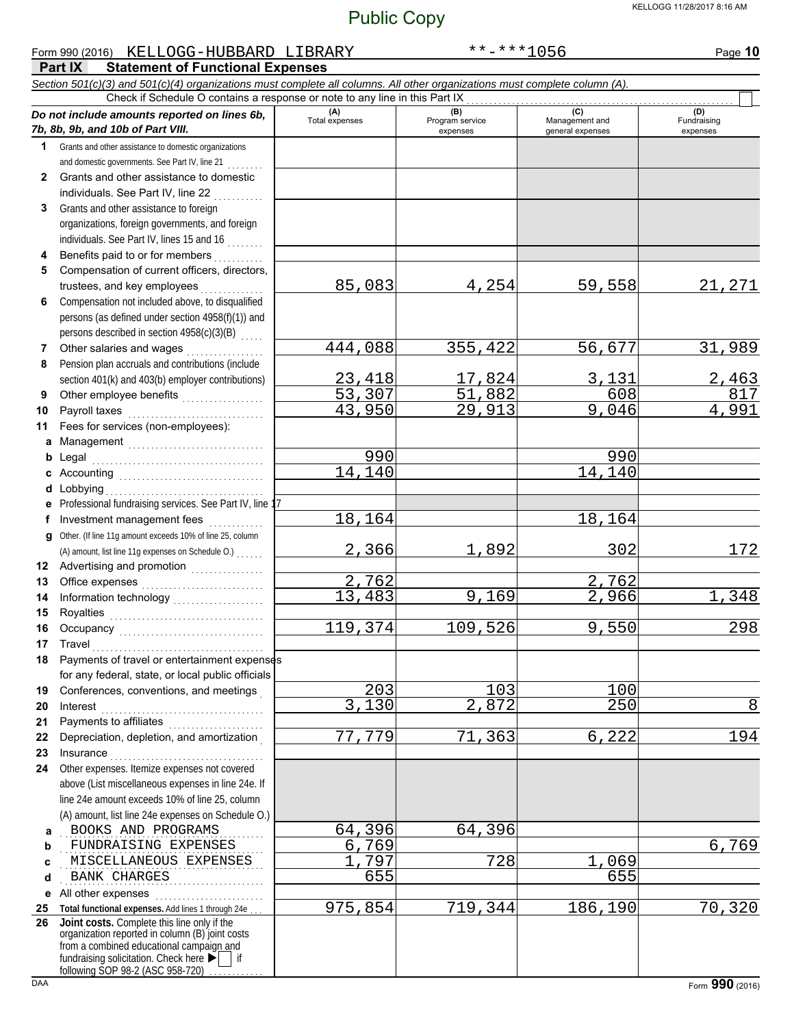#### **Part IX Statement of Functional Expenses** Form 990 (2016) Page **10** KELLOGG-HUBBARD LIBRARY \*\*-\*\*\*1056 *Section 501(c)(3) and 501(c)(4) organizations must complete all columns. All other organizations must complete column (A). Do not include amounts reported on lines 6b, 7b, 8b, 9b, and 10b of Part VIII.* **1 2 3 4 5 6 7 8 9 10 11 a** Management . . . . . . . . . . . . . . . . . . . . . . . . . . . . . . **b** Legal **c** Accounting . . . . . . . . . . . . . . . . . . . . . . . . . . . . . . . . **d** Lobbying . . . . . . . . . . . . . . . . . . . . . . . . . . . . . . . . . . . **e f g** Other. (If line 11g amount exceeds 10% of line 25, column **12** Advertising and promotion **. . . . . . . . . . . .** . . **13 14 15 16 17 18 19 20 21 22 23 24 a** . . . . . . . . . . . . . . . . . . . . . . . . . . . . . . . . . . . . . . . . . . . . . BOOKS AND PROGRAMS 64,396 64,396 **b c d e** All other expenses . . . . . . . . . . . . . . . . . . . . . . . . **25 Total functional expenses.** Add lines 1 through 24e . . . **26** Grants and other assistance to domestic organizations and domestic governments. See Part IV, line 21 . . . . . . . . Grants and other assistance to domestic individuals. See Part IV, line 22 Grants and other assistance to foreign organizations, foreign governments, and foreign individuals. See Part IV, lines 15 and 16 Benefits paid to or for members . . . . . . . . . . Compensation of current officers, directors, trustees, and key employees . . . . . . . Compensation not included above, to disqualified persons (as defined under section 4958(f)(1)) and persons described in section 4958(c)(3)(B) Other salaries and wages .................. Pension plan accruals and contributions (include section 401(k) and 403(b) employer contributions) Other employee benefits ................... Payroll taxes . . . . . . . . . . . . . . . . . . . . . . . . . . . . . . Fees for services (non-employees): Legal . . . . . . . . . . . . . . . . . . . . . . . . . . . . . . . . . . . . . . Professional fundraising services. See Part IV, line 17 Investment management fees ............. Office expenses . . . . . . . . . . . . . . . . . . . . . . . . . . . Information technology . . . . . . . . . . . . . . . . . . . . Royalties . . . . . . . . . . . . . . . . . . . . . . . . . . . . . . . . . . Occupancy . . . . . . . . . . . . . . . . . . . . . . . . . . . . . . . . Travel . . . . . . . . . . . . . . . . . . . . . . . . . . . . . . . . . . . . . . Payments of travel or entertainment expenses for any federal, state, or local public officials Conferences, conventions, and meetings . Interest . . . . . . . . . . . . . . . . . . . . . . . . . . . . . . . . . . . . Payments to affiliates . . . . . . . . . . . . . . . . . . . . . Depreciation, depletion, and amortization . Insurance . . . . . . . . . . . . . . . . . . . . . . . . . . . . . . . . . . Other expenses. Itemize expenses not covered above (List miscellaneous expenses in line 24e. If line 24e amount exceeds 10% of line 25, column (A) amount, list line 24e expenses on Schedule O.) fundraising solicitation. Check here  $\blacktriangleright$  | if organization reported in column (B) joint costs from a combined educational campaign and following SOP 98-2 (ASC 958-720) **(A)** (B) (B) (B) (C) (C) (A) (D)<br>Total expenses Program service Management and Fundrai expenses general expenses (D)<br>Fundraising expenses . . . . . . . . . . . . . . . . . . . . . . . . . . . . . . . . . . . . . . . . . . . . . FUNDRAISING EXPENSES 6,769 6,769 . . . . . . . . . . . . . . . . . . . . . . . . . . . . . . . . . . . . . . . . . . . . . MISCELLANEOUS EXPENSES 1,797 728 1,069 . . . . . . . . . . . . . . . . . . . . . . . . . . . . . . . . . . . . . . . . . . . . . BANK CHARGES 655 655 Check if Schedule O contains a response or note to any line in this Part IX **Joint costs.** Complete this line only if the (A) amount, list line 11g expenses on Schedule O.) . . . . . . . 85,083 4,254 59,558 21,271 444,088 355,422 56,677 31,989 23,418 17,824 3,131 2,463 53,307 51,882 608 817  $29,913$ <mark>990</mark> 990 14,140 14,140 18,164 18,164 2,366 1,892 302 172 2,762<br>13,483 9,169 2,966 13,483 9,169 2,966 1,348 119,374 109,526 9,550 298 203 103 100 3,130 2,872 250 3 77,779 71,363 6,222 194 975,854 719,344 186,190 70,320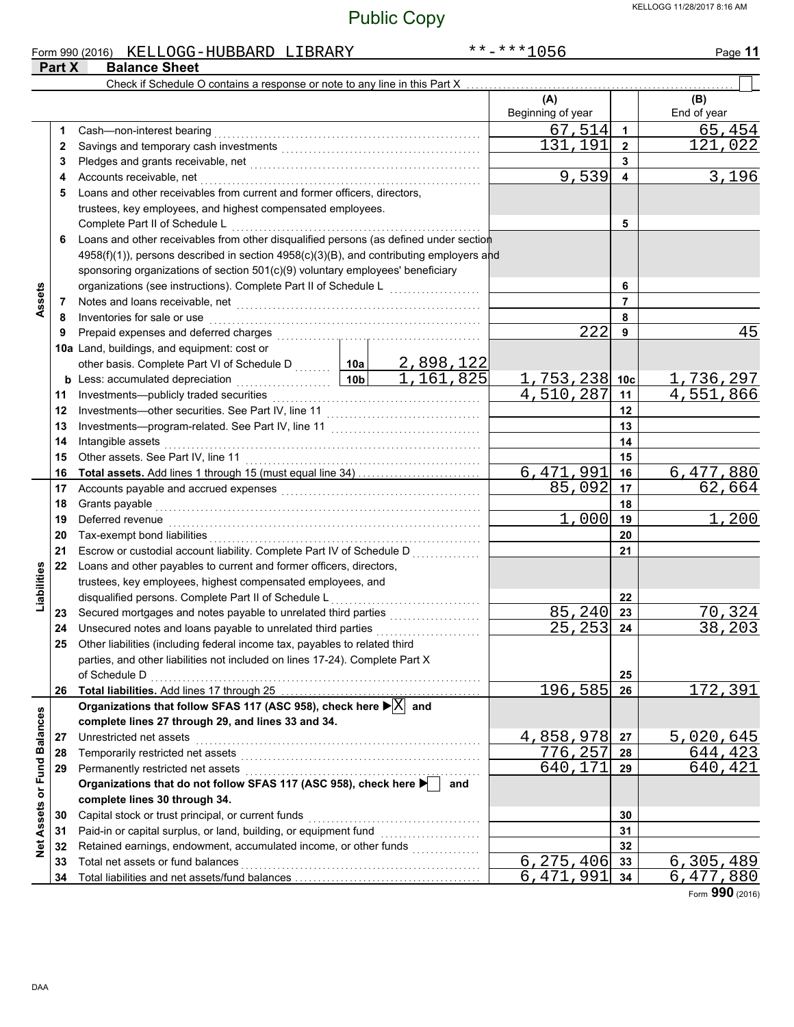| <b>Balance Sheet</b><br>Part X<br>Check if Schedule O contains a response or note to any line in this Part X<br>(A)<br>(B)<br>Beginning of year<br>End of year<br>67, 514<br>65,454<br>1<br>1<br>121,022<br>131<br>,191<br>$\overline{2}$<br>2<br>3<br>3<br>9,539<br>3,196<br>4<br>4<br>Loans and other receivables from current and former officers, directors,<br>5<br>trustees, key employees, and highest compensated employees.<br>Complete Part II of Schedule L<br>5<br>Loans and other receivables from other disqualified persons (as defined under section<br>6<br>4958(f)(1)), persons described in section 4958(c)(3)(B), and contributing employers and<br>sponsoring organizations of section 501(c)(9) voluntary employees' beneficiary<br>organizations (see instructions). Complete Part II of Schedule L [1111] [111]<br>Assets<br>6<br>Notes and loans receivable, net [[11] Motes and loans receivable, net [11] Motes and loans receivable, net [11] Motes and Motes and Motes and Motes and Motes and Motes and Motes and Motes and Motes and Motes and Motes and<br>$\overline{7}$<br>7<br>Inventories for sale or use <b>constant of the constant of the sale of sale</b> or use<br>8<br>8<br>222<br>45<br>9<br>9<br>10a Land, buildings, and equipment: cost or<br>other basis. Complete Part VI of Schedule D<br><b>b</b> Less: accumulated depreciation<br><b>b</b> Less: accumulated depreciation<br><b>b</b> 1, 161, 825<br><u>1,753,238 10c</u><br><u>1,736,297</u><br>4,551,866<br>4,510,287<br>11<br>11<br>12<br>12<br>13<br>13<br>14<br>14<br>15<br>15<br>6,471,991<br>6,477,880<br>16<br>16<br>85,092<br>62,664<br>17<br>17<br>18<br>18<br>1,200<br>1,000<br>Deferred revenue <b>construction of the construction of the construction</b> of the construction of the construction of the construction of the construction of the construction of the construction of the construction of the con<br>19<br>19<br>20<br>20<br>Escrow or custodial account liability. Complete Part IV of Schedule D<br>21<br>21<br>Loans and other payables to current and former officers, directors,<br>22<br>Liabilities<br>trustees, key employees, highest compensated employees, and<br>disqualified persons. Complete Part II of Schedule L<br>22<br>85,240<br>70,324<br>Secured mortgages and notes payable to unrelated third parties [[11][11][11][11][11][11][11][11][11]<br>23<br>23<br>$25, 253$ 24<br>Unsecured notes and loans payable to unrelated third parties<br>38,203<br>24<br>Other liabilities (including federal income tax, payables to related third<br>25<br>parties, and other liabilities not included on lines 17-24). Complete Part X<br>25<br>172,391<br>196,585<br>26<br>26<br>Organizations that follow SFAS 117 (ASC 958), check here $\blacktriangleright \boxed{\text{X}}$ and<br>Net Assets or Fund Balances<br>complete lines 27 through 29, and lines 33 and 34.<br>4,858,978<br>5,020,645<br>Unrestricted net assets<br>27<br>27<br>776,257<br>644,423<br>28<br>28<br>640,421<br>640,171<br>Permanently restricted net assets<br>Organizations that do not follow SFAS 117 (ASC 958), check here ▶ and<br>29<br>29<br>complete lines 30 through 34.<br>Capital stock or trust principal, or current funds<br>30<br>30<br>Paid-in or capital surplus, or land, building, or equipment fund [[[[[[[[[[[[[[[[[[[[[[[[[[[[[[[[[[[<br>31<br>31<br>Retained earnings, endowment, accumulated income, or other funds<br>32<br>32<br>6, 275, 406<br>6,305,489<br>Total net assets or fund balances<br>33<br>33<br>6,471<br>,991<br>6,477,880<br>34<br>34 |  | Form 990 (2016) KELLOGG-HUBBARD LIBRARY |  |  | **-***1056 | Page 11 |
|-----------------------------------------------------------------------------------------------------------------------------------------------------------------------------------------------------------------------------------------------------------------------------------------------------------------------------------------------------------------------------------------------------------------------------------------------------------------------------------------------------------------------------------------------------------------------------------------------------------------------------------------------------------------------------------------------------------------------------------------------------------------------------------------------------------------------------------------------------------------------------------------------------------------------------------------------------------------------------------------------------------------------------------------------------------------------------------------------------------------------------------------------------------------------------------------------------------------------------------------------------------------------------------------------------------------------------------------------------------------------------------------------------------------------------------------------------------------------------------------------------------------------------------------------------------------------------------------------------------------------------------------------------------------------------------------------------------------------------------------------------------------------------------------------------------------------------------------------------------------------------------------------------------------------------------------------------------------------------------------------------------------------------------------------------------------------------------------------------------------------------------------------------------------------------------------------------------------------------------------------------------------------------------------------------------------------------------------------------------------------------------------------------------------------------------------------------------------------------------------------------------------------------------------------------------------------------------------------------------------------------------------------------------------------------------------------------------------------------------------------------------------------------------------------------------------------------------------------------------------------------------------------------------------------------------------------------------------------------------------------------------------------------------------------------------------------------------------------------------------------------------------------------------------------------------------------------------------------------------------------------------------------------------------------------------------------------------------------------------------------------------------------------------------------------------------------------------------------------------------------------------------------------------------------------------------------------------------------------------|--|-----------------------------------------|--|--|------------|---------|
|                                                                                                                                                                                                                                                                                                                                                                                                                                                                                                                                                                                                                                                                                                                                                                                                                                                                                                                                                                                                                                                                                                                                                                                                                                                                                                                                                                                                                                                                                                                                                                                                                                                                                                                                                                                                                                                                                                                                                                                                                                                                                                                                                                                                                                                                                                                                                                                                                                                                                                                                                                                                                                                                                                                                                                                                                                                                                                                                                                                                                                                                                                                                                                                                                                                                                                                                                                                                                                                                                                                                                                                                           |  |                                         |  |  |            |         |
|                                                                                                                                                                                                                                                                                                                                                                                                                                                                                                                                                                                                                                                                                                                                                                                                                                                                                                                                                                                                                                                                                                                                                                                                                                                                                                                                                                                                                                                                                                                                                                                                                                                                                                                                                                                                                                                                                                                                                                                                                                                                                                                                                                                                                                                                                                                                                                                                                                                                                                                                                                                                                                                                                                                                                                                                                                                                                                                                                                                                                                                                                                                                                                                                                                                                                                                                                                                                                                                                                                                                                                                                           |  |                                         |  |  |            |         |
|                                                                                                                                                                                                                                                                                                                                                                                                                                                                                                                                                                                                                                                                                                                                                                                                                                                                                                                                                                                                                                                                                                                                                                                                                                                                                                                                                                                                                                                                                                                                                                                                                                                                                                                                                                                                                                                                                                                                                                                                                                                                                                                                                                                                                                                                                                                                                                                                                                                                                                                                                                                                                                                                                                                                                                                                                                                                                                                                                                                                                                                                                                                                                                                                                                                                                                                                                                                                                                                                                                                                                                                                           |  |                                         |  |  |            |         |
|                                                                                                                                                                                                                                                                                                                                                                                                                                                                                                                                                                                                                                                                                                                                                                                                                                                                                                                                                                                                                                                                                                                                                                                                                                                                                                                                                                                                                                                                                                                                                                                                                                                                                                                                                                                                                                                                                                                                                                                                                                                                                                                                                                                                                                                                                                                                                                                                                                                                                                                                                                                                                                                                                                                                                                                                                                                                                                                                                                                                                                                                                                                                                                                                                                                                                                                                                                                                                                                                                                                                                                                                           |  |                                         |  |  |            |         |
|                                                                                                                                                                                                                                                                                                                                                                                                                                                                                                                                                                                                                                                                                                                                                                                                                                                                                                                                                                                                                                                                                                                                                                                                                                                                                                                                                                                                                                                                                                                                                                                                                                                                                                                                                                                                                                                                                                                                                                                                                                                                                                                                                                                                                                                                                                                                                                                                                                                                                                                                                                                                                                                                                                                                                                                                                                                                                                                                                                                                                                                                                                                                                                                                                                                                                                                                                                                                                                                                                                                                                                                                           |  |                                         |  |  |            |         |
|                                                                                                                                                                                                                                                                                                                                                                                                                                                                                                                                                                                                                                                                                                                                                                                                                                                                                                                                                                                                                                                                                                                                                                                                                                                                                                                                                                                                                                                                                                                                                                                                                                                                                                                                                                                                                                                                                                                                                                                                                                                                                                                                                                                                                                                                                                                                                                                                                                                                                                                                                                                                                                                                                                                                                                                                                                                                                                                                                                                                                                                                                                                                                                                                                                                                                                                                                                                                                                                                                                                                                                                                           |  |                                         |  |  |            |         |
|                                                                                                                                                                                                                                                                                                                                                                                                                                                                                                                                                                                                                                                                                                                                                                                                                                                                                                                                                                                                                                                                                                                                                                                                                                                                                                                                                                                                                                                                                                                                                                                                                                                                                                                                                                                                                                                                                                                                                                                                                                                                                                                                                                                                                                                                                                                                                                                                                                                                                                                                                                                                                                                                                                                                                                                                                                                                                                                                                                                                                                                                                                                                                                                                                                                                                                                                                                                                                                                                                                                                                                                                           |  |                                         |  |  |            |         |
|                                                                                                                                                                                                                                                                                                                                                                                                                                                                                                                                                                                                                                                                                                                                                                                                                                                                                                                                                                                                                                                                                                                                                                                                                                                                                                                                                                                                                                                                                                                                                                                                                                                                                                                                                                                                                                                                                                                                                                                                                                                                                                                                                                                                                                                                                                                                                                                                                                                                                                                                                                                                                                                                                                                                                                                                                                                                                                                                                                                                                                                                                                                                                                                                                                                                                                                                                                                                                                                                                                                                                                                                           |  |                                         |  |  |            |         |
|                                                                                                                                                                                                                                                                                                                                                                                                                                                                                                                                                                                                                                                                                                                                                                                                                                                                                                                                                                                                                                                                                                                                                                                                                                                                                                                                                                                                                                                                                                                                                                                                                                                                                                                                                                                                                                                                                                                                                                                                                                                                                                                                                                                                                                                                                                                                                                                                                                                                                                                                                                                                                                                                                                                                                                                                                                                                                                                                                                                                                                                                                                                                                                                                                                                                                                                                                                                                                                                                                                                                                                                                           |  |                                         |  |  |            |         |
|                                                                                                                                                                                                                                                                                                                                                                                                                                                                                                                                                                                                                                                                                                                                                                                                                                                                                                                                                                                                                                                                                                                                                                                                                                                                                                                                                                                                                                                                                                                                                                                                                                                                                                                                                                                                                                                                                                                                                                                                                                                                                                                                                                                                                                                                                                                                                                                                                                                                                                                                                                                                                                                                                                                                                                                                                                                                                                                                                                                                                                                                                                                                                                                                                                                                                                                                                                                                                                                                                                                                                                                                           |  |                                         |  |  |            |         |
|                                                                                                                                                                                                                                                                                                                                                                                                                                                                                                                                                                                                                                                                                                                                                                                                                                                                                                                                                                                                                                                                                                                                                                                                                                                                                                                                                                                                                                                                                                                                                                                                                                                                                                                                                                                                                                                                                                                                                                                                                                                                                                                                                                                                                                                                                                                                                                                                                                                                                                                                                                                                                                                                                                                                                                                                                                                                                                                                                                                                                                                                                                                                                                                                                                                                                                                                                                                                                                                                                                                                                                                                           |  |                                         |  |  |            |         |
|                                                                                                                                                                                                                                                                                                                                                                                                                                                                                                                                                                                                                                                                                                                                                                                                                                                                                                                                                                                                                                                                                                                                                                                                                                                                                                                                                                                                                                                                                                                                                                                                                                                                                                                                                                                                                                                                                                                                                                                                                                                                                                                                                                                                                                                                                                                                                                                                                                                                                                                                                                                                                                                                                                                                                                                                                                                                                                                                                                                                                                                                                                                                                                                                                                                                                                                                                                                                                                                                                                                                                                                                           |  |                                         |  |  |            |         |
|                                                                                                                                                                                                                                                                                                                                                                                                                                                                                                                                                                                                                                                                                                                                                                                                                                                                                                                                                                                                                                                                                                                                                                                                                                                                                                                                                                                                                                                                                                                                                                                                                                                                                                                                                                                                                                                                                                                                                                                                                                                                                                                                                                                                                                                                                                                                                                                                                                                                                                                                                                                                                                                                                                                                                                                                                                                                                                                                                                                                                                                                                                                                                                                                                                                                                                                                                                                                                                                                                                                                                                                                           |  |                                         |  |  |            |         |
|                                                                                                                                                                                                                                                                                                                                                                                                                                                                                                                                                                                                                                                                                                                                                                                                                                                                                                                                                                                                                                                                                                                                                                                                                                                                                                                                                                                                                                                                                                                                                                                                                                                                                                                                                                                                                                                                                                                                                                                                                                                                                                                                                                                                                                                                                                                                                                                                                                                                                                                                                                                                                                                                                                                                                                                                                                                                                                                                                                                                                                                                                                                                                                                                                                                                                                                                                                                                                                                                                                                                                                                                           |  |                                         |  |  |            |         |
|                                                                                                                                                                                                                                                                                                                                                                                                                                                                                                                                                                                                                                                                                                                                                                                                                                                                                                                                                                                                                                                                                                                                                                                                                                                                                                                                                                                                                                                                                                                                                                                                                                                                                                                                                                                                                                                                                                                                                                                                                                                                                                                                                                                                                                                                                                                                                                                                                                                                                                                                                                                                                                                                                                                                                                                                                                                                                                                                                                                                                                                                                                                                                                                                                                                                                                                                                                                                                                                                                                                                                                                                           |  |                                         |  |  |            |         |
|                                                                                                                                                                                                                                                                                                                                                                                                                                                                                                                                                                                                                                                                                                                                                                                                                                                                                                                                                                                                                                                                                                                                                                                                                                                                                                                                                                                                                                                                                                                                                                                                                                                                                                                                                                                                                                                                                                                                                                                                                                                                                                                                                                                                                                                                                                                                                                                                                                                                                                                                                                                                                                                                                                                                                                                                                                                                                                                                                                                                                                                                                                                                                                                                                                                                                                                                                                                                                                                                                                                                                                                                           |  |                                         |  |  |            |         |
|                                                                                                                                                                                                                                                                                                                                                                                                                                                                                                                                                                                                                                                                                                                                                                                                                                                                                                                                                                                                                                                                                                                                                                                                                                                                                                                                                                                                                                                                                                                                                                                                                                                                                                                                                                                                                                                                                                                                                                                                                                                                                                                                                                                                                                                                                                                                                                                                                                                                                                                                                                                                                                                                                                                                                                                                                                                                                                                                                                                                                                                                                                                                                                                                                                                                                                                                                                                                                                                                                                                                                                                                           |  |                                         |  |  |            |         |
|                                                                                                                                                                                                                                                                                                                                                                                                                                                                                                                                                                                                                                                                                                                                                                                                                                                                                                                                                                                                                                                                                                                                                                                                                                                                                                                                                                                                                                                                                                                                                                                                                                                                                                                                                                                                                                                                                                                                                                                                                                                                                                                                                                                                                                                                                                                                                                                                                                                                                                                                                                                                                                                                                                                                                                                                                                                                                                                                                                                                                                                                                                                                                                                                                                                                                                                                                                                                                                                                                                                                                                                                           |  |                                         |  |  |            |         |
|                                                                                                                                                                                                                                                                                                                                                                                                                                                                                                                                                                                                                                                                                                                                                                                                                                                                                                                                                                                                                                                                                                                                                                                                                                                                                                                                                                                                                                                                                                                                                                                                                                                                                                                                                                                                                                                                                                                                                                                                                                                                                                                                                                                                                                                                                                                                                                                                                                                                                                                                                                                                                                                                                                                                                                                                                                                                                                                                                                                                                                                                                                                                                                                                                                                                                                                                                                                                                                                                                                                                                                                                           |  |                                         |  |  |            |         |
|                                                                                                                                                                                                                                                                                                                                                                                                                                                                                                                                                                                                                                                                                                                                                                                                                                                                                                                                                                                                                                                                                                                                                                                                                                                                                                                                                                                                                                                                                                                                                                                                                                                                                                                                                                                                                                                                                                                                                                                                                                                                                                                                                                                                                                                                                                                                                                                                                                                                                                                                                                                                                                                                                                                                                                                                                                                                                                                                                                                                                                                                                                                                                                                                                                                                                                                                                                                                                                                                                                                                                                                                           |  |                                         |  |  |            |         |
|                                                                                                                                                                                                                                                                                                                                                                                                                                                                                                                                                                                                                                                                                                                                                                                                                                                                                                                                                                                                                                                                                                                                                                                                                                                                                                                                                                                                                                                                                                                                                                                                                                                                                                                                                                                                                                                                                                                                                                                                                                                                                                                                                                                                                                                                                                                                                                                                                                                                                                                                                                                                                                                                                                                                                                                                                                                                                                                                                                                                                                                                                                                                                                                                                                                                                                                                                                                                                                                                                                                                                                                                           |  |                                         |  |  |            |         |
|                                                                                                                                                                                                                                                                                                                                                                                                                                                                                                                                                                                                                                                                                                                                                                                                                                                                                                                                                                                                                                                                                                                                                                                                                                                                                                                                                                                                                                                                                                                                                                                                                                                                                                                                                                                                                                                                                                                                                                                                                                                                                                                                                                                                                                                                                                                                                                                                                                                                                                                                                                                                                                                                                                                                                                                                                                                                                                                                                                                                                                                                                                                                                                                                                                                                                                                                                                                                                                                                                                                                                                                                           |  |                                         |  |  |            |         |
|                                                                                                                                                                                                                                                                                                                                                                                                                                                                                                                                                                                                                                                                                                                                                                                                                                                                                                                                                                                                                                                                                                                                                                                                                                                                                                                                                                                                                                                                                                                                                                                                                                                                                                                                                                                                                                                                                                                                                                                                                                                                                                                                                                                                                                                                                                                                                                                                                                                                                                                                                                                                                                                                                                                                                                                                                                                                                                                                                                                                                                                                                                                                                                                                                                                                                                                                                                                                                                                                                                                                                                                                           |  |                                         |  |  |            |         |
|                                                                                                                                                                                                                                                                                                                                                                                                                                                                                                                                                                                                                                                                                                                                                                                                                                                                                                                                                                                                                                                                                                                                                                                                                                                                                                                                                                                                                                                                                                                                                                                                                                                                                                                                                                                                                                                                                                                                                                                                                                                                                                                                                                                                                                                                                                                                                                                                                                                                                                                                                                                                                                                                                                                                                                                                                                                                                                                                                                                                                                                                                                                                                                                                                                                                                                                                                                                                                                                                                                                                                                                                           |  |                                         |  |  |            |         |
|                                                                                                                                                                                                                                                                                                                                                                                                                                                                                                                                                                                                                                                                                                                                                                                                                                                                                                                                                                                                                                                                                                                                                                                                                                                                                                                                                                                                                                                                                                                                                                                                                                                                                                                                                                                                                                                                                                                                                                                                                                                                                                                                                                                                                                                                                                                                                                                                                                                                                                                                                                                                                                                                                                                                                                                                                                                                                                                                                                                                                                                                                                                                                                                                                                                                                                                                                                                                                                                                                                                                                                                                           |  |                                         |  |  |            |         |
|                                                                                                                                                                                                                                                                                                                                                                                                                                                                                                                                                                                                                                                                                                                                                                                                                                                                                                                                                                                                                                                                                                                                                                                                                                                                                                                                                                                                                                                                                                                                                                                                                                                                                                                                                                                                                                                                                                                                                                                                                                                                                                                                                                                                                                                                                                                                                                                                                                                                                                                                                                                                                                                                                                                                                                                                                                                                                                                                                                                                                                                                                                                                                                                                                                                                                                                                                                                                                                                                                                                                                                                                           |  |                                         |  |  |            |         |
|                                                                                                                                                                                                                                                                                                                                                                                                                                                                                                                                                                                                                                                                                                                                                                                                                                                                                                                                                                                                                                                                                                                                                                                                                                                                                                                                                                                                                                                                                                                                                                                                                                                                                                                                                                                                                                                                                                                                                                                                                                                                                                                                                                                                                                                                                                                                                                                                                                                                                                                                                                                                                                                                                                                                                                                                                                                                                                                                                                                                                                                                                                                                                                                                                                                                                                                                                                                                                                                                                                                                                                                                           |  |                                         |  |  |            |         |
|                                                                                                                                                                                                                                                                                                                                                                                                                                                                                                                                                                                                                                                                                                                                                                                                                                                                                                                                                                                                                                                                                                                                                                                                                                                                                                                                                                                                                                                                                                                                                                                                                                                                                                                                                                                                                                                                                                                                                                                                                                                                                                                                                                                                                                                                                                                                                                                                                                                                                                                                                                                                                                                                                                                                                                                                                                                                                                                                                                                                                                                                                                                                                                                                                                                                                                                                                                                                                                                                                                                                                                                                           |  |                                         |  |  |            |         |
|                                                                                                                                                                                                                                                                                                                                                                                                                                                                                                                                                                                                                                                                                                                                                                                                                                                                                                                                                                                                                                                                                                                                                                                                                                                                                                                                                                                                                                                                                                                                                                                                                                                                                                                                                                                                                                                                                                                                                                                                                                                                                                                                                                                                                                                                                                                                                                                                                                                                                                                                                                                                                                                                                                                                                                                                                                                                                                                                                                                                                                                                                                                                                                                                                                                                                                                                                                                                                                                                                                                                                                                                           |  |                                         |  |  |            |         |
|                                                                                                                                                                                                                                                                                                                                                                                                                                                                                                                                                                                                                                                                                                                                                                                                                                                                                                                                                                                                                                                                                                                                                                                                                                                                                                                                                                                                                                                                                                                                                                                                                                                                                                                                                                                                                                                                                                                                                                                                                                                                                                                                                                                                                                                                                                                                                                                                                                                                                                                                                                                                                                                                                                                                                                                                                                                                                                                                                                                                                                                                                                                                                                                                                                                                                                                                                                                                                                                                                                                                                                                                           |  |                                         |  |  |            |         |
|                                                                                                                                                                                                                                                                                                                                                                                                                                                                                                                                                                                                                                                                                                                                                                                                                                                                                                                                                                                                                                                                                                                                                                                                                                                                                                                                                                                                                                                                                                                                                                                                                                                                                                                                                                                                                                                                                                                                                                                                                                                                                                                                                                                                                                                                                                                                                                                                                                                                                                                                                                                                                                                                                                                                                                                                                                                                                                                                                                                                                                                                                                                                                                                                                                                                                                                                                                                                                                                                                                                                                                                                           |  |                                         |  |  |            |         |
|                                                                                                                                                                                                                                                                                                                                                                                                                                                                                                                                                                                                                                                                                                                                                                                                                                                                                                                                                                                                                                                                                                                                                                                                                                                                                                                                                                                                                                                                                                                                                                                                                                                                                                                                                                                                                                                                                                                                                                                                                                                                                                                                                                                                                                                                                                                                                                                                                                                                                                                                                                                                                                                                                                                                                                                                                                                                                                                                                                                                                                                                                                                                                                                                                                                                                                                                                                                                                                                                                                                                                                                                           |  |                                         |  |  |            |         |
|                                                                                                                                                                                                                                                                                                                                                                                                                                                                                                                                                                                                                                                                                                                                                                                                                                                                                                                                                                                                                                                                                                                                                                                                                                                                                                                                                                                                                                                                                                                                                                                                                                                                                                                                                                                                                                                                                                                                                                                                                                                                                                                                                                                                                                                                                                                                                                                                                                                                                                                                                                                                                                                                                                                                                                                                                                                                                                                                                                                                                                                                                                                                                                                                                                                                                                                                                                                                                                                                                                                                                                                                           |  |                                         |  |  |            |         |
|                                                                                                                                                                                                                                                                                                                                                                                                                                                                                                                                                                                                                                                                                                                                                                                                                                                                                                                                                                                                                                                                                                                                                                                                                                                                                                                                                                                                                                                                                                                                                                                                                                                                                                                                                                                                                                                                                                                                                                                                                                                                                                                                                                                                                                                                                                                                                                                                                                                                                                                                                                                                                                                                                                                                                                                                                                                                                                                                                                                                                                                                                                                                                                                                                                                                                                                                                                                                                                                                                                                                                                                                           |  |                                         |  |  |            |         |
|                                                                                                                                                                                                                                                                                                                                                                                                                                                                                                                                                                                                                                                                                                                                                                                                                                                                                                                                                                                                                                                                                                                                                                                                                                                                                                                                                                                                                                                                                                                                                                                                                                                                                                                                                                                                                                                                                                                                                                                                                                                                                                                                                                                                                                                                                                                                                                                                                                                                                                                                                                                                                                                                                                                                                                                                                                                                                                                                                                                                                                                                                                                                                                                                                                                                                                                                                                                                                                                                                                                                                                                                           |  |                                         |  |  |            |         |
|                                                                                                                                                                                                                                                                                                                                                                                                                                                                                                                                                                                                                                                                                                                                                                                                                                                                                                                                                                                                                                                                                                                                                                                                                                                                                                                                                                                                                                                                                                                                                                                                                                                                                                                                                                                                                                                                                                                                                                                                                                                                                                                                                                                                                                                                                                                                                                                                                                                                                                                                                                                                                                                                                                                                                                                                                                                                                                                                                                                                                                                                                                                                                                                                                                                                                                                                                                                                                                                                                                                                                                                                           |  |                                         |  |  |            |         |
|                                                                                                                                                                                                                                                                                                                                                                                                                                                                                                                                                                                                                                                                                                                                                                                                                                                                                                                                                                                                                                                                                                                                                                                                                                                                                                                                                                                                                                                                                                                                                                                                                                                                                                                                                                                                                                                                                                                                                                                                                                                                                                                                                                                                                                                                                                                                                                                                                                                                                                                                                                                                                                                                                                                                                                                                                                                                                                                                                                                                                                                                                                                                                                                                                                                                                                                                                                                                                                                                                                                                                                                                           |  |                                         |  |  |            |         |
|                                                                                                                                                                                                                                                                                                                                                                                                                                                                                                                                                                                                                                                                                                                                                                                                                                                                                                                                                                                                                                                                                                                                                                                                                                                                                                                                                                                                                                                                                                                                                                                                                                                                                                                                                                                                                                                                                                                                                                                                                                                                                                                                                                                                                                                                                                                                                                                                                                                                                                                                                                                                                                                                                                                                                                                                                                                                                                                                                                                                                                                                                                                                                                                                                                                                                                                                                                                                                                                                                                                                                                                                           |  |                                         |  |  |            |         |
|                                                                                                                                                                                                                                                                                                                                                                                                                                                                                                                                                                                                                                                                                                                                                                                                                                                                                                                                                                                                                                                                                                                                                                                                                                                                                                                                                                                                                                                                                                                                                                                                                                                                                                                                                                                                                                                                                                                                                                                                                                                                                                                                                                                                                                                                                                                                                                                                                                                                                                                                                                                                                                                                                                                                                                                                                                                                                                                                                                                                                                                                                                                                                                                                                                                                                                                                                                                                                                                                                                                                                                                                           |  |                                         |  |  |            |         |
|                                                                                                                                                                                                                                                                                                                                                                                                                                                                                                                                                                                                                                                                                                                                                                                                                                                                                                                                                                                                                                                                                                                                                                                                                                                                                                                                                                                                                                                                                                                                                                                                                                                                                                                                                                                                                                                                                                                                                                                                                                                                                                                                                                                                                                                                                                                                                                                                                                                                                                                                                                                                                                                                                                                                                                                                                                                                                                                                                                                                                                                                                                                                                                                                                                                                                                                                                                                                                                                                                                                                                                                                           |  |                                         |  |  |            |         |
|                                                                                                                                                                                                                                                                                                                                                                                                                                                                                                                                                                                                                                                                                                                                                                                                                                                                                                                                                                                                                                                                                                                                                                                                                                                                                                                                                                                                                                                                                                                                                                                                                                                                                                                                                                                                                                                                                                                                                                                                                                                                                                                                                                                                                                                                                                                                                                                                                                                                                                                                                                                                                                                                                                                                                                                                                                                                                                                                                                                                                                                                                                                                                                                                                                                                                                                                                                                                                                                                                                                                                                                                           |  |                                         |  |  |            |         |
|                                                                                                                                                                                                                                                                                                                                                                                                                                                                                                                                                                                                                                                                                                                                                                                                                                                                                                                                                                                                                                                                                                                                                                                                                                                                                                                                                                                                                                                                                                                                                                                                                                                                                                                                                                                                                                                                                                                                                                                                                                                                                                                                                                                                                                                                                                                                                                                                                                                                                                                                                                                                                                                                                                                                                                                                                                                                                                                                                                                                                                                                                                                                                                                                                                                                                                                                                                                                                                                                                                                                                                                                           |  |                                         |  |  |            |         |
|                                                                                                                                                                                                                                                                                                                                                                                                                                                                                                                                                                                                                                                                                                                                                                                                                                                                                                                                                                                                                                                                                                                                                                                                                                                                                                                                                                                                                                                                                                                                                                                                                                                                                                                                                                                                                                                                                                                                                                                                                                                                                                                                                                                                                                                                                                                                                                                                                                                                                                                                                                                                                                                                                                                                                                                                                                                                                                                                                                                                                                                                                                                                                                                                                                                                                                                                                                                                                                                                                                                                                                                                           |  |                                         |  |  |            |         |
|                                                                                                                                                                                                                                                                                                                                                                                                                                                                                                                                                                                                                                                                                                                                                                                                                                                                                                                                                                                                                                                                                                                                                                                                                                                                                                                                                                                                                                                                                                                                                                                                                                                                                                                                                                                                                                                                                                                                                                                                                                                                                                                                                                                                                                                                                                                                                                                                                                                                                                                                                                                                                                                                                                                                                                                                                                                                                                                                                                                                                                                                                                                                                                                                                                                                                                                                                                                                                                                                                                                                                                                                           |  |                                         |  |  |            |         |
|                                                                                                                                                                                                                                                                                                                                                                                                                                                                                                                                                                                                                                                                                                                                                                                                                                                                                                                                                                                                                                                                                                                                                                                                                                                                                                                                                                                                                                                                                                                                                                                                                                                                                                                                                                                                                                                                                                                                                                                                                                                                                                                                                                                                                                                                                                                                                                                                                                                                                                                                                                                                                                                                                                                                                                                                                                                                                                                                                                                                                                                                                                                                                                                                                                                                                                                                                                                                                                                                                                                                                                                                           |  |                                         |  |  |            |         |
|                                                                                                                                                                                                                                                                                                                                                                                                                                                                                                                                                                                                                                                                                                                                                                                                                                                                                                                                                                                                                                                                                                                                                                                                                                                                                                                                                                                                                                                                                                                                                                                                                                                                                                                                                                                                                                                                                                                                                                                                                                                                                                                                                                                                                                                                                                                                                                                                                                                                                                                                                                                                                                                                                                                                                                                                                                                                                                                                                                                                                                                                                                                                                                                                                                                                                                                                                                                                                                                                                                                                                                                                           |  |                                         |  |  |            |         |
|                                                                                                                                                                                                                                                                                                                                                                                                                                                                                                                                                                                                                                                                                                                                                                                                                                                                                                                                                                                                                                                                                                                                                                                                                                                                                                                                                                                                                                                                                                                                                                                                                                                                                                                                                                                                                                                                                                                                                                                                                                                                                                                                                                                                                                                                                                                                                                                                                                                                                                                                                                                                                                                                                                                                                                                                                                                                                                                                                                                                                                                                                                                                                                                                                                                                                                                                                                                                                                                                                                                                                                                                           |  |                                         |  |  |            |         |
|                                                                                                                                                                                                                                                                                                                                                                                                                                                                                                                                                                                                                                                                                                                                                                                                                                                                                                                                                                                                                                                                                                                                                                                                                                                                                                                                                                                                                                                                                                                                                                                                                                                                                                                                                                                                                                                                                                                                                                                                                                                                                                                                                                                                                                                                                                                                                                                                                                                                                                                                                                                                                                                                                                                                                                                                                                                                                                                                                                                                                                                                                                                                                                                                                                                                                                                                                                                                                                                                                                                                                                                                           |  |                                         |  |  |            |         |
|                                                                                                                                                                                                                                                                                                                                                                                                                                                                                                                                                                                                                                                                                                                                                                                                                                                                                                                                                                                                                                                                                                                                                                                                                                                                                                                                                                                                                                                                                                                                                                                                                                                                                                                                                                                                                                                                                                                                                                                                                                                                                                                                                                                                                                                                                                                                                                                                                                                                                                                                                                                                                                                                                                                                                                                                                                                                                                                                                                                                                                                                                                                                                                                                                                                                                                                                                                                                                                                                                                                                                                                                           |  |                                         |  |  |            |         |
|                                                                                                                                                                                                                                                                                                                                                                                                                                                                                                                                                                                                                                                                                                                                                                                                                                                                                                                                                                                                                                                                                                                                                                                                                                                                                                                                                                                                                                                                                                                                                                                                                                                                                                                                                                                                                                                                                                                                                                                                                                                                                                                                                                                                                                                                                                                                                                                                                                                                                                                                                                                                                                                                                                                                                                                                                                                                                                                                                                                                                                                                                                                                                                                                                                                                                                                                                                                                                                                                                                                                                                                                           |  |                                         |  |  |            |         |

Form **990** (2016)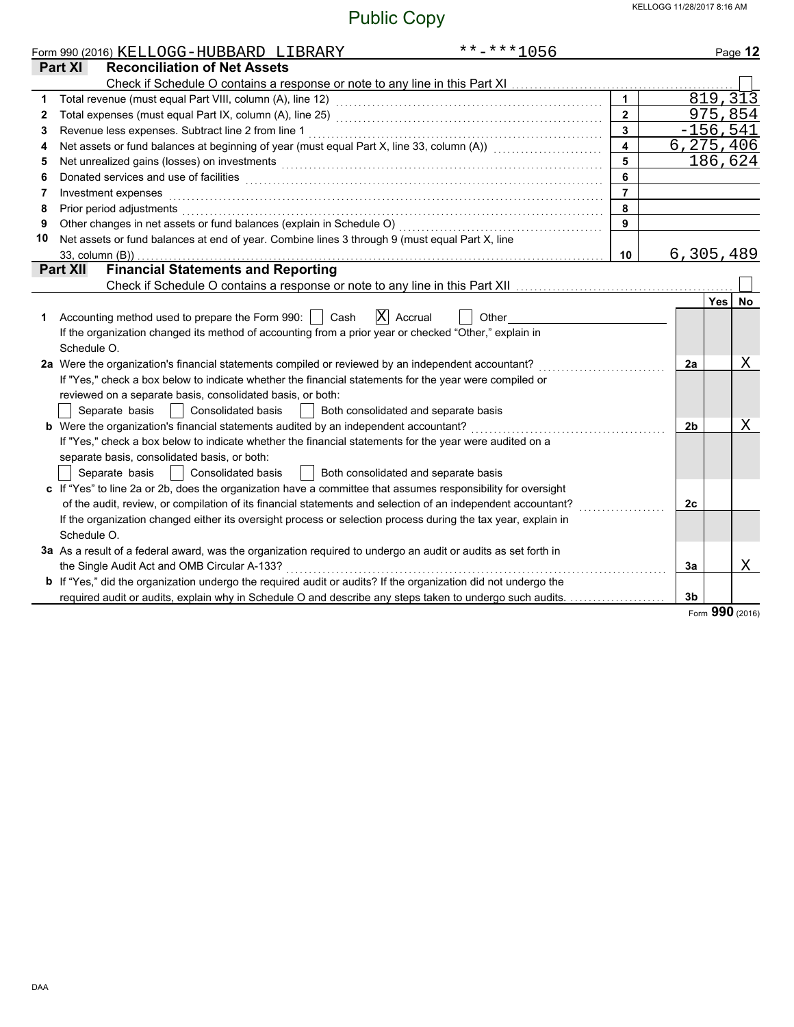|    | $******1056$<br>Form 990 (2016) KELLOGG-HUBBARD LIBRARY                                                                                                                                                                              |                         |                |            | Page 12     |
|----|--------------------------------------------------------------------------------------------------------------------------------------------------------------------------------------------------------------------------------------|-------------------------|----------------|------------|-------------|
|    | <b>Reconciliation of Net Assets</b><br>Part XI                                                                                                                                                                                       |                         |                |            |             |
|    |                                                                                                                                                                                                                                      |                         |                |            |             |
| 1  |                                                                                                                                                                                                                                      | $\mathbf{1}$            |                |            | 819, 313    |
| 2  |                                                                                                                                                                                                                                      | $\overline{2}$          |                |            | 975,854     |
| 3  | Revenue less expenses. Subtract line 2 from line 1                                                                                                                                                                                   | $\overline{\mathbf{3}}$ |                |            | $-156, 541$ |
| 4  | Net assets or fund balances at beginning of year (must equal Part X, line 33, column (A)) [[[[[[[[[[[[[[[[[[[                                                                                                                        | $\overline{\mathbf{4}}$ |                |            | 6,275,406   |
| 5  | Net unrealized gains (losses) on investments [11] with an intervention of the state of the state of the state of the state of the state of the state of the state of the state of the state of the state of the state of the s       | 5                       |                |            | 186,624     |
| 6  | Donated services and use of facilities <b>constructs</b> and the service of facilities <b>constructs</b> and use of facilities                                                                                                       | 6                       |                |            |             |
| 7  | Investment expenses <b>contract the contract of the contract of the contract of the contract of the contract of the contract of the contract of the contract of the contract of the contract of the contract of the contract of </b> | $\overline{7}$          |                |            |             |
| 8  |                                                                                                                                                                                                                                      | 8                       |                |            |             |
| 9  | Other changes in net assets or fund balances (explain in Schedule O) [[[[[[[[[[[[[[[[[[[[]]]]]]]]]                                                                                                                                   | 9                       |                |            |             |
| 10 | Net assets or fund balances at end of year. Combine lines 3 through 9 (must equal Part X, line                                                                                                                                       |                         |                |            |             |
|    | 33, column (B))                                                                                                                                                                                                                      | 10 <sup>1</sup>         |                |            | 6,305,489   |
|    | <b>Financial Statements and Reporting</b><br><b>Part XII</b>                                                                                                                                                                         |                         |                |            |             |
|    |                                                                                                                                                                                                                                      |                         |                |            |             |
|    |                                                                                                                                                                                                                                      |                         |                | <b>Yes</b> | No          |
| 1  | $ X $ Accrual<br>Accounting method used to prepare the Form 990:     Cash<br>Other                                                                                                                                                   |                         |                |            |             |
|    | If the organization changed its method of accounting from a prior year or checked "Other," explain in                                                                                                                                |                         |                |            |             |
|    | Schedule O.                                                                                                                                                                                                                          |                         |                |            |             |
|    | 2a Were the organization's financial statements compiled or reviewed by an independent accountant?                                                                                                                                   |                         | 2a             |            | X           |
|    | If "Yes," check a box below to indicate whether the financial statements for the year were compiled or                                                                                                                               |                         |                |            |             |
|    | reviewed on a separate basis, consolidated basis, or both:                                                                                                                                                                           |                         |                |            |             |
|    | Separate basis     Consolidated basis<br>Both consolidated and separate basis                                                                                                                                                        |                         |                |            |             |
|    | b Were the organization's financial statements audited by an independent accountant?                                                                                                                                                 |                         | 2 <sub>b</sub> |            | Χ           |
|    | If "Yes," check a box below to indicate whether the financial statements for the year were audited on a                                                                                                                              |                         |                |            |             |
|    | separate basis, consolidated basis, or both:                                                                                                                                                                                         |                         |                |            |             |
|    | Separate basis     Consolidated basis<br>    Both consolidated and separate basis                                                                                                                                                    |                         |                |            |             |
|    | c If "Yes" to line 2a or 2b, does the organization have a committee that assumes responsibility for oversight                                                                                                                        |                         |                |            |             |
|    | of the audit, review, or compilation of its financial statements and selection of an independent accountant?                                                                                                                         |                         | 2c             |            |             |
|    | If the organization changed either its oversight process or selection process during the tax year, explain in                                                                                                                        |                         |                |            |             |
|    | Schedule O.                                                                                                                                                                                                                          |                         |                |            |             |
|    | 3a As a result of a federal award, was the organization required to undergo an audit or audits as set forth in                                                                                                                       |                         |                |            |             |
|    | the Single Audit Act and OMB Circular A-133?                                                                                                                                                                                         |                         | 3a             |            | Χ           |
|    | <b>b</b> If "Yes," did the organization undergo the required audit or audits? If the organization did not undergo the                                                                                                                |                         |                |            |             |
|    | required audit or audits, explain why in Schedule O and describe any steps taken to undergo such audits.                                                                                                                             |                         | 3 <sub>b</sub> |            |             |

Form **990** (2016)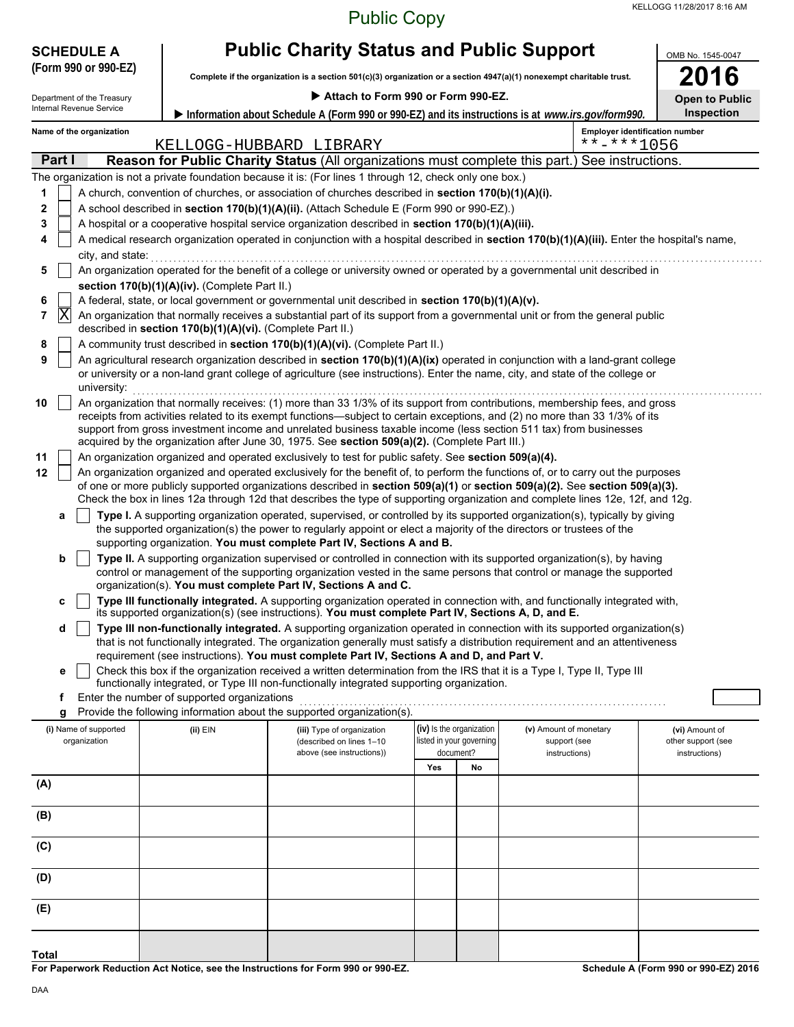| <b>Public Copy</b> |  |
|--------------------|--|
|--------------------|--|

| <b>SCHEDULE A</b>                                                                         | <b>Public Charity Status and Public Support</b>            | OMB No. 1545-0047                                                                                                                                                                                                                    |                          |                                                                                                                                                                                                                                                           |                                      |  |  |
|-------------------------------------------------------------------------------------------|------------------------------------------------------------|--------------------------------------------------------------------------------------------------------------------------------------------------------------------------------------------------------------------------------------|--------------------------|-----------------------------------------------------------------------------------------------------------------------------------------------------------------------------------------------------------------------------------------------------------|--------------------------------------|--|--|
| (Form 990 or 990-EZ)                                                                      |                                                            | Complete if the organization is a section 501(c)(3) organization or a section 4947(a)(1) nonexempt charitable trust.                                                                                                                 |                          |                                                                                                                                                                                                                                                           |                                      |  |  |
| Attach to Form 990 or Form 990-EZ.<br>Department of the Treasury<br><b>Open to Public</b> |                                                            |                                                                                                                                                                                                                                      |                          |                                                                                                                                                                                                                                                           |                                      |  |  |
| <b>Internal Revenue Service</b>                                                           |                                                            |                                                                                                                                                                                                                                      |                          | Information about Schedule A (Form 990 or 990-EZ) and its instructions is at www.irs.gov/form990.                                                                                                                                                         | Inspection                           |  |  |
| Name of the organization                                                                  |                                                            | KELLOGG-HUBBARD LIBRARY                                                                                                                                                                                                              |                          | <b>Employer identification number</b><br>$******1056$                                                                                                                                                                                                     |                                      |  |  |
| Part I                                                                                    |                                                            |                                                                                                                                                                                                                                      |                          | Reason for Public Charity Status (All organizations must complete this part.) See instructions.                                                                                                                                                           |                                      |  |  |
|                                                                                           |                                                            | The organization is not a private foundation because it is: (For lines 1 through 12, check only one box.)                                                                                                                            |                          |                                                                                                                                                                                                                                                           |                                      |  |  |
| 1                                                                                         |                                                            | A church, convention of churches, or association of churches described in section 170(b)(1)(A)(i).                                                                                                                                   |                          |                                                                                                                                                                                                                                                           |                                      |  |  |
| 2                                                                                         |                                                            | A school described in section 170(b)(1)(A)(ii). (Attach Schedule E (Form 990 or 990-EZ).)                                                                                                                                            |                          |                                                                                                                                                                                                                                                           |                                      |  |  |
| 3                                                                                         |                                                            | A hospital or a cooperative hospital service organization described in section 170(b)(1)(A)(iii).                                                                                                                                    |                          |                                                                                                                                                                                                                                                           |                                      |  |  |
| 4                                                                                         |                                                            |                                                                                                                                                                                                                                      |                          | A medical research organization operated in conjunction with a hospital described in section 170(b)(1)(A)(iii). Enter the hospital's name,                                                                                                                |                                      |  |  |
|                                                                                           |                                                            | city, and state: <b>contract the state of the state of the state of the state of the state of the state of the state of the state of the state of the state of the state of the state of the state of the state of the state of </b> |                          |                                                                                                                                                                                                                                                           |                                      |  |  |
| 5                                                                                         |                                                            |                                                                                                                                                                                                                                      |                          | An organization operated for the benefit of a college or university owned or operated by a governmental unit described in                                                                                                                                 |                                      |  |  |
|                                                                                           | section 170(b)(1)(A)(iv). (Complete Part II.)              | A federal, state, or local government or governmental unit described in section 170(b)(1)(A)(v).                                                                                                                                     |                          |                                                                                                                                                                                                                                                           |                                      |  |  |
| 6<br>$ {\rm X} $<br>$\overline{\mathbf{r}}$                                               |                                                            |                                                                                                                                                                                                                                      |                          | An organization that normally receives a substantial part of its support from a governmental unit or from the general public                                                                                                                              |                                      |  |  |
|                                                                                           | described in section 170(b)(1)(A)(vi). (Complete Part II.) |                                                                                                                                                                                                                                      |                          |                                                                                                                                                                                                                                                           |                                      |  |  |
| 8                                                                                         |                                                            | A community trust described in section 170(b)(1)(A)(vi). (Complete Part II.)                                                                                                                                                         |                          |                                                                                                                                                                                                                                                           |                                      |  |  |
| 9                                                                                         |                                                            |                                                                                                                                                                                                                                      |                          | An agricultural research organization described in section 170(b)(1)(A)(ix) operated in conjunction with a land-grant college                                                                                                                             |                                      |  |  |
| university:                                                                               |                                                            |                                                                                                                                                                                                                                      |                          | or university or a non-land grant college of agriculture (see instructions). Enter the name, city, and state of the college or                                                                                                                            |                                      |  |  |
| 10                                                                                        |                                                            |                                                                                                                                                                                                                                      |                          | An organization that normally receives: (1) more than 33 1/3% of its support from contributions, membership fees, and gross                                                                                                                               |                                      |  |  |
|                                                                                           |                                                            |                                                                                                                                                                                                                                      |                          | receipts from activities related to its exempt functions—subject to certain exceptions, and (2) no more than 33 1/3% of its                                                                                                                               |                                      |  |  |
|                                                                                           |                                                            | acquired by the organization after June 30, 1975. See section 509(a)(2). (Complete Part III.)                                                                                                                                        |                          | support from gross investment income and unrelated business taxable income (less section 511 tax) from businesses                                                                                                                                         |                                      |  |  |
| 11                                                                                        |                                                            | An organization organized and operated exclusively to test for public safety. See section 509(a)(4).                                                                                                                                 |                          |                                                                                                                                                                                                                                                           |                                      |  |  |
| 12                                                                                        |                                                            |                                                                                                                                                                                                                                      |                          | An organization organized and operated exclusively for the benefit of, to perform the functions of, or to carry out the purposes                                                                                                                          |                                      |  |  |
|                                                                                           |                                                            |                                                                                                                                                                                                                                      |                          | of one or more publicly supported organizations described in section 509(a)(1) or section 509(a)(2). See section 509(a)(3).                                                                                                                               |                                      |  |  |
|                                                                                           |                                                            |                                                                                                                                                                                                                                      |                          | Check the box in lines 12a through 12d that describes the type of supporting organization and complete lines 12e, 12f, and 12g.                                                                                                                           |                                      |  |  |
| a                                                                                         |                                                            |                                                                                                                                                                                                                                      |                          | Type I. A supporting organization operated, supervised, or controlled by its supported organization(s), typically by giving                                                                                                                               |                                      |  |  |
|                                                                                           |                                                            | the supported organization(s) the power to regularly appoint or elect a majority of the directors or trustees of the<br>supporting organization. You must complete Part IV, Sections A and B.                                        |                          |                                                                                                                                                                                                                                                           |                                      |  |  |
| b                                                                                         |                                                            |                                                                                                                                                                                                                                      |                          | Type II. A supporting organization supervised or controlled in connection with its supported organization(s), by having                                                                                                                                   |                                      |  |  |
|                                                                                           |                                                            |                                                                                                                                                                                                                                      |                          | control or management of the supporting organization vested in the same persons that control or manage the supported                                                                                                                                      |                                      |  |  |
|                                                                                           |                                                            | organization(s). You must complete Part IV, Sections A and C.                                                                                                                                                                        |                          |                                                                                                                                                                                                                                                           |                                      |  |  |
| c                                                                                         |                                                            |                                                                                                                                                                                                                                      |                          | Type III functionally integrated. A supporting organization operated in connection with, and functionally integrated with,                                                                                                                                |                                      |  |  |
|                                                                                           |                                                            | its supported organization(s) (see instructions). You must complete Part IV, Sections A, D, and E.                                                                                                                                   |                          |                                                                                                                                                                                                                                                           |                                      |  |  |
| d                                                                                         |                                                            |                                                                                                                                                                                                                                      |                          | Type III non-functionally integrated. A supporting organization operated in connection with its supported organization(s)<br>that is not functionally integrated. The organization generally must satisfy a distribution requirement and an attentiveness |                                      |  |  |
|                                                                                           |                                                            | requirement (see instructions). You must complete Part IV, Sections A and D, and Part V.                                                                                                                                             |                          |                                                                                                                                                                                                                                                           |                                      |  |  |
| е                                                                                         |                                                            |                                                                                                                                                                                                                                      |                          | Check this box if the organization received a written determination from the IRS that it is a Type I, Type II, Type III                                                                                                                                   |                                      |  |  |
|                                                                                           |                                                            | functionally integrated, or Type III non-functionally integrated supporting organization.                                                                                                                                            |                          |                                                                                                                                                                                                                                                           |                                      |  |  |
| f                                                                                         | Enter the number of supported organizations                | Provide the following information about the supported organization(s).                                                                                                                                                               |                          |                                                                                                                                                                                                                                                           |                                      |  |  |
| (i) Name of supported                                                                     |                                                            |                                                                                                                                                                                                                                      | (iv) Is the organization | (v) Amount of monetary                                                                                                                                                                                                                                    |                                      |  |  |
| organization                                                                              | (ii) EIN                                                   | (iii) Type of organization<br>(described on lines 1-10                                                                                                                                                                               | listed in your governing | support (see                                                                                                                                                                                                                                              | (vi) Amount of<br>other support (see |  |  |
|                                                                                           |                                                            | above (see instructions))                                                                                                                                                                                                            | document?                | instructions)                                                                                                                                                                                                                                             | instructions)                        |  |  |
|                                                                                           |                                                            |                                                                                                                                                                                                                                      | Yes<br>No                |                                                                                                                                                                                                                                                           |                                      |  |  |
| (A)                                                                                       |                                                            |                                                                                                                                                                                                                                      |                          |                                                                                                                                                                                                                                                           |                                      |  |  |
| (B)                                                                                       |                                                            |                                                                                                                                                                                                                                      |                          |                                                                                                                                                                                                                                                           |                                      |  |  |
|                                                                                           |                                                            |                                                                                                                                                                                                                                      |                          |                                                                                                                                                                                                                                                           |                                      |  |  |
| (C)                                                                                       |                                                            |                                                                                                                                                                                                                                      |                          |                                                                                                                                                                                                                                                           |                                      |  |  |
|                                                                                           |                                                            |                                                                                                                                                                                                                                      |                          |                                                                                                                                                                                                                                                           |                                      |  |  |
| (D)                                                                                       |                                                            |                                                                                                                                                                                                                                      |                          |                                                                                                                                                                                                                                                           |                                      |  |  |
|                                                                                           |                                                            |                                                                                                                                                                                                                                      |                          |                                                                                                                                                                                                                                                           |                                      |  |  |
| (E)                                                                                       |                                                            |                                                                                                                                                                                                                                      |                          |                                                                                                                                                                                                                                                           |                                      |  |  |
|                                                                                           |                                                            |                                                                                                                                                                                                                                      |                          |                                                                                                                                                                                                                                                           |                                      |  |  |
| Total                                                                                     |                                                            |                                                                                                                                                                                                                                      |                          |                                                                                                                                                                                                                                                           |                                      |  |  |

**For Paperwork Reduction Act Notice, see the Instructions for Form 990 or 990-EZ.**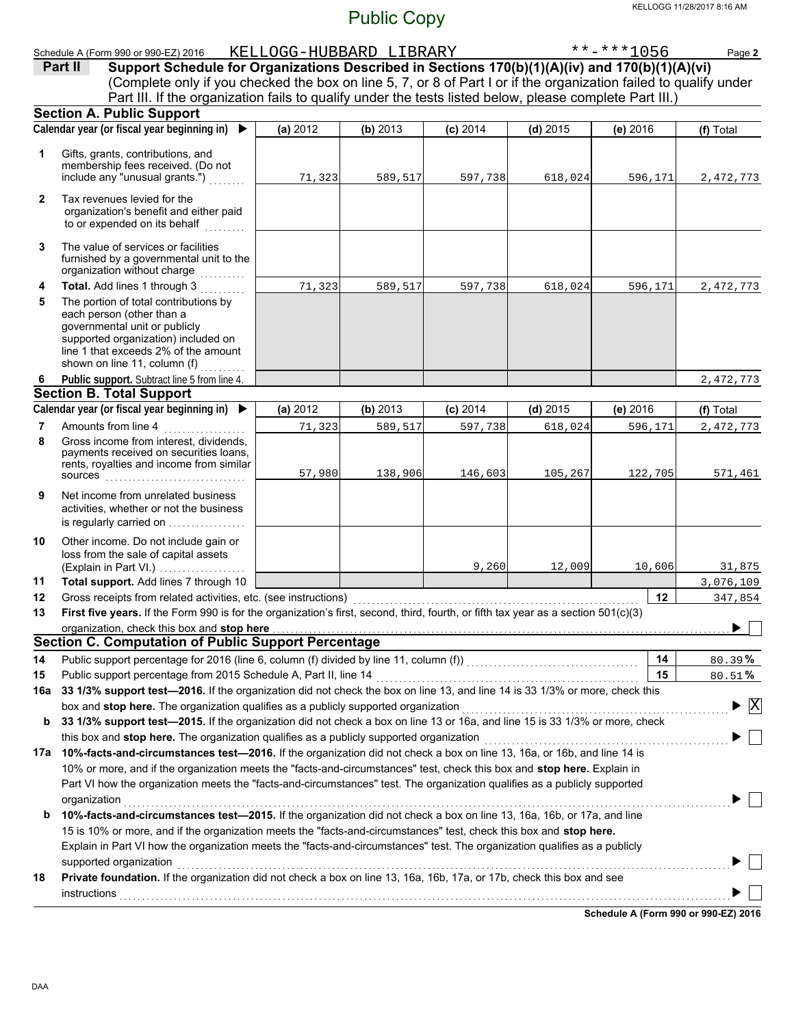#### Schedule A (Form 990 or 990-EZ) 2016 KELLOGG-HUBBARD LIBRARY \*\*-\*\*\*1056 Page **2**

(Complete only if you checked the box on line 5, 7, or 8 of Part I or if the organization failed to qualify under **Part II** Support Schedule for Organizations Described in Sections 170(b)(1)(A)(iv) and 170(b)(1)(A)(vi) Part III. If the organization fails to qualify under the tests listed below, please complete Part III.)

|              | <b>Section A. Public Support</b>                                                                                                                                                                                                                  |          |          |            |            |            |                                          |
|--------------|---------------------------------------------------------------------------------------------------------------------------------------------------------------------------------------------------------------------------------------------------|----------|----------|------------|------------|------------|------------------------------------------|
|              | Calendar year (or fiscal year beginning in)                                                                                                                                                                                                       | (a) 2012 | (b) 2013 | $(c)$ 2014 | $(d)$ 2015 | $(e)$ 2016 | (f) Total                                |
| 1            | Gifts, grants, contributions, and<br>membership fees received. (Do not<br>include any "unusual grants.")                                                                                                                                          | 71,323   | 589,517  | 597,738    | 618,024    | 596,171    | 2, 472, 773                              |
| $\mathbf{2}$ | Tax revenues levied for the<br>organization's benefit and either paid<br>to or expended on its behalf<br>.                                                                                                                                        |          |          |            |            |            |                                          |
| 3            | The value of services or facilities<br>furnished by a governmental unit to the<br>organization without charge<br>a sa sala sa s                                                                                                                   |          |          |            |            |            |                                          |
| 4            | Total. Add lines 1 through 3<br>a sa sala sa I                                                                                                                                                                                                    | 71,323   | 589,517  | 597,738    | 618,024    | 596,171    | 2,472,773                                |
| 5            | The portion of total contributions by<br>each person (other than a<br>governmental unit or publicly<br>supported organization) included on<br>line 1 that exceeds 2% of the amount<br>shown on line 11, column (f)                                |          |          |            |            |            |                                          |
| 6            | Public support. Subtract line 5 from line 4.                                                                                                                                                                                                      |          |          |            |            |            | 2,472,773                                |
|              | <b>Section B. Total Support</b>                                                                                                                                                                                                                   |          |          |            |            |            |                                          |
|              | Calendar year (or fiscal year beginning in) ▶                                                                                                                                                                                                     | (a) 2012 | (b) 2013 | $(c)$ 2014 | $(d)$ 2015 | (e) 2016   | (f) Total                                |
| 7            | Amounts from line 4                                                                                                                                                                                                                               | 71,323   | 589,517  | 597,738    | 618,024    | 596,171    | 2, 472, 773                              |
| 8            | Gross income from interest, dividends,<br>payments received on securities loans,<br>rents, royalties and income from similar<br><b>SOUICES</b>                                                                                                    | 57,980   | 138,906  | 146,603    | 105,267    | 122,705    | 571,461                                  |
| 9            | Net income from unrelated business<br>activities, whether or not the business<br>is regularly carried on                                                                                                                                          |          |          |            |            |            |                                          |
| 10           | Other income. Do not include gain or<br>loss from the sale of capital assets<br>(Explain in Part VI.)                                                                                                                                             |          |          | 9,260      | 12,009     | 10,606     | 31,875                                   |
| 11           | Total support. Add lines 7 through 10                                                                                                                                                                                                             |          |          |            |            |            | 3,076,109                                |
| 12           | Gross receipts from related activities, etc. (see instructions)                                                                                                                                                                                   |          |          |            |            | 12         | 347,854                                  |
| 13           | First five years. If the Form 990 is for the organization's first, second, third, fourth, or fifth tax year as a section 501(c)(3)                                                                                                                |          |          |            |            |            |                                          |
|              | organization, check this box and stop here                                                                                                                                                                                                        |          |          |            |            |            |                                          |
|              | <b>Section C. Computation of Public Support Percentage</b>                                                                                                                                                                                        |          |          |            |            |            |                                          |
| 14           | Public support percentage for 2016 (line 6, column (f) divided by line 11, column (f)) [[[[[[[[[[[[[[[[[[[[[[                                                                                                                                     |          |          |            |            | 14         | 80.39%                                   |
| 15           |                                                                                                                                                                                                                                                   |          |          |            |            | 15         | 80.51%                                   |
|              | 16a 33 1/3% support test-2016. If the organization did not check the box on line 13, and line 14 is 33 1/3% or more, check this                                                                                                                   |          |          |            |            |            |                                          |
|              | box and stop here. The organization qualifies as a publicly supported organization                                                                                                                                                                |          |          |            |            |            | $\blacktriangleright$ $\boxed{\text{X}}$ |
| b            | 33 1/3% support test-2015. If the organization did not check a box on line 13 or 16a, and line 15 is 33 1/3% or more, check                                                                                                                       |          |          |            |            |            |                                          |
|              | this box and stop here. The organization qualifies as a publicly supported organization                                                                                                                                                           |          |          |            |            |            |                                          |
| 17a          | 10%-facts-and-circumstances test-2016. If the organization did not check a box on line 13, 16a, or 16b, and line 14 is<br>10% or more, and if the organization meets the "facts-and-circumstances" test, check this box and stop here. Explain in |          |          |            |            |            |                                          |
|              | Part VI how the organization meets the "facts-and-circumstances" test. The organization qualifies as a publicly supported                                                                                                                         |          |          |            |            |            |                                          |
|              |                                                                                                                                                                                                                                                   |          |          |            |            |            |                                          |
| b            | organization<br>10%-facts-and-circumstances test-2015. If the organization did not check a box on line 13, 16a, 16b, or 17a, and line                                                                                                             |          |          |            |            |            |                                          |
|              | 15 is 10% or more, and if the organization meets the "facts-and-circumstances" test, check this box and stop here.<br>Explain in Part VI how the organization meets the "facts-and-circumstances" test. The organization qualifies as a publicly  |          |          |            |            |            |                                          |
|              | supported organization                                                                                                                                                                                                                            |          |          |            |            |            |                                          |
| 18           | Private foundation. If the organization did not check a box on line 13, 16a, 16b, 17a, or 17b, check this box and see                                                                                                                             |          |          |            |            |            |                                          |
|              |                                                                                                                                                                                                                                                   |          |          |            |            |            |                                          |
|              |                                                                                                                                                                                                                                                   |          |          |            |            |            |                                          |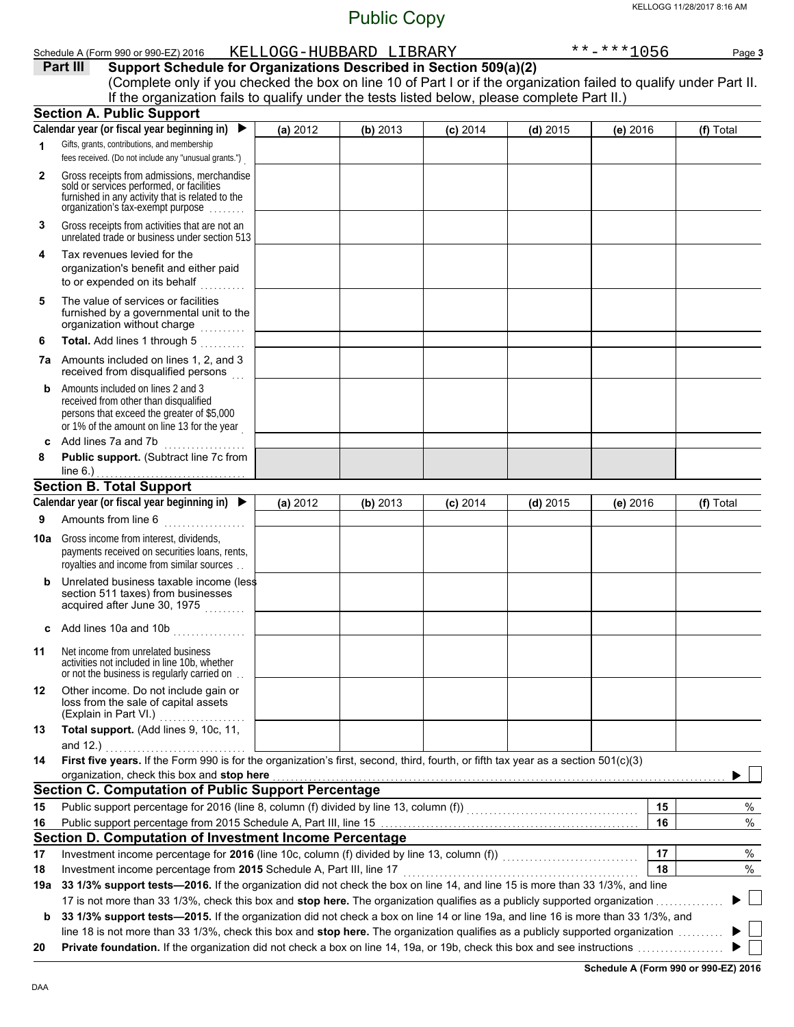|              | Schedule A (Form 990 or 990-EZ) 2016                                                                                                                                             |          | KELLOGG-HUBBARD LIBRARY |            |            | $******1056$ | Page 3    |
|--------------|----------------------------------------------------------------------------------------------------------------------------------------------------------------------------------|----------|-------------------------|------------|------------|--------------|-----------|
|              | Part III<br>Support Schedule for Organizations Described in Section 509(a)(2)                                                                                                    |          |                         |            |            |              |           |
|              | (Complete only if you checked the box on line 10 of Part I or if the organization failed to qualify under Part II.                                                               |          |                         |            |            |              |           |
|              | If the organization fails to qualify under the tests listed below, please complete Part II.)                                                                                     |          |                         |            |            |              |           |
|              | <b>Section A. Public Support</b>                                                                                                                                                 |          |                         |            |            |              |           |
|              | Calendar year (or fiscal year beginning in)<br>$\blacktriangleright$                                                                                                             | (a) 2012 | (b) 2013                | $(c)$ 2014 | $(d)$ 2015 | $(e)$ 2016   | (f) Total |
| 1            | Gifts, grants, contributions, and membership<br>fees received. (Do not include any "unusual grants.")                                                                            |          |                         |            |            |              |           |
| $\mathbf{2}$ | Gross receipts from admissions, merchandise<br>sold or services performed, or facilities                                                                                         |          |                         |            |            |              |           |
|              | furnished in any activity that is related to the<br>organization's tax-exempt purpose                                                                                            |          |                         |            |            |              |           |
| 3            | Gross receipts from activities that are not an<br>unrelated trade or business under section 513                                                                                  |          |                         |            |            |              |           |
| 4            | Tax revenues levied for the<br>organization's benefit and either paid<br>to or expended on its behalf                                                                            |          |                         |            |            |              |           |
| 5            | The value of services or facilities<br>furnished by a governmental unit to the<br>organization without charge                                                                    |          |                         |            |            |              |           |
| 6            | Total. Add lines 1 through 5                                                                                                                                                     |          |                         |            |            |              |           |
|              | 7a Amounts included on lines 1, 2, and 3<br>received from disqualified persons                                                                                                   |          |                         |            |            |              |           |
| b            | Amounts included on lines 2 and 3<br>received from other than disqualified<br>persons that exceed the greater of \$5,000<br>or 1% of the amount on line 13 for the year          |          |                         |            |            |              |           |
| c            | Add lines 7a and 7b<br>. <b>.</b> .                                                                                                                                              |          |                         |            |            |              |           |
| 8            | Public support. (Subtract line 7c from                                                                                                                                           |          |                         |            |            |              |           |
|              | line $6.$ )                                                                                                                                                                      |          |                         |            |            |              |           |
|              | <b>Section B. Total Support</b>                                                                                                                                                  |          |                         |            |            |              |           |
|              | Calendar year (or fiscal year beginning in) $\blacktriangleright$                                                                                                                | (a) 2012 | (b) 2013                | $(c)$ 2014 | $(d)$ 2015 | (e) 2016     | (f) Total |
| 9            | Amounts from line 6<br><u>.</u><br>1980 - Paul Barbara, president                                                                                                                |          |                         |            |            |              |           |
| 10a          | Gross income from interest, dividends,<br>payments received on securities loans, rents,<br>royalties and income from similar sources                                             |          |                         |            |            |              |           |
| b            | Unrelated business taxable income (less<br>section 511 taxes) from businesses<br>acquired after June 30, 1975                                                                    |          |                         |            |            |              |           |
|              | c Add lines 10a and 10b $\ldots$                                                                                                                                                 |          |                         |            |            |              |           |
| 11           | Net income from unrelated business<br>activities not included in line 10b, whether<br>or not the business is regularly carried on.                                               |          |                         |            |            |              |           |
| 12           | Other income. Do not include gain or<br>loss from the sale of capital assets<br>(Explain in Part VI.)                                                                            |          |                         |            |            |              |           |
| 13           | Total support. (Add lines 9, 10c, 11,<br>and 12.)                                                                                                                                |          |                         |            |            |              |           |
| 14           | First five years. If the Form 990 is for the organization's first, second, third, fourth, or fifth tax year as a section 501(c)(3)<br>organization, check this box and stop here |          |                         |            |            |              |           |
|              | <b>Section C. Computation of Public Support Percentage</b>                                                                                                                       |          |                         |            |            |              |           |
| 15           |                                                                                                                                                                                  |          |                         |            |            | 15           | $\%$      |
| 16           |                                                                                                                                                                                  |          |                         |            |            | 16           | $\%$      |
|              | Section D. Computation of Investment Income Percentage                                                                                                                           |          |                         |            |            |              |           |
| 17           | Investment income percentage for 2016 (line 10c, column (f) divided by line 13, column (f)) [[[[[[[[[[[[[[[[[                                                                    |          |                         |            |            | 17           | %         |
| 18           | Investment income percentage from 2015 Schedule A, Part III, line 17                                                                                                             |          |                         |            |            | 18           | %         |
|              | 19a 33 1/3% support tests-2016. If the organization did not check the box on line 14, and line 15 is more than 33 1/3%, and line                                                 |          |                         |            |            |              |           |
|              | 17 is not more than 33 1/3%, check this box and stop here. The organization qualifies as a publicly supported organization                                                       |          |                         |            |            |              |           |
| b            | 33 1/3% support tests-2015. If the organization did not check a box on line 14 or line 19a, and line 16 is more than 33 1/3%, and                                                |          |                         |            |            |              |           |
|              | line 18 is not more than 33 1/3%, check this box and stop here. The organization qualifies as a publicly supported organization                                                  |          |                         |            |            |              |           |

**20 Private foundation.** If the organization did not check a box on line 14, 19a, or 19b, check this box and see instructions . . . . . . . . . . . . . . . . . . .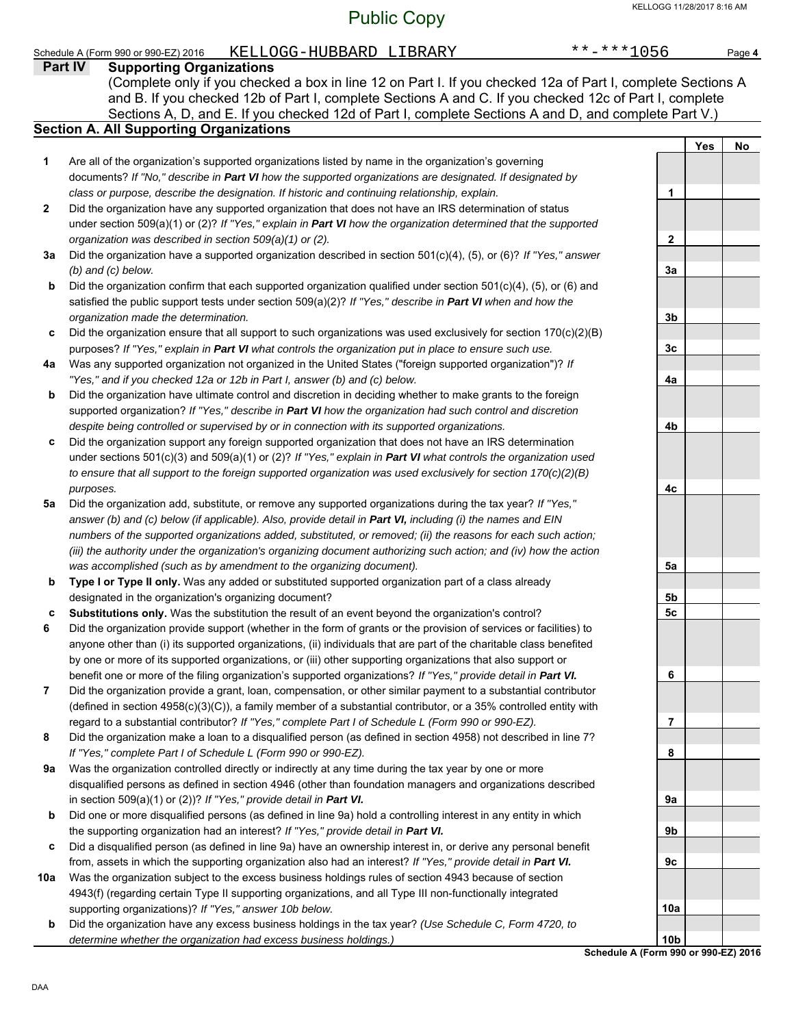# Public Copy

|     | KELLOGG-HUBBARD LIBRARY<br>Schedule A (Form 990 or 990-EZ) 2016                                                                                                                                                            | $******1056$                                            |            | Page 4 |
|-----|----------------------------------------------------------------------------------------------------------------------------------------------------------------------------------------------------------------------------|---------------------------------------------------------|------------|--------|
|     | Part IV<br><b>Supporting Organizations</b>                                                                                                                                                                                 |                                                         |            |        |
|     | (Complete only if you checked a box in line 12 on Part I. If you checked 12a of Part I, complete Sections A                                                                                                                |                                                         |            |        |
|     | and B. If you checked 12b of Part I, complete Sections A and C. If you checked 12c of Part I, complete                                                                                                                     |                                                         |            |        |
|     | Sections A, D, and E. If you checked 12d of Part I, complete Sections A and D, and complete Part V.)                                                                                                                       |                                                         |            |        |
|     | <b>Section A. All Supporting Organizations</b>                                                                                                                                                                             |                                                         |            | No     |
| 1   | Are all of the organization's supported organizations listed by name in the organization's governing                                                                                                                       |                                                         | <b>Yes</b> |        |
|     | documents? If "No," describe in Part VI how the supported organizations are designated. If designated by                                                                                                                   |                                                         |            |        |
|     | class or purpose, describe the designation. If historic and continuing relationship, explain.                                                                                                                              | 1                                                       |            |        |
| 2   | Did the organization have any supported organization that does not have an IRS determination of status                                                                                                                     |                                                         |            |        |
|     | under section 509(a)(1) or (2)? If "Yes," explain in Part VI how the organization determined that the supported                                                                                                            |                                                         |            |        |
|     | organization was described in section 509(a)(1) or (2).                                                                                                                                                                    | 2                                                       |            |        |
| За  | Did the organization have a supported organization described in section 501(c)(4), (5), or (6)? If "Yes," answer                                                                                                           |                                                         |            |        |
|     | $(b)$ and $(c)$ below.                                                                                                                                                                                                     | 3a                                                      |            |        |
| b   | Did the organization confirm that each supported organization qualified under section 501(c)(4), (5), or (6) and                                                                                                           |                                                         |            |        |
|     | satisfied the public support tests under section $509(a)(2)$ ? If "Yes," describe in Part VI when and how the                                                                                                              |                                                         |            |        |
|     | organization made the determination.                                                                                                                                                                                       | 3b                                                      |            |        |
| c   | Did the organization ensure that all support to such organizations was used exclusively for section $170(c)(2)(B)$                                                                                                         |                                                         |            |        |
|     | purposes? If "Yes," explain in Part VI what controls the organization put in place to ensure such use.                                                                                                                     | 3c                                                      |            |        |
| 4a  | Was any supported organization not organized in the United States ("foreign supported organization")? If                                                                                                                   |                                                         |            |        |
|     | "Yes," and if you checked 12a or 12b in Part I, answer (b) and (c) below.                                                                                                                                                  | 4a                                                      |            |        |
| b   | Did the organization have ultimate control and discretion in deciding whether to make grants to the foreign                                                                                                                |                                                         |            |        |
|     | supported organization? If "Yes," describe in Part VI how the organization had such control and discretion                                                                                                                 |                                                         |            |        |
|     | despite being controlled or supervised by or in connection with its supported organizations.                                                                                                                               | 4b                                                      |            |        |
| c   | Did the organization support any foreign supported organization that does not have an IRS determination<br>under sections 501(c)(3) and 509(a)(1) or (2)? If "Yes," explain in Part VI what controls the organization used |                                                         |            |        |
|     | to ensure that all support to the foreign supported organization was used exclusively for section $170(c)(2)(B)$                                                                                                           |                                                         |            |        |
|     | purposes.                                                                                                                                                                                                                  | 4c                                                      |            |        |
| 5а  | Did the organization add, substitute, or remove any supported organizations during the tax year? If "Yes,"                                                                                                                 |                                                         |            |        |
|     | answer (b) and (c) below (if applicable). Also, provide detail in Part VI, including (i) the names and EIN                                                                                                                 |                                                         |            |        |
|     | numbers of the supported organizations added, substituted, or removed; (ii) the reasons for each such action;                                                                                                              |                                                         |            |        |
|     | (iii) the authority under the organization's organizing document authorizing such action; and (iv) how the action                                                                                                          |                                                         |            |        |
|     | was accomplished (such as by amendment to the organizing document).                                                                                                                                                        | 5a                                                      |            |        |
| b   | Type I or Type II only. Was any added or substituted supported organization part of a class already                                                                                                                        |                                                         |            |        |
|     | designated in the organization's organizing document?                                                                                                                                                                      | 5b                                                      |            |        |
| c   | Substitutions only. Was the substitution the result of an event beyond the organization's control?                                                                                                                         | 5 <sub>c</sub>                                          |            |        |
| 6   | Did the organization provide support (whether in the form of grants or the provision of services or facilities) to                                                                                                         |                                                         |            |        |
|     | anyone other than (i) its supported organizations, (ii) individuals that are part of the charitable class benefited                                                                                                        |                                                         |            |        |
|     | by one or more of its supported organizations, or (iii) other supporting organizations that also support or                                                                                                                |                                                         |            |        |
|     | benefit one or more of the filing organization's supported organizations? If "Yes," provide detail in Part VI.                                                                                                             | 6                                                       |            |        |
| 7   | Did the organization provide a grant, loan, compensation, or other similar payment to a substantial contributor                                                                                                            |                                                         |            |        |
|     | (defined in section 4958(c)(3)(C)), a family member of a substantial contributor, or a 35% controlled entity with                                                                                                          |                                                         |            |        |
| 8   | regard to a substantial contributor? If "Yes," complete Part I of Schedule L (Form 990 or 990-EZ).<br>Did the organization make a loan to a disqualified person (as defined in section 4958) not described in line 7?      | 7                                                       |            |        |
|     | If "Yes," complete Part I of Schedule L (Form 990 or 990-EZ).                                                                                                                                                              | 8                                                       |            |        |
| 9a  | Was the organization controlled directly or indirectly at any time during the tax year by one or more                                                                                                                      |                                                         |            |        |
|     | disqualified persons as defined in section 4946 (other than foundation managers and organizations described                                                                                                                |                                                         |            |        |
|     | in section 509(a)(1) or (2))? If "Yes," provide detail in Part VI.                                                                                                                                                         | 9a                                                      |            |        |
| b   | Did one or more disqualified persons (as defined in line 9a) hold a controlling interest in any entity in which                                                                                                            |                                                         |            |        |
|     | the supporting organization had an interest? If "Yes," provide detail in Part VI.                                                                                                                                          | 9b                                                      |            |        |
| c   | Did a disqualified person (as defined in line 9a) have an ownership interest in, or derive any personal benefit                                                                                                            |                                                         |            |        |
|     | from, assets in which the supporting organization also had an interest? If "Yes," provide detail in Part VI.                                                                                                               | 9c                                                      |            |        |
| 10a | Was the organization subject to the excess business holdings rules of section 4943 because of section                                                                                                                      |                                                         |            |        |
|     | 4943(f) (regarding certain Type II supporting organizations, and all Type III non-functionally integrated                                                                                                                  |                                                         |            |        |
|     | supporting organizations)? If "Yes," answer 10b below.                                                                                                                                                                     | 10a                                                     |            |        |
| b   | Did the organization have any excess business holdings in the tax year? (Use Schedule C, Form 4720, to                                                                                                                     |                                                         |            |        |
|     | determine whether the organization had excess business holdings.)                                                                                                                                                          | 10 <sub>b</sub><br>Schedule A (Form 990 or 990-EZ) 2010 |            |        |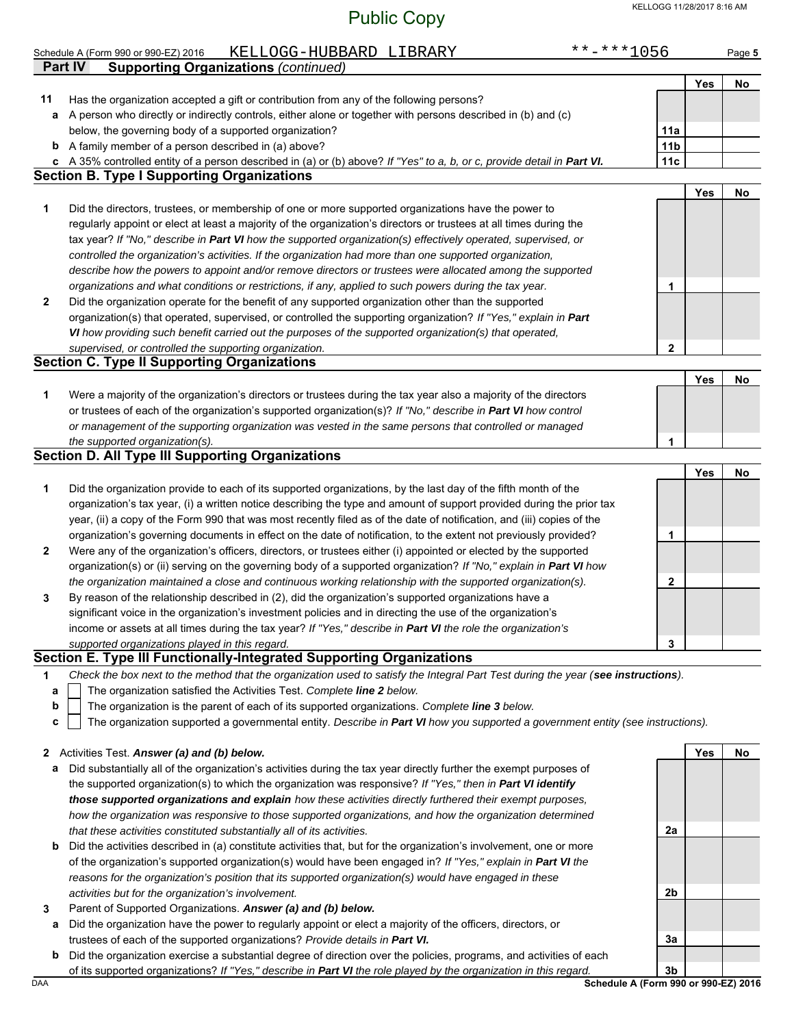|              | KELLOGG-HUBBARD LIBRARY<br>Schedule A (Form 990 or 990-EZ) 2016                                                                                                              | **-***1056      |            | Page 5 |
|--------------|------------------------------------------------------------------------------------------------------------------------------------------------------------------------------|-----------------|------------|--------|
|              | <b>Supporting Organizations (continued)</b><br>Part IV                                                                                                                       |                 |            |        |
|              |                                                                                                                                                                              |                 | Yes        | No     |
| 11           | Has the organization accepted a gift or contribution from any of the following persons?                                                                                      |                 |            |        |
|              | a A person who directly or indirectly controls, either alone or together with persons described in (b) and (c)                                                               |                 |            |        |
|              | below, the governing body of a supported organization?                                                                                                                       | 11a             |            |        |
| b            | A family member of a person described in (a) above?                                                                                                                          | 11 <sub>b</sub> |            |        |
|              | c A 35% controlled entity of a person described in (a) or (b) above? If "Yes" to a, b, or c, provide detail in Part VI.<br><b>Section B. Type I Supporting Organizations</b> | 11c             |            |        |
|              |                                                                                                                                                                              |                 | <b>Yes</b> |        |
| 1            | Did the directors, trustees, or membership of one or more supported organizations have the power to                                                                          |                 |            | No     |
|              | regularly appoint or elect at least a majority of the organization's directors or trustees at all times during the                                                           |                 |            |        |
|              | tax year? If "No," describe in Part VI how the supported organization(s) effectively operated, supervised, or                                                                |                 |            |        |
|              | controlled the organization's activities. If the organization had more than one supported organization,                                                                      |                 |            |        |
|              | describe how the powers to appoint and/or remove directors or trustees were allocated among the supported                                                                    |                 |            |        |
|              | organizations and what conditions or restrictions, if any, applied to such powers during the tax year.                                                                       | 1               |            |        |
| $\mathbf{2}$ | Did the organization operate for the benefit of any supported organization other than the supported                                                                          |                 |            |        |
|              | organization(s) that operated, supervised, or controlled the supporting organization? If "Yes," explain in Part                                                              |                 |            |        |
|              | VI how providing such benefit carried out the purposes of the supported organization(s) that operated,                                                                       |                 |            |        |
|              | supervised, or controlled the supporting organization.                                                                                                                       | 2               |            |        |
|              | <b>Section C. Type II Supporting Organizations</b>                                                                                                                           |                 |            |        |
|              |                                                                                                                                                                              |                 | Yes        | No     |
| 1            | Were a majority of the organization's directors or trustees during the tax year also a majority of the directors                                                             |                 |            |        |
|              | or trustees of each of the organization's supported organization(s)? If "No," describe in Part VI how control                                                                |                 |            |        |
|              | or management of the supporting organization was vested in the same persons that controlled or managed                                                                       |                 |            |        |
|              | the supported organization(s).                                                                                                                                               | 1               |            |        |
|              | <b>Section D. All Type III Supporting Organizations</b>                                                                                                                      |                 |            |        |
|              |                                                                                                                                                                              |                 | Yes        | No     |
| 1            | Did the organization provide to each of its supported organizations, by the last day of the fifth month of the                                                               |                 |            |        |
|              | organization's tax year, (i) a written notice describing the type and amount of support provided during the prior tax                                                        |                 |            |        |
|              | year, (ii) a copy of the Form 990 that was most recently filed as of the date of notification, and (iii) copies of the                                                       |                 |            |        |
|              | organization's governing documents in effect on the date of notification, to the extent not previously provided?                                                             | 1               |            |        |
| $\mathbf{2}$ | Were any of the organization's officers, directors, or trustees either (i) appointed or elected by the supported                                                             |                 |            |        |
|              | organization(s) or (ii) serving on the governing body of a supported organization? If "No," explain in Part VI how                                                           |                 |            |        |
|              | the organization maintained a close and continuous working relationship with the supported organization(s).                                                                  | 2               |            |        |
| 3            | By reason of the relationship described in (2), did the organization's supported organizations have a                                                                        |                 |            |        |
|              | significant voice in the organization's investment policies and in directing the use of the organization's                                                                   |                 |            |        |
|              | income or assets at all times during the tax year? If "Yes," describe in Part VI the role the organization's                                                                 |                 |            |        |
|              | supported organizations played in this regard.                                                                                                                               | 3               |            |        |
|              | Section E. Type III Functionally-Integrated Supporting Organizations                                                                                                         |                 |            |        |
| 1            | Check the box next to the method that the organization used to satisfy the Integral Part Test during the year (see instructions).                                            |                 |            |        |
| а            | The organization satisfied the Activities Test. Complete line 2 below.                                                                                                       |                 |            |        |
| $\mathbf b$  | The organization is the parent of each of its supported organizations. Complete line 3 below.                                                                                |                 |            |        |
| c            | The organization supported a governmental entity. Describe in Part VI how you supported a government entity (see instructions).                                              |                 |            |        |
|              |                                                                                                                                                                              |                 |            |        |
|              | 2 Activities Test. Answer (a) and (b) below.                                                                                                                                 |                 | Yes        | No     |
| а            | Did substantially all of the organization's activities during the tax year directly further the exempt purposes of                                                           |                 |            |        |
|              | the supported organization(s) to which the organization was responsive? If "Ves " then in <b>Part VI identify</b>                                                            |                 |            |        |

- the supported organization(s) to which the organization was responsive? *If "Yes," then in Part VI identify those supported organizations and explain how these activities directly furthered their exempt purposes, how the organization was responsive to those supported organizations, and how the organization determined that these activities constituted substantially all of its activities.*
- **b** Did the activities described in (a) constitute activities that, but for the organization's involvement, one or more of the organization's supported organization(s) would have been engaged in? *If "Yes," explain in Part VI the reasons for the organization's position that its supported organization(s) would have engaged in these activities but for the organization's involvement.*
- **3** Parent of Supported Organizations. *Answer (a) and (b) below.*
- **a** Did the organization have the power to regularly appoint or elect a majority of the officers, directors, or trustees of each of the supported organizations? *Provide details in Part VI.*
- **b** Did the organization exercise a substantial degree of direction over the policies, programs, and activities of each of its supported organizations? *If "Yes," describe in Part VI the role played by the organization in this regard.*

DAA **Schedule A (Form 990 or 990-EZ) 2016 3b**

**2a**

**2b**

**3a**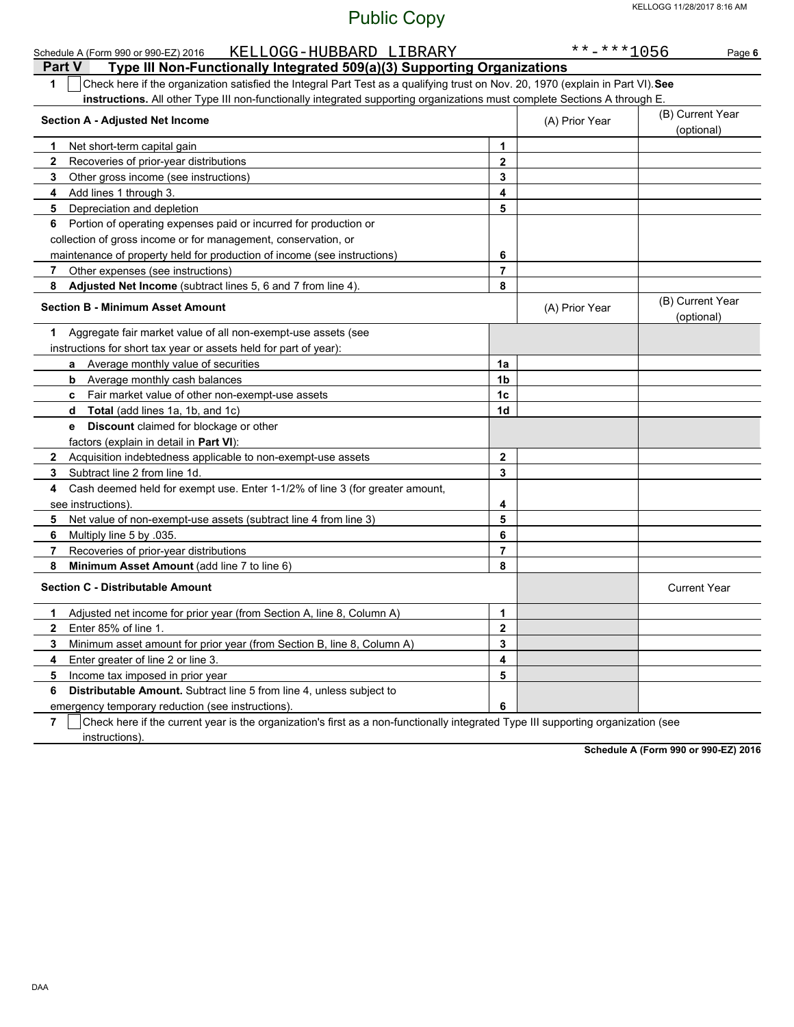| KELLOGG-HUBBARD LIBRARY<br>Schedule A (Form 990 or 990-EZ) 2016                                                                                     |                | $******1056$                   | Page 6                         |
|-----------------------------------------------------------------------------------------------------------------------------------------------------|----------------|--------------------------------|--------------------------------|
| Type III Non-Functionally Integrated 509(a)(3) Supporting Organizations<br><b>Part V</b>                                                            |                |                                |                                |
| Check here if the organization satisfied the Integral Part Test as a qualifying trust on Nov. 20, 1970 (explain in Part VI). See<br>1               |                |                                |                                |
| instructions. All other Type III non-functionally integrated supporting organizations must complete Sections A through E.                           |                |                                |                                |
| <b>Section A - Adjusted Net Income</b>                                                                                                              | (A) Prior Year | (B) Current Year<br>(optional) |                                |
| Net short-term capital gain<br>1.                                                                                                                   | 1              |                                |                                |
| $\mathbf{2}$<br>Recoveries of prior-year distributions                                                                                              | $\mathbf{2}$   |                                |                                |
| Other gross income (see instructions)<br>3                                                                                                          | 3              |                                |                                |
| Add lines 1 through 3.<br>4                                                                                                                         | 4              |                                |                                |
| 5<br>Depreciation and depletion                                                                                                                     | 5              |                                |                                |
| Portion of operating expenses paid or incurred for production or<br>6                                                                               |                |                                |                                |
| collection of gross income or for management, conservation, or                                                                                      |                |                                |                                |
| maintenance of property held for production of income (see instructions)                                                                            | 6              |                                |                                |
| Other expenses (see instructions)<br>7                                                                                                              | 7              |                                |                                |
| Adjusted Net Income (subtract lines 5, 6 and 7 from line 4).<br>8                                                                                   | 8              |                                |                                |
| <b>Section B - Minimum Asset Amount</b>                                                                                                             |                | (A) Prior Year                 | (B) Current Year<br>(optional) |
| Aggregate fair market value of all non-exempt-use assets (see<br>1                                                                                  |                |                                |                                |
| instructions for short tax year or assets held for part of year):                                                                                   |                |                                |                                |
| Average monthly value of securities<br>a                                                                                                            | 1a             |                                |                                |
| <b>b</b> Average monthly cash balances                                                                                                              | 1b             |                                |                                |
| c Fair market value of other non-exempt-use assets                                                                                                  | 1 <sub>c</sub> |                                |                                |
| Total (add lines 1a, 1b, and 1c)<br>d                                                                                                               | 1d             |                                |                                |
| Discount claimed for blockage or other<br>e                                                                                                         |                |                                |                                |
| factors (explain in detail in Part VI):                                                                                                             |                |                                |                                |
| Acquisition indebtedness applicable to non-exempt-use assets<br>$\mathbf{2}$                                                                        | 2              |                                |                                |
| Subtract line 2 from line 1d.<br>3                                                                                                                  | 3              |                                |                                |
| Cash deemed held for exempt use. Enter 1-1/2% of line 3 (for greater amount,<br>4                                                                   |                |                                |                                |
| see instructions)                                                                                                                                   | 4              |                                |                                |
| Net value of non-exempt-use assets (subtract line 4 from line 3)<br>5                                                                               | 5              |                                |                                |
| Multiply line 5 by 035.<br>6                                                                                                                        | 6              |                                |                                |
| Recoveries of prior-year distributions<br>7                                                                                                         | 7              |                                |                                |
| Minimum Asset Amount (add line 7 to line 6)<br>8                                                                                                    | 8              |                                |                                |
| <b>Section C - Distributable Amount</b>                                                                                                             |                |                                | <b>Current Year</b>            |
| Adjusted net income for prior year (from Section A, line 8, Column A)<br>1                                                                          | 1              |                                |                                |
| Enter 85% of line 1.<br>2                                                                                                                           | 2              |                                |                                |
| 3<br>Minimum asset amount for prior year (from Section B, line 8, Column A)                                                                         | 3              |                                |                                |
| Enter greater of line 2 or line 3.<br>4                                                                                                             | 4              |                                |                                |
| 5<br>Income tax imposed in prior year                                                                                                               | 5              |                                |                                |
| Distributable Amount. Subtract line 5 from line 4, unless subject to<br>6                                                                           |                |                                |                                |
| emergency temporary reduction (see instructions)                                                                                                    | 6              |                                |                                |
| $\overline{7}$<br>Check here if the current year is the organization's first as a non-functionally integrated Type III supporting organization (see |                |                                |                                |

instructions).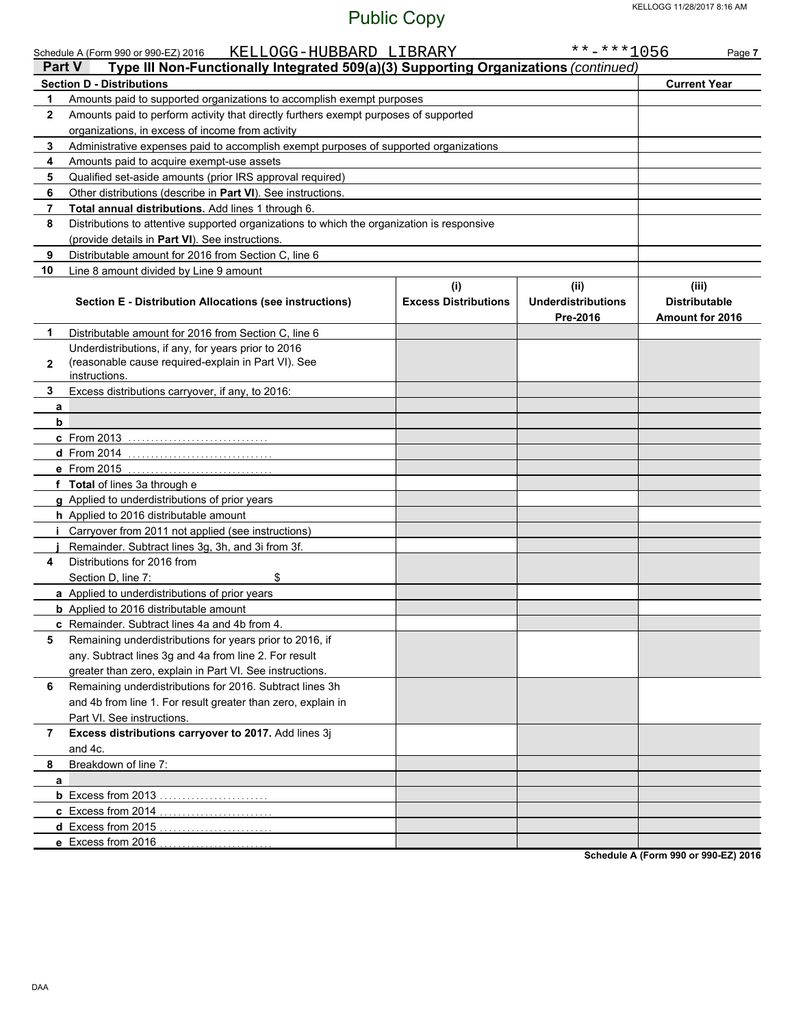|              | KELLOGG-HUBBARD LIBRARY<br>Schedule A (Form 990 or 990-EZ) 2016<br>Type III Non-Functionally Integrated 509(a)(3) Supporting Organizations (continued)<br><b>Part V</b> |                                    | $******1056$                                  | Page 7                                                  |
|--------------|-------------------------------------------------------------------------------------------------------------------------------------------------------------------------|------------------------------------|-----------------------------------------------|---------------------------------------------------------|
|              | <b>Section D - Distributions</b>                                                                                                                                        |                                    |                                               | <b>Current Year</b>                                     |
| 1            | Amounts paid to supported organizations to accomplish exempt purposes                                                                                                   |                                    |                                               |                                                         |
| $\mathbf{2}$ | Amounts paid to perform activity that directly furthers exempt purposes of supported                                                                                    |                                    |                                               |                                                         |
|              | organizations, in excess of income from activity                                                                                                                        |                                    |                                               |                                                         |
| 3            | Administrative expenses paid to accomplish exempt purposes of supported organizations                                                                                   |                                    |                                               |                                                         |
| 4            | Amounts paid to acquire exempt-use assets                                                                                                                               |                                    |                                               |                                                         |
| 5            | Qualified set-aside amounts (prior IRS approval required)                                                                                                               |                                    |                                               |                                                         |
| 6            | Other distributions (describe in Part VI). See instructions.                                                                                                            |                                    |                                               |                                                         |
| 7            | Total annual distributions. Add lines 1 through 6.                                                                                                                      |                                    |                                               |                                                         |
| 8            | Distributions to attentive supported organizations to which the organization is responsive                                                                              |                                    |                                               |                                                         |
|              | (provide details in Part VI). See instructions.                                                                                                                         |                                    |                                               |                                                         |
| 9            | Distributable amount for 2016 from Section C, line 6                                                                                                                    |                                    |                                               |                                                         |
| 10           | Line 8 amount divided by Line 9 amount                                                                                                                                  |                                    |                                               |                                                         |
|              | <b>Section E - Distribution Allocations (see instructions)</b>                                                                                                          | (i)<br><b>Excess Distributions</b> | (ii)<br><b>Underdistributions</b><br>Pre-2016 | (iii)<br><b>Distributable</b><br><b>Amount for 2016</b> |
| 1.           | Distributable amount for 2016 from Section C, line 6                                                                                                                    |                                    |                                               |                                                         |
| $\mathbf{2}$ | Underdistributions, if any, for years prior to 2016<br>(reasonable cause required-explain in Part VI). See<br>instructions.                                             |                                    |                                               |                                                         |
| 3            | Excess distributions carryover, if any, to 2016:                                                                                                                        |                                    |                                               |                                                         |
| a<br>b       |                                                                                                                                                                         |                                    |                                               |                                                         |
|              | c From 2013                                                                                                                                                             |                                    |                                               |                                                         |
|              | <b>d</b> From 2014                                                                                                                                                      |                                    |                                               |                                                         |
|              | e From 2015                                                                                                                                                             |                                    |                                               |                                                         |
|              | f Total of lines 3a through e                                                                                                                                           |                                    |                                               |                                                         |
|              | g Applied to underdistributions of prior years                                                                                                                          |                                    |                                               |                                                         |
|              | h Applied to 2016 distributable amount                                                                                                                                  |                                    |                                               |                                                         |
| i.           | Carryover from 2011 not applied (see instructions)                                                                                                                      |                                    |                                               |                                                         |
|              | Remainder. Subtract lines 3g, 3h, and 3i from 3f.                                                                                                                       |                                    |                                               |                                                         |
| 4            | Distributions for 2016 from                                                                                                                                             |                                    |                                               |                                                         |
|              | Section D, line 7:<br>\$                                                                                                                                                |                                    |                                               |                                                         |
|              | a Applied to underdistributions of prior years                                                                                                                          |                                    |                                               |                                                         |
|              | <b>b</b> Applied to 2016 distributable amount                                                                                                                           |                                    |                                               |                                                         |
|              | c Remainder. Subtract lines 4a and 4b from 4.                                                                                                                           |                                    |                                               |                                                         |
| 5            | Remaining underdistributions for years prior to 2016, if                                                                                                                |                                    |                                               |                                                         |
|              | any. Subtract lines 3g and 4a from line 2. For result                                                                                                                   |                                    |                                               |                                                         |
|              | greater than zero, explain in Part VI. See instructions.                                                                                                                |                                    |                                               |                                                         |
| 6            | Remaining underdistributions for 2016. Subtract lines 3h                                                                                                                |                                    |                                               |                                                         |
|              | and 4b from line 1. For result greater than zero, explain in                                                                                                            |                                    |                                               |                                                         |
|              | Part VI. See instructions.                                                                                                                                              |                                    |                                               |                                                         |
| 7            | Excess distributions carryover to 2017. Add lines 3j                                                                                                                    |                                    |                                               |                                                         |
|              | and 4c.                                                                                                                                                                 |                                    |                                               |                                                         |
| 8            | Breakdown of line 7:                                                                                                                                                    |                                    |                                               |                                                         |
| a            |                                                                                                                                                                         |                                    |                                               |                                                         |
|              | <b>b</b> Excess from 2013                                                                                                                                               |                                    |                                               |                                                         |
|              | c Excess from 2014                                                                                                                                                      |                                    |                                               |                                                         |
|              | d Excess from 2015<br>.                                                                                                                                                 |                                    |                                               |                                                         |
|              | e Excess from 2016                                                                                                                                                      |                                    |                                               |                                                         |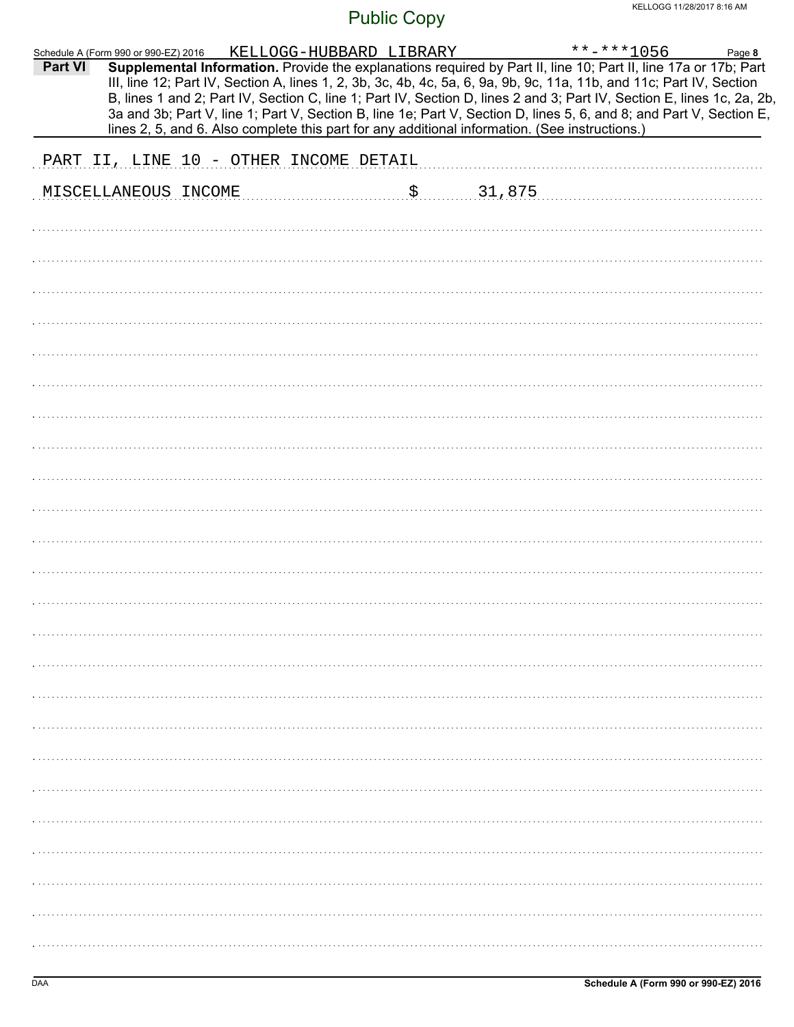| Part VI | Schedule A (Form 990 or 990-EZ) 2016   | KELLOGG-HUBBARD LIBRARY                                                                        |    |        | $***$ -***1056<br>Supplemental Information. Provide the explanations required by Part II, line 10; Part II, line 17a or 17b; Part                                                                                                                                                                                                                                     | Page 8 |
|---------|----------------------------------------|------------------------------------------------------------------------------------------------|----|--------|-----------------------------------------------------------------------------------------------------------------------------------------------------------------------------------------------------------------------------------------------------------------------------------------------------------------------------------------------------------------------|--------|
|         |                                        | lines 2, 5, and 6. Also complete this part for any additional information. (See instructions.) |    |        | III, line 12; Part IV, Section A, lines 1, 2, 3b, 3c, 4b, 4c, 5a, 6, 9a, 9b, 9c, 11a, 11b, and 11c; Part IV, Section<br>B, lines 1 and 2; Part IV, Section C, line 1; Part IV, Section D, lines 2 and 3; Part IV, Section E, lines 1c, 2a, 2b,<br>3a and 3b; Part V, line 1; Part V, Section B, line 1e; Part V, Section D, lines 5, 6, and 8; and Part V, Section E, |        |
|         | PART II, LINE 10 - OTHER INCOME DETAIL |                                                                                                |    |        |                                                                                                                                                                                                                                                                                                                                                                       |        |
|         | MISCELLANEOUS INCOME                   |                                                                                                | \$ | 31,875 |                                                                                                                                                                                                                                                                                                                                                                       |        |
|         |                                        |                                                                                                |    |        |                                                                                                                                                                                                                                                                                                                                                                       |        |
|         |                                        |                                                                                                |    |        |                                                                                                                                                                                                                                                                                                                                                                       |        |
|         |                                        |                                                                                                |    |        |                                                                                                                                                                                                                                                                                                                                                                       |        |
|         |                                        |                                                                                                |    |        |                                                                                                                                                                                                                                                                                                                                                                       |        |
|         |                                        |                                                                                                |    |        |                                                                                                                                                                                                                                                                                                                                                                       |        |
|         |                                        |                                                                                                |    |        |                                                                                                                                                                                                                                                                                                                                                                       |        |
|         |                                        |                                                                                                |    |        |                                                                                                                                                                                                                                                                                                                                                                       |        |
|         |                                        |                                                                                                |    |        |                                                                                                                                                                                                                                                                                                                                                                       |        |
|         |                                        |                                                                                                |    |        |                                                                                                                                                                                                                                                                                                                                                                       |        |
|         |                                        |                                                                                                |    |        |                                                                                                                                                                                                                                                                                                                                                                       |        |
|         |                                        |                                                                                                |    |        |                                                                                                                                                                                                                                                                                                                                                                       |        |
|         |                                        |                                                                                                |    |        |                                                                                                                                                                                                                                                                                                                                                                       |        |
|         |                                        |                                                                                                |    |        |                                                                                                                                                                                                                                                                                                                                                                       |        |
|         |                                        |                                                                                                |    |        |                                                                                                                                                                                                                                                                                                                                                                       |        |
|         |                                        |                                                                                                |    |        |                                                                                                                                                                                                                                                                                                                                                                       |        |
|         |                                        |                                                                                                |    |        |                                                                                                                                                                                                                                                                                                                                                                       |        |
|         |                                        |                                                                                                |    |        |                                                                                                                                                                                                                                                                                                                                                                       |        |
|         |                                        |                                                                                                |    |        |                                                                                                                                                                                                                                                                                                                                                                       |        |
|         |                                        |                                                                                                |    |        |                                                                                                                                                                                                                                                                                                                                                                       |        |
|         |                                        |                                                                                                |    |        |                                                                                                                                                                                                                                                                                                                                                                       |        |
|         |                                        |                                                                                                |    |        |                                                                                                                                                                                                                                                                                                                                                                       |        |
|         |                                        |                                                                                                |    |        |                                                                                                                                                                                                                                                                                                                                                                       |        |
|         |                                        |                                                                                                |    |        |                                                                                                                                                                                                                                                                                                                                                                       |        |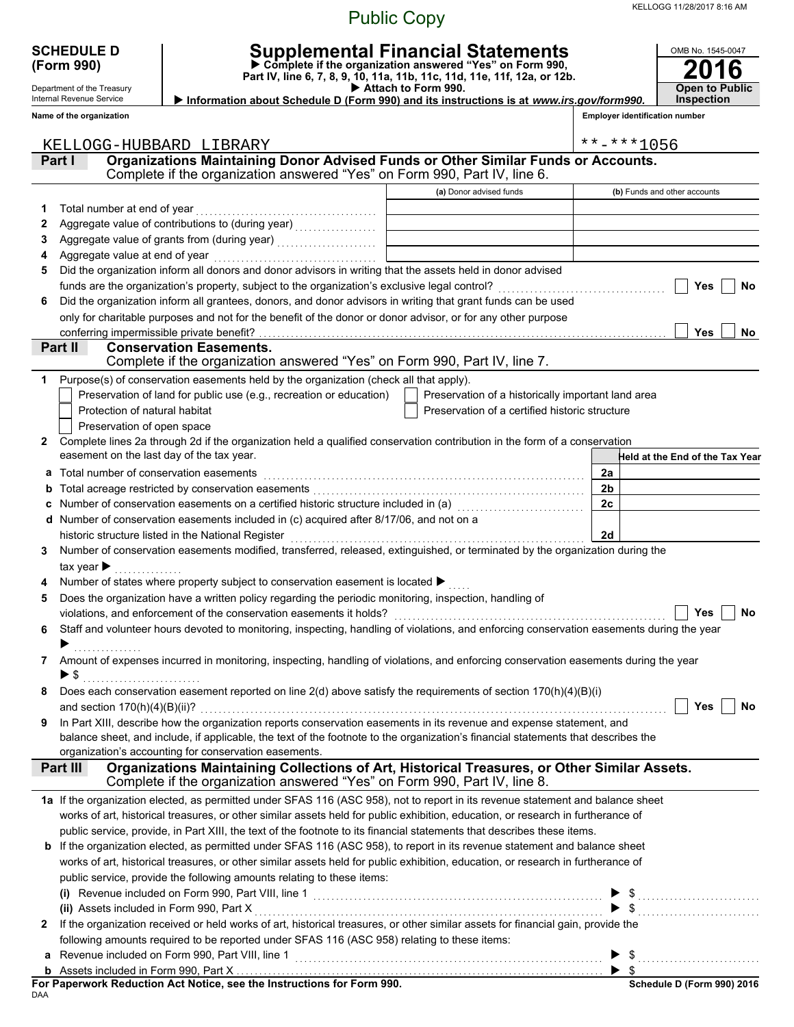KELLOGG 11/28/2017 8:16 AM

### Public Copy

|   | <b>SCHEDULE D</b><br>(Form 990)                        |                                                                                                                                                                                            | OMB No. 1545-0047       |                                       |
|---|--------------------------------------------------------|--------------------------------------------------------------------------------------------------------------------------------------------------------------------------------------------|-------------------------|---------------------------------------|
|   | Department of the Treasury<br>Internal Revenue Service | Part IV, line 6, 7, 8, 9, 10, 11a, 11b, 11c, 11d, 11e, 11f, 12a, or 12b.<br>Attach to Form 990.<br>Information about Schedule D (Form 990) and its instructions is at www.irs.gov/form990. |                         | <b>Open to Public</b><br>Inspection   |
|   | Name of the organization                               |                                                                                                                                                                                            |                         | <b>Employer identification number</b> |
|   |                                                        |                                                                                                                                                                                            |                         |                                       |
|   | KELLOGG-HUBBARD LIBRARY                                |                                                                                                                                                                                            |                         | **-***1056                            |
|   | Part I                                                 | Organizations Maintaining Donor Advised Funds or Other Similar Funds or Accounts.<br>Complete if the organization answered "Yes" on Form 990, Part IV, line 6.                             |                         |                                       |
|   |                                                        | (a) Donor advised funds                                                                                                                                                                    |                         | (b) Funds and other accounts          |
| 1 |                                                        |                                                                                                                                                                                            |                         |                                       |
| 2 |                                                        |                                                                                                                                                                                            |                         |                                       |
| 3 |                                                        |                                                                                                                                                                                            |                         |                                       |
| 4 |                                                        |                                                                                                                                                                                            |                         |                                       |
| 5 |                                                        | Did the organization inform all donors and donor advisors in writing that the assets held in donor advised                                                                                 |                         |                                       |
|   |                                                        |                                                                                                                                                                                            |                         | Yes<br>No                             |
| 6 |                                                        | Did the organization inform all grantees, donors, and donor advisors in writing that grant funds can be used                                                                               |                         |                                       |
|   | conferring impermissible private benefit?              | only for charitable purposes and not for the benefit of the donor or donor advisor, or for any other purpose                                                                               |                         | <b>Yes</b><br>No.                     |
|   | Part II                                                | <b>Conservation Easements.</b>                                                                                                                                                             |                         |                                       |
|   |                                                        | Complete if the organization answered "Yes" on Form 990, Part IV, line 7.                                                                                                                  |                         |                                       |
| 1 |                                                        | Purpose(s) of conservation easements held by the organization (check all that apply).                                                                                                      |                         |                                       |
|   |                                                        | Preservation of land for public use (e.g., recreation or education)<br>Preservation of a historically important land area                                                                  |                         |                                       |
|   | Protection of natural habitat                          | Preservation of a certified historic structure                                                                                                                                             |                         |                                       |
|   | Preservation of open space                             |                                                                                                                                                                                            |                         |                                       |
| 2 |                                                        | Complete lines 2a through 2d if the organization held a qualified conservation contribution in the form of a conservation                                                                  |                         |                                       |
|   | easement on the last day of the tax year.              |                                                                                                                                                                                            |                         | Held at the End of the Tax Year       |
| а | Total number of conservation easements                 |                                                                                                                                                                                            | 2a                      |                                       |
|   |                                                        |                                                                                                                                                                                            | 2 <sub>b</sub><br>2c    |                                       |
|   |                                                        | d Number of conservation easements included in (c) acquired after 8/17/06, and not on a                                                                                                    |                         |                                       |
|   |                                                        | historic structure listed in the National Register                                                                                                                                         | 2d                      |                                       |
| 3 |                                                        | Number of conservation easements modified, transferred, released, extinguished, or terminated by the organization during the                                                               |                         |                                       |
|   | tax year $\blacktriangleright$                         |                                                                                                                                                                                            |                         |                                       |
|   |                                                        | Number of states where property subject to conservation easement is located ▶                                                                                                              |                         |                                       |
| 5 |                                                        | Does the organization have a written policy regarding the periodic monitoring, inspection, handling of                                                                                     |                         |                                       |
|   |                                                        |                                                                                                                                                                                            |                         | Yes<br>No                             |
| 6 |                                                        | Staff and volunteer hours devoted to monitoring, inspecting, handling of violations, and enforcing conservation easements during the year                                                  |                         |                                       |
|   |                                                        |                                                                                                                                                                                            |                         |                                       |
| 7 | $\blacktriangleright$ \$                               | Amount of expenses incurred in monitoring, inspecting, handling of violations, and enforcing conservation easements during the year                                                        |                         |                                       |
| 8 |                                                        | Does each conservation easement reported on line $2(d)$ above satisfy the requirements of section $170(h)(4)(B)(i)$                                                                        |                         |                                       |
|   |                                                        |                                                                                                                                                                                            |                         | Yes<br>No                             |
| 9 |                                                        | In Part XIII, describe how the organization reports conservation easements in its revenue and expense statement, and                                                                       |                         |                                       |
|   |                                                        | balance sheet, and include, if applicable, the text of the footnote to the organization's financial statements that describes the                                                          |                         |                                       |
|   |                                                        | organization's accounting for conservation easements.                                                                                                                                      |                         |                                       |
|   | Part III                                               | Organizations Maintaining Collections of Art, Historical Treasures, or Other Similar Assets.<br>Complete if the organization answered "Yes" on Form 990, Part IV, line 8.                  |                         |                                       |
|   |                                                        | 1a If the organization elected, as permitted under SFAS 116 (ASC 958), not to report in its revenue statement and balance sheet                                                            |                         |                                       |
|   |                                                        | works of art, historical treasures, or other similar assets held for public exhibition, education, or research in furtherance of                                                           |                         |                                       |
|   |                                                        | public service, provide, in Part XIII, the text of the footnote to its financial statements that describes these items.                                                                    |                         |                                       |
|   |                                                        | b If the organization elected, as permitted under SFAS 116 (ASC 958), to report in its revenue statement and balance sheet                                                                 |                         |                                       |
|   |                                                        | works of art, historical treasures, or other similar assets held for public exhibition, education, or research in furtherance of                                                           |                         |                                       |
|   |                                                        | public service, provide the following amounts relating to these items:                                                                                                                     |                         |                                       |
|   | (ii) Assets included in Form 990, Part X               |                                                                                                                                                                                            |                         | $\blacktriangleright$ \$              |
| 2 |                                                        | If the organization received or held works of art, historical treasures, or other similar assets for financial gain, provide the                                                           |                         |                                       |
|   |                                                        | following amounts required to be reported under SFAS 116 (ASC 958) relating to these items:                                                                                                |                         |                                       |
| a |                                                        |                                                                                                                                                                                            |                         | $\triangleright$ \$                   |
|   |                                                        |                                                                                                                                                                                            | $\blacktriangleright$ s |                                       |

**For Paperwork Reduction Act Notice, see the Instructions for Form 990.**<br><sub>DAA</sub>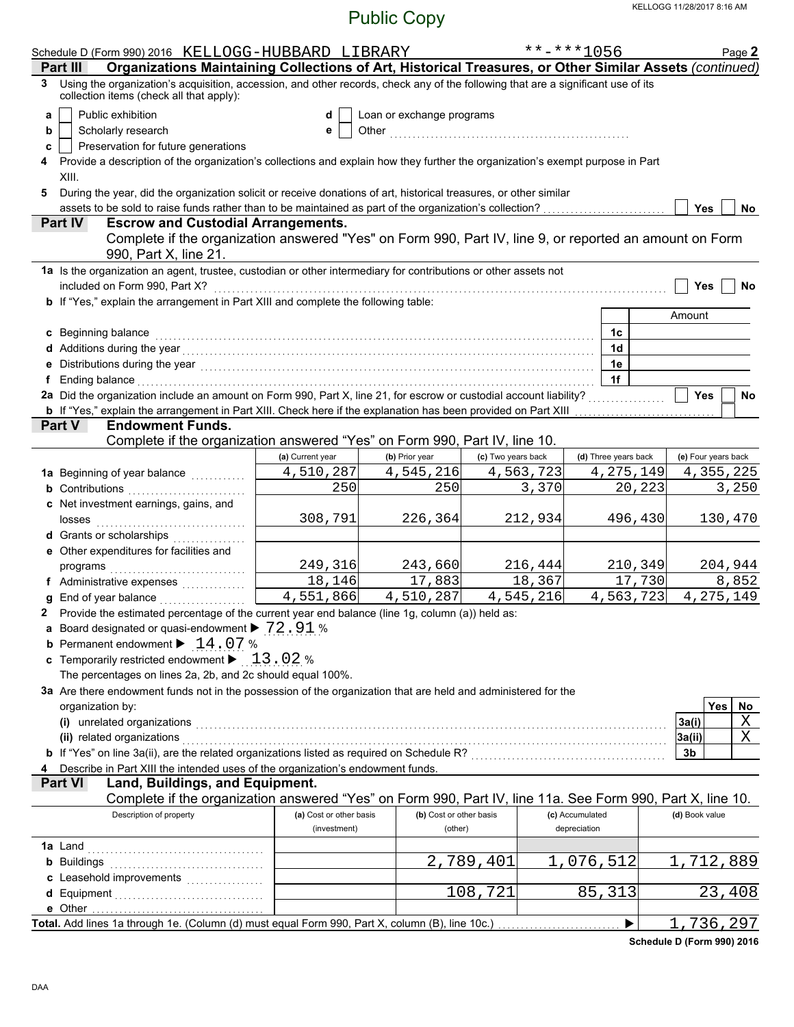|   | Schedule D (Form 990) 2016 KELLOGG-HUBBARD LIBRARY                                                                                                                                                                               |                         |                           |                    | **-***1056      |                      | Page 2                  |  |  |  |  |
|---|----------------------------------------------------------------------------------------------------------------------------------------------------------------------------------------------------------------------------------|-------------------------|---------------------------|--------------------|-----------------|----------------------|-------------------------|--|--|--|--|
|   | Organizations Maintaining Collections of Art, Historical Treasures, or Other Similar Assets (continued)<br>Part III                                                                                                              |                         |                           |                    |                 |                      |                         |  |  |  |  |
| 3 | Using the organization's acquisition, accession, and other records, check any of the following that are a significant use of its<br>collection items (check all that apply):                                                     |                         |                           |                    |                 |                      |                         |  |  |  |  |
| a | Public exhibition                                                                                                                                                                                                                | d                       | Loan or exchange programs |                    |                 |                      |                         |  |  |  |  |
| b | Scholarly research                                                                                                                                                                                                               | е                       |                           |                    |                 |                      |                         |  |  |  |  |
|   | Preservation for future generations<br>c                                                                                                                                                                                         |                         |                           |                    |                 |                      |                         |  |  |  |  |
|   | Provide a description of the organization's collections and explain how they further the organization's exempt purpose in Part                                                                                                   |                         |                           |                    |                 |                      |                         |  |  |  |  |
|   | XIII.                                                                                                                                                                                                                            |                         |                           |                    |                 |                      |                         |  |  |  |  |
| 5 | During the year, did the organization solicit or receive donations of art, historical treasures, or other similar                                                                                                                |                         |                           |                    |                 |                      |                         |  |  |  |  |
|   | assets to be sold to raise funds rather than to be maintained as part of the organization's collection?                                                                                                                          |                         |                           |                    |                 |                      | <b>Yes</b><br>No        |  |  |  |  |
|   | Part IV<br><b>Escrow and Custodial Arrangements.</b>                                                                                                                                                                             |                         |                           |                    |                 |                      |                         |  |  |  |  |
|   | Complete if the organization answered "Yes" on Form 990, Part IV, line 9, or reported an amount on Form<br>990, Part X, line 21.                                                                                                 |                         |                           |                    |                 |                      |                         |  |  |  |  |
|   | 1a Is the organization an agent, trustee, custodian or other intermediary for contributions or other assets not                                                                                                                  |                         |                           |                    |                 |                      |                         |  |  |  |  |
|   |                                                                                                                                                                                                                                  |                         |                           |                    |                 |                      | Yes<br>No               |  |  |  |  |
|   | b If "Yes," explain the arrangement in Part XIII and complete the following table:                                                                                                                                               |                         |                           |                    |                 |                      |                         |  |  |  |  |
|   |                                                                                                                                                                                                                                  |                         |                           |                    |                 |                      | Amount                  |  |  |  |  |
|   | c Beginning balance expressions and the contract of the contract of the contract of the contract of the contract of the contract of the contract of the contract of the contract of the contract of the contract of the contra   |                         |                           |                    |                 | 1c                   |                         |  |  |  |  |
|   |                                                                                                                                                                                                                                  |                         |                           |                    |                 | 1d                   |                         |  |  |  |  |
|   | e Distributions during the year<br>interaction continuous continuous continuous during the year (1990) and the year (1990) and the US and the US and the US and the US and the US and the US and the US and the US and the US an |                         |                           |                    |                 | 1e                   |                         |  |  |  |  |
|   | f Ending balance encourance and a series of the series of the series of the series of the series of the series of the series of the series of the series of the series of the series of the series of the series of the series   |                         |                           |                    |                 | 1f                   |                         |  |  |  |  |
|   | 2a Did the organization include an amount on Form 990, Part X, line 21, for escrow or custodial account liability?                                                                                                               |                         |                           |                    |                 |                      | <b>Yes</b><br>No        |  |  |  |  |
|   | <b>b</b> If "Yes," explain the arrangement in Part XIII. Check here if the explanation has been provided on Part XIII                                                                                                            |                         |                           |                    |                 |                      |                         |  |  |  |  |
|   | <b>Endowment Funds.</b><br><b>Part V</b>                                                                                                                                                                                         |                         |                           |                    |                 |                      |                         |  |  |  |  |
|   | Complete if the organization answered "Yes" on Form 990, Part IV, line 10.                                                                                                                                                       |                         |                           |                    |                 |                      |                         |  |  |  |  |
|   |                                                                                                                                                                                                                                  | (a) Current year        | (b) Prior year            | (c) Two years back |                 | (d) Three years back | (e) Four years back     |  |  |  |  |
|   | 1a Beginning of year balance <i>[[[[[[[[[[[[[[[[[[[[[[[[[[[[[]]]]</i> ]]]                                                                                                                                                        | 4,510,287               | 4,545,216                 | 4,563,723          |                 | 4, 275, 149          | 4,355,225               |  |  |  |  |
|   | <b>b</b> Contributions                                                                                                                                                                                                           | 250                     | 250                       |                    | 3,370           | 20, 223              | 3,250                   |  |  |  |  |
|   | c Net investment earnings, gains, and                                                                                                                                                                                            |                         |                           |                    |                 |                      |                         |  |  |  |  |
|   |                                                                                                                                                                                                                                  | 308,791                 | 226,364                   |                    | 212,934         | 496,430              | 130,470                 |  |  |  |  |
|   | d Grants or scholarships                                                                                                                                                                                                         |                         |                           |                    |                 |                      |                         |  |  |  |  |
|   | e Other expenditures for facilities and                                                                                                                                                                                          |                         |                           |                    |                 |                      |                         |  |  |  |  |
|   |                                                                                                                                                                                                                                  | 249,316<br>18,146       | 243,660                   |                    | 216,444         | 210,349              | 204,944                 |  |  |  |  |
|   | f Administrative expenses                                                                                                                                                                                                        | 4,551,866               | 17,883<br>4,510,287       | 4,545,216          | 18,367          | 17,730<br>4,563,723  | 8,852<br>4, 275, 149    |  |  |  |  |
|   | g End of year balance<br>2 Provide the estimated percentage of the current year end balance (line 1g, column (a)) held as:                                                                                                       |                         |                           |                    |                 |                      |                         |  |  |  |  |
|   | a Board designated or quasi-endowment > 72.91 %                                                                                                                                                                                  |                         |                           |                    |                 |                      |                         |  |  |  |  |
|   | <b>b</b> Permanent endowment $\blacktriangleright$ 14.07%                                                                                                                                                                        |                         |                           |                    |                 |                      |                         |  |  |  |  |
|   | <b>c</b> Temporarily restricted endowment $\blacktriangleright$ 13.02 %                                                                                                                                                          |                         |                           |                    |                 |                      |                         |  |  |  |  |
|   | The percentages on lines 2a, 2b, and 2c should equal 100%.                                                                                                                                                                       |                         |                           |                    |                 |                      |                         |  |  |  |  |
|   | 3a Are there endowment funds not in the possession of the organization that are held and administered for the                                                                                                                    |                         |                           |                    |                 |                      |                         |  |  |  |  |
|   | organization by:                                                                                                                                                                                                                 |                         |                           |                    |                 |                      | <b>Yes</b><br>No        |  |  |  |  |
|   | (i) unrelated organizations entertainment and all the contract of the contract of the contract of the contract or contract or contract or contract or contract or contract or contract or contract or contract or contract or    |                         |                           |                    |                 |                      | $\overline{X}$<br>3a(i) |  |  |  |  |
|   | (ii) related organizations with an array contract or contract or contract or contract or contract or contract or                                                                                                                 |                         |                           |                    |                 |                      | $\mathbf X$<br>3a(ii)   |  |  |  |  |
|   | b If "Yes" on line 3a(ii), are the related organizations listed as required on Schedule R? [[[[[[[[[[[[[[[[[[[                                                                                                                   |                         |                           |                    |                 |                      | 3b                      |  |  |  |  |
|   | Describe in Part XIII the intended uses of the organization's endowment funds.                                                                                                                                                   |                         |                           |                    |                 |                      |                         |  |  |  |  |
|   | Land, Buildings, and Equipment.<br><b>Part VI</b>                                                                                                                                                                                |                         |                           |                    |                 |                      |                         |  |  |  |  |
|   | Complete if the organization answered "Yes" on Form 990, Part IV, line 11a. See Form 990, Part X, line 10.                                                                                                                       |                         |                           |                    |                 |                      |                         |  |  |  |  |
|   | Description of property                                                                                                                                                                                                          | (a) Cost or other basis | (b) Cost or other basis   |                    | (c) Accumulated |                      | (d) Book value          |  |  |  |  |
|   |                                                                                                                                                                                                                                  | (investment)            | (other)                   |                    | depreciation    |                      |                         |  |  |  |  |
|   |                                                                                                                                                                                                                                  |                         |                           |                    |                 |                      |                         |  |  |  |  |
|   | <b>b</b> Buildings                                                                                                                                                                                                               |                         |                           | 2,789,401          | 1,076,512       |                      | ,712,889<br>ı           |  |  |  |  |
|   |                                                                                                                                                                                                                                  |                         |                           |                    |                 |                      |                         |  |  |  |  |
|   |                                                                                                                                                                                                                                  |                         |                           | 108,721            |                 | 85,313               | 23,408                  |  |  |  |  |
|   |                                                                                                                                                                                                                                  |                         |                           |                    |                 |                      |                         |  |  |  |  |
|   | Total. Add lines 1a through 1e. (Column (d) must equal Form 990, Part X, column (B), line 10c.)                                                                                                                                  |                         |                           |                    |                 |                      | ,736,297<br>1           |  |  |  |  |

**Schedule D (Form 990) 2016**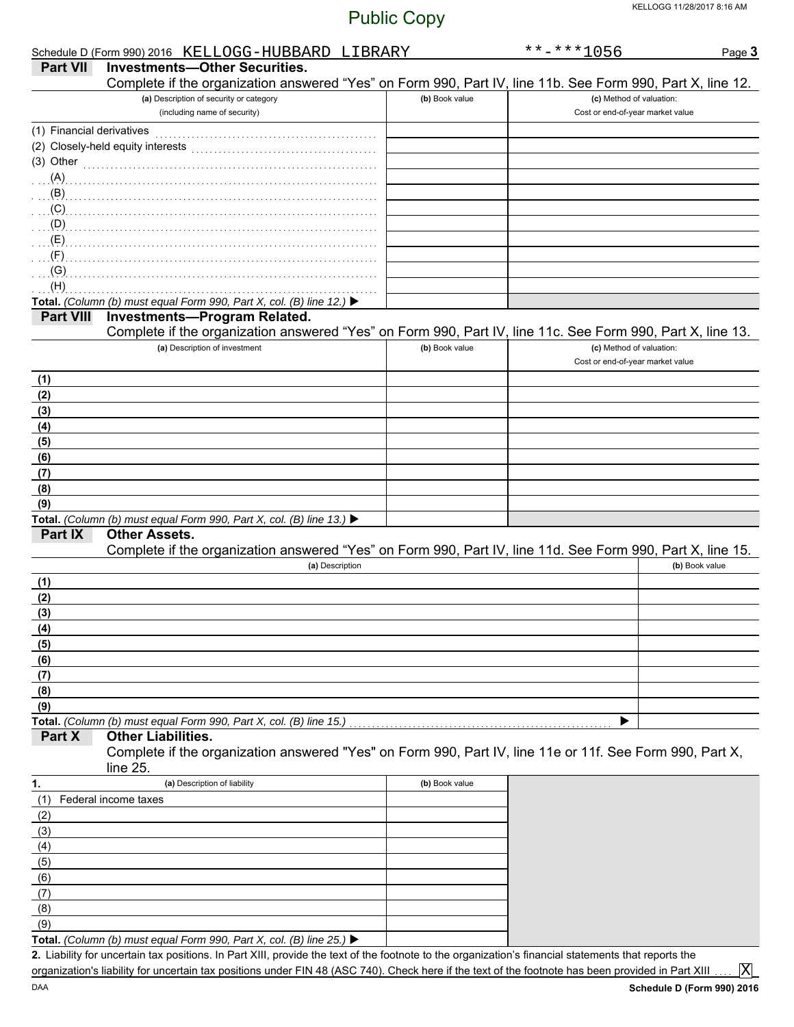|                           | Schedule D (Form 990) 2016 KELLOGG-HUBBARD LIBRARY                                                         |                | $******1056$                                                 | Page 3         |
|---------------------------|------------------------------------------------------------------------------------------------------------|----------------|--------------------------------------------------------------|----------------|
| <b>Part VII</b>           | <b>Investments-Other Securities.</b>                                                                       |                |                                                              |                |
|                           | Complete if the organization answered "Yes" on Form 990, Part IV, line 11b. See Form 990, Part X, line 12. |                |                                                              |                |
|                           | (a) Description of security or category                                                                    | (b) Book value | (c) Method of valuation:                                     |                |
|                           | (including name of security)                                                                               |                | Cost or end-of-year market value                             |                |
| (1) Financial derivatives |                                                                                                            |                |                                                              |                |
|                           | (2) Closely-held equity interests                                                                          |                |                                                              |                |
| (3) Other                 |                                                                                                            |                |                                                              |                |
| (A)                       |                                                                                                            |                |                                                              |                |
| (B)                       |                                                                                                            |                |                                                              |                |
| (C)                       |                                                                                                            |                |                                                              |                |
| (D)                       |                                                                                                            |                |                                                              |                |
| (E)                       |                                                                                                            |                |                                                              |                |
| (F)                       |                                                                                                            |                |                                                              |                |
| (G)                       |                                                                                                            |                |                                                              |                |
| (H)                       |                                                                                                            |                |                                                              |                |
|                           | Total. (Column (b) must equal Form 990, Part X, col. (B) line 12.) ▶                                       |                |                                                              |                |
| <b>Part VIII</b>          | <b>Investments-Program Related.</b>                                                                        |                |                                                              |                |
|                           | Complete if the organization answered "Yes" on Form 990, Part IV, line 11c. See Form 990, Part X, line 13. |                |                                                              |                |
|                           | (a) Description of investment                                                                              | (b) Book value | (c) Method of valuation:<br>Cost or end-of-year market value |                |
|                           |                                                                                                            |                |                                                              |                |
| (1)                       |                                                                                                            |                |                                                              |                |
| (2)                       |                                                                                                            |                |                                                              |                |
| (3)                       |                                                                                                            |                |                                                              |                |
| (4)                       |                                                                                                            |                |                                                              |                |
| (5)                       |                                                                                                            |                |                                                              |                |
| (6)                       |                                                                                                            |                |                                                              |                |
| (7)                       |                                                                                                            |                |                                                              |                |
| (8)                       |                                                                                                            |                |                                                              |                |
| (9)                       | Total. (Column (b) must equal Form 990, Part X, col. (B) line 13.) ▶                                       |                |                                                              |                |
| Part IX                   | <b>Other Assets.</b>                                                                                       |                |                                                              |                |
|                           | Complete if the organization answered "Yes" on Form 990, Part IV, line 11d. See Form 990, Part X, line 15. |                |                                                              |                |
|                           | (a) Description                                                                                            |                |                                                              | (b) Book value |
| (1)                       |                                                                                                            |                |                                                              |                |
| (2)                       |                                                                                                            |                |                                                              |                |
| (3)                       |                                                                                                            |                |                                                              |                |
| (4)                       |                                                                                                            |                |                                                              |                |
| (5)                       |                                                                                                            |                |                                                              |                |
| (6)                       |                                                                                                            |                |                                                              |                |
| (7)                       |                                                                                                            |                |                                                              |                |
| (8)                       |                                                                                                            |                |                                                              |                |
| (9)                       |                                                                                                            |                |                                                              |                |
|                           | Total. (Column (b) must equal Form 990, Part X, col. (B) line 15.)                                         |                | ▶                                                            |                |
| Part X                    | <b>Other Liabilities.</b>                                                                                  |                |                                                              |                |
|                           | Complete if the organization answered "Yes" on Form 990, Part IV, line 11e or 11f. See Form 990, Part X,   |                |                                                              |                |
|                           | line 25.                                                                                                   |                |                                                              |                |
| 1.                        | (a) Description of liability                                                                               | (b) Book value |                                                              |                |
| (1)                       | Federal income taxes                                                                                       |                |                                                              |                |
| (2)                       |                                                                                                            |                |                                                              |                |
| (3)                       |                                                                                                            |                |                                                              |                |
| (4)                       |                                                                                                            |                |                                                              |                |
| (5)                       |                                                                                                            |                |                                                              |                |
| (6)                       |                                                                                                            |                |                                                              |                |
| (7)                       |                                                                                                            |                |                                                              |                |
| (8)                       |                                                                                                            |                |                                                              |                |
| (9)                       |                                                                                                            |                |                                                              |                |
|                           | Total. (Column (b) must equal Form 990, Part X, col. (B) line 25.) ▶                                       |                |                                                              |                |

**Total.** *(Column (b) must equal Form 990, Part X, col. (B) line 25.)* 

Liability for uncertain tax positions. In Part XIII, provide the text of the footnote to the organization's financial statements that reports the **2.** organization's liability for uncertain tax positions under FIN 48 (ASC 740). Check here if the text of the footnote has been provided in Part XIII

X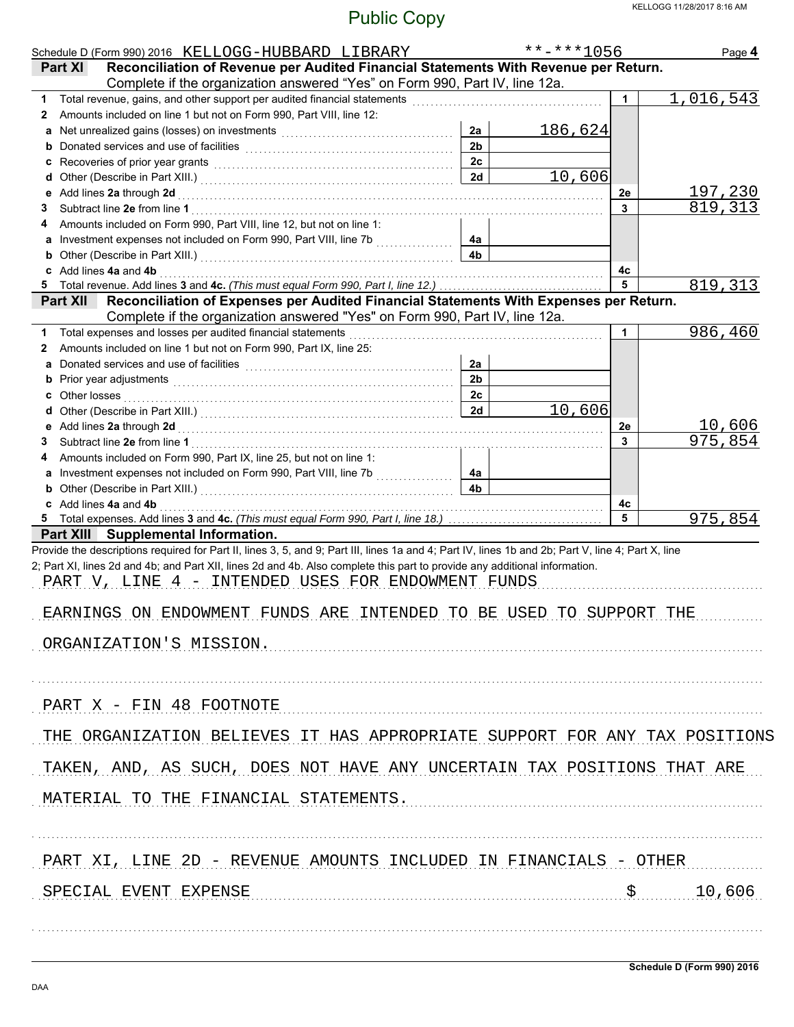|                                                                                                                                                                                                                                                        | Page 4                                                                                                                                       |
|--------------------------------------------------------------------------------------------------------------------------------------------------------------------------------------------------------------------------------------------------------|----------------------------------------------------------------------------------------------------------------------------------------------|
| Reconciliation of Revenue per Audited Financial Statements With Revenue per Return.                                                                                                                                                                    |                                                                                                                                              |
| Complete if the organization answered "Yes" on Form 990, Part IV, line 12a.                                                                                                                                                                            |                                                                                                                                              |
| $\mathbf 1$                                                                                                                                                                                                                                            | 1,016,543                                                                                                                                    |
|                                                                                                                                                                                                                                                        |                                                                                                                                              |
| 186,624                                                                                                                                                                                                                                                |                                                                                                                                              |
|                                                                                                                                                                                                                                                        |                                                                                                                                              |
|                                                                                                                                                                                                                                                        |                                                                                                                                              |
| 10,606                                                                                                                                                                                                                                                 |                                                                                                                                              |
| 2e<br>3                                                                                                                                                                                                                                                | <u>197,230</u><br>819,313                                                                                                                    |
|                                                                                                                                                                                                                                                        |                                                                                                                                              |
|                                                                                                                                                                                                                                                        |                                                                                                                                              |
|                                                                                                                                                                                                                                                        |                                                                                                                                              |
| c Add lines 4a and 4b 2000 Material Contract and Additional Contract Additional Contract Additional Contract A<br>4c                                                                                                                                   |                                                                                                                                              |
| 5                                                                                                                                                                                                                                                      | 819,313                                                                                                                                      |
| Reconciliation of Expenses per Audited Financial Statements With Expenses per Return.                                                                                                                                                                  |                                                                                                                                              |
| Complete if the organization answered "Yes" on Form 990, Part IV, line 12a.                                                                                                                                                                            |                                                                                                                                              |
| 1                                                                                                                                                                                                                                                      | 986,460                                                                                                                                      |
|                                                                                                                                                                                                                                                        |                                                                                                                                              |
|                                                                                                                                                                                                                                                        |                                                                                                                                              |
|                                                                                                                                                                                                                                                        |                                                                                                                                              |
|                                                                                                                                                                                                                                                        |                                                                                                                                              |
| 10,606                                                                                                                                                                                                                                                 |                                                                                                                                              |
| 2e                                                                                                                                                                                                                                                     | <u>10,606</u><br>975,854                                                                                                                     |
| 3                                                                                                                                                                                                                                                      |                                                                                                                                              |
|                                                                                                                                                                                                                                                        |                                                                                                                                              |
|                                                                                                                                                                                                                                                        |                                                                                                                                              |
|                                                                                                                                                                                                                                                        |                                                                                                                                              |
| c Add lines 4a and 4b 2000 Manuscript and Ab 2000 Manuscript and Ab 30 Manuscript and Ab 30 Manuscript and Ab<br>4c                                                                                                                                    |                                                                                                                                              |
| 5                                                                                                                                                                                                                                                      | 975,854                                                                                                                                      |
| 2; Part XI, lines 2d and 4b; and Part XII, lines 2d and 4b. Also complete this part to provide any additional information.<br>PART V, LINE 4 - INTENDED USES FOR ENDOWMENT FUNDS<br>EARNINGS ON ENDOWMENT FUNDS ARE INTENDED TO BE USED TO SUPPORT THE |                                                                                                                                              |
|                                                                                                                                                                                                                                                        | THE ORGANIZATION BELIEVES IT HAS APPROPRIATE SUPPORT FOR ANY TAX POSITIONS                                                                   |
|                                                                                                                                                                                                                                                        |                                                                                                                                              |
|                                                                                                                                                                                                                                                        |                                                                                                                                              |
|                                                                                                                                                                                                                                                        |                                                                                                                                              |
|                                                                                                                                                                                                                                                        | \$10,606                                                                                                                                     |
|                                                                                                                                                                                                                                                        | TAKEN, AND, AS SUCH, DOES NOT HAVE ANY UNCERTAIN TAX POSITIONS THAT ARE<br>PART XI, LINE 2D - REVENUE AMOUNTS INCLUDED IN FINANCIALS - OTHER |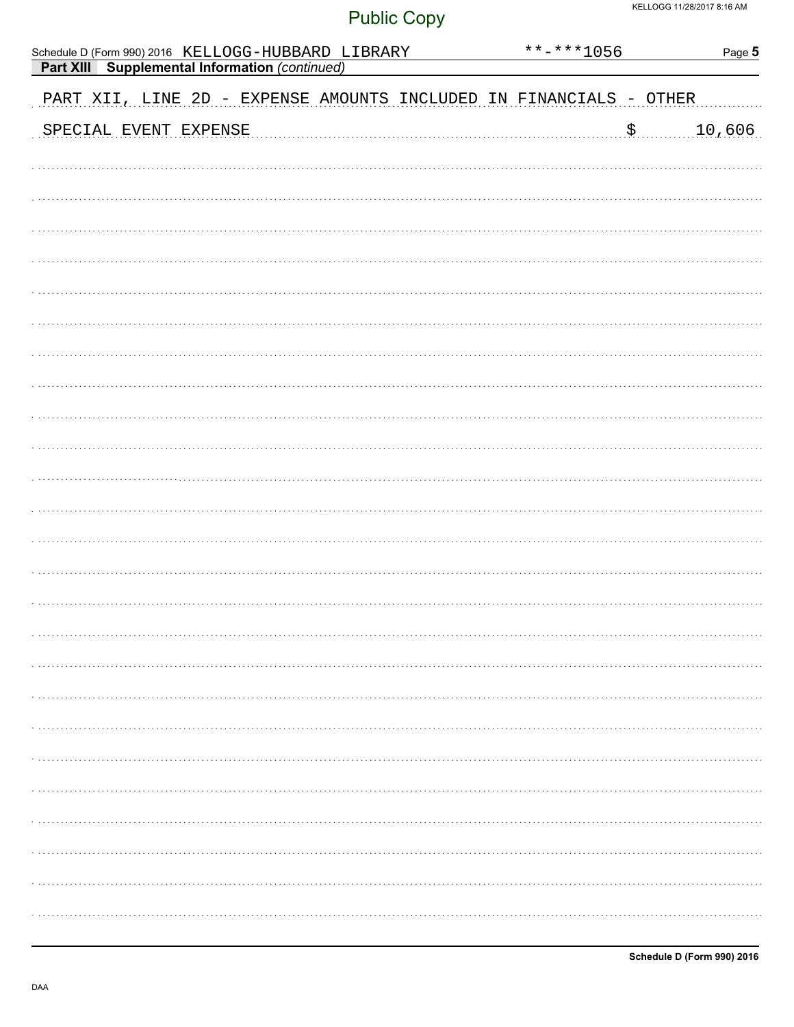| Schedule D (Form 990) 2016 KELLOGG-HUBBARD LIBRARY                 | **-***1056 | Page 5 |
|--------------------------------------------------------------------|------------|--------|
| <b>Part XIII</b> Supplemental Information (continued)              |            |        |
| PART XII, LINE 2D - EXPENSE AMOUNTS INCLUDED IN FINANCIALS - OTHER |            |        |
| SPECIAL EVENT EXPENSE                                              | .\$<br>    | 10,606 |
|                                                                    |            |        |
|                                                                    |            |        |
|                                                                    |            |        |
|                                                                    |            |        |
|                                                                    |            |        |
|                                                                    |            |        |
|                                                                    |            |        |
|                                                                    |            |        |
|                                                                    |            |        |
|                                                                    |            |        |
|                                                                    |            |        |
|                                                                    |            |        |
|                                                                    |            |        |
|                                                                    |            |        |
|                                                                    |            |        |
|                                                                    |            |        |
|                                                                    |            |        |
|                                                                    |            |        |
|                                                                    |            |        |
|                                                                    |            |        |
|                                                                    |            |        |
|                                                                    |            |        |
|                                                                    |            |        |
|                                                                    |            |        |
|                                                                    |            |        |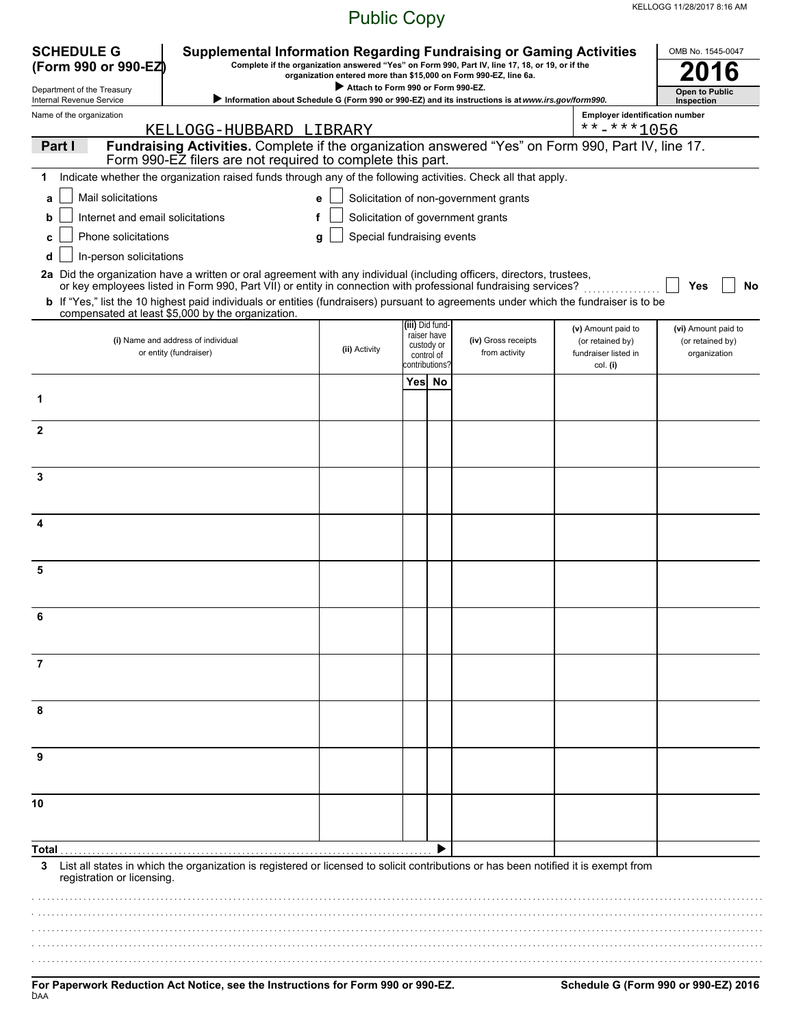| <b>SCHEDULE G</b><br><b>Supplemental Information Regarding Fundraising or Gaming Activities</b><br>Complete if the organization answered "Yes" on Form 990, Part IV, line 17, 18, or 19, or if the<br>(Form 990 or 990-EZ)<br>organization entered more than \$15,000 on Form 990-EZ, line 6a. |                                                                                                                                                                                                                                                                                                                                                                                                                                               |                                    |                 |                                                           |                                                                                                     |                                                                | OMB No. 1545-0047                                       |  |  |
|------------------------------------------------------------------------------------------------------------------------------------------------------------------------------------------------------------------------------------------------------------------------------------------------|-----------------------------------------------------------------------------------------------------------------------------------------------------------------------------------------------------------------------------------------------------------------------------------------------------------------------------------------------------------------------------------------------------------------------------------------------|------------------------------------|-----------------|-----------------------------------------------------------|-----------------------------------------------------------------------------------------------------|----------------------------------------------------------------|---------------------------------------------------------|--|--|
| Department of the Treasury                                                                                                                                                                                                                                                                     |                                                                                                                                                                                                                                                                                                                                                                                                                                               | Attach to Form 990 or Form 990-EZ. |                 |                                                           | > Information about Schedule G (Form 990 or 990-EZ) and its instructions is at www.irs.gov/form990. |                                                                | <b>Open to Public</b>                                   |  |  |
| Internal Revenue Service<br>Name of the organization                                                                                                                                                                                                                                           |                                                                                                                                                                                                                                                                                                                                                                                                                                               |                                    |                 |                                                           |                                                                                                     | <b>Employer identification number</b>                          | Inspection                                              |  |  |
|                                                                                                                                                                                                                                                                                                | KELLOGG-HUBBARD LIBRARY                                                                                                                                                                                                                                                                                                                                                                                                                       |                                    |                 |                                                           |                                                                                                     | **-***1056                                                     |                                                         |  |  |
| Part I                                                                                                                                                                                                                                                                                         | Fundraising Activities. Complete if the organization answered "Yes" on Form 990, Part IV, line 17.<br>Form 990-EZ filers are not required to complete this part.                                                                                                                                                                                                                                                                              |                                    |                 |                                                           |                                                                                                     |                                                                |                                                         |  |  |
|                                                                                                                                                                                                                                                                                                | Indicate whether the organization raised funds through any of the following activities. Check all that apply.                                                                                                                                                                                                                                                                                                                                 |                                    |                 |                                                           |                                                                                                     |                                                                |                                                         |  |  |
| Mail solicitations<br>a                                                                                                                                                                                                                                                                        |                                                                                                                                                                                                                                                                                                                                                                                                                                               | e                                  |                 |                                                           | Solicitation of non-government grants                                                               |                                                                |                                                         |  |  |
| Internet and email solicitations<br>b                                                                                                                                                                                                                                                          |                                                                                                                                                                                                                                                                                                                                                                                                                                               |                                    |                 |                                                           | Solicitation of government grants                                                                   |                                                                |                                                         |  |  |
| Phone solicitations<br>c                                                                                                                                                                                                                                                                       |                                                                                                                                                                                                                                                                                                                                                                                                                                               | Special fundraising events<br>g    |                 |                                                           |                                                                                                     |                                                                |                                                         |  |  |
| In-person solicitations<br>d                                                                                                                                                                                                                                                                   | 2a Did the organization have a written or oral agreement with any individual (including officers, directors, trustees,<br>or key employees listed in Form 990, Part VII) or entity in connection with professional fundraising services?<br><b>b</b> If "Yes," list the 10 highest paid individuals or entities (fundraisers) pursuant to agreements under which the fundraiser is to be<br>compensated at least \$5,000 by the organization. |                                    |                 |                                                           |                                                                                                     |                                                                | No<br>Yes                                               |  |  |
|                                                                                                                                                                                                                                                                                                | (i) Name and address of individual<br>or entity (fundraiser)                                                                                                                                                                                                                                                                                                                                                                                  | (ii) Activity                      | (iii) Did fund- | raiser have<br>custody or<br>control of<br>contributions? | (iv) Gross receipts<br>from activity                                                                | (v) Amount paid to<br>(or retained by)<br>fundraiser listed in | (vi) Amount paid to<br>(or retained by)<br>organization |  |  |
|                                                                                                                                                                                                                                                                                                |                                                                                                                                                                                                                                                                                                                                                                                                                                               |                                    | Yes No          |                                                           |                                                                                                     | col. (i)                                                       |                                                         |  |  |
| 1                                                                                                                                                                                                                                                                                              |                                                                                                                                                                                                                                                                                                                                                                                                                                               |                                    |                 |                                                           |                                                                                                     |                                                                |                                                         |  |  |
| $\mathbf{2}$                                                                                                                                                                                                                                                                                   |                                                                                                                                                                                                                                                                                                                                                                                                                                               |                                    |                 |                                                           |                                                                                                     |                                                                |                                                         |  |  |
| 3                                                                                                                                                                                                                                                                                              |                                                                                                                                                                                                                                                                                                                                                                                                                                               |                                    |                 |                                                           |                                                                                                     |                                                                |                                                         |  |  |
|                                                                                                                                                                                                                                                                                                |                                                                                                                                                                                                                                                                                                                                                                                                                                               |                                    |                 |                                                           |                                                                                                     |                                                                |                                                         |  |  |
| 5                                                                                                                                                                                                                                                                                              |                                                                                                                                                                                                                                                                                                                                                                                                                                               |                                    |                 |                                                           |                                                                                                     |                                                                |                                                         |  |  |
| 6                                                                                                                                                                                                                                                                                              |                                                                                                                                                                                                                                                                                                                                                                                                                                               |                                    |                 |                                                           |                                                                                                     |                                                                |                                                         |  |  |
| 7                                                                                                                                                                                                                                                                                              |                                                                                                                                                                                                                                                                                                                                                                                                                                               |                                    |                 |                                                           |                                                                                                     |                                                                |                                                         |  |  |
| 8                                                                                                                                                                                                                                                                                              |                                                                                                                                                                                                                                                                                                                                                                                                                                               |                                    |                 |                                                           |                                                                                                     |                                                                |                                                         |  |  |
| 9                                                                                                                                                                                                                                                                                              |                                                                                                                                                                                                                                                                                                                                                                                                                                               |                                    |                 |                                                           |                                                                                                     |                                                                |                                                         |  |  |
| 10                                                                                                                                                                                                                                                                                             |                                                                                                                                                                                                                                                                                                                                                                                                                                               |                                    |                 |                                                           |                                                                                                     |                                                                |                                                         |  |  |
| Total .                                                                                                                                                                                                                                                                                        |                                                                                                                                                                                                                                                                                                                                                                                                                                               |                                    |                 |                                                           |                                                                                                     |                                                                |                                                         |  |  |
| 3<br>registration or licensing.                                                                                                                                                                                                                                                                | List all states in which the organization is registered or licensed to solicit contributions or has been notified it is exempt from                                                                                                                                                                                                                                                                                                           |                                    |                 |                                                           |                                                                                                     |                                                                |                                                         |  |  |
|                                                                                                                                                                                                                                                                                                |                                                                                                                                                                                                                                                                                                                                                                                                                                               |                                    |                 |                                                           |                                                                                                     |                                                                |                                                         |  |  |
|                                                                                                                                                                                                                                                                                                |                                                                                                                                                                                                                                                                                                                                                                                                                                               |                                    |                 |                                                           |                                                                                                     |                                                                |                                                         |  |  |
|                                                                                                                                                                                                                                                                                                |                                                                                                                                                                                                                                                                                                                                                                                                                                               |                                    |                 |                                                           |                                                                                                     |                                                                |                                                         |  |  |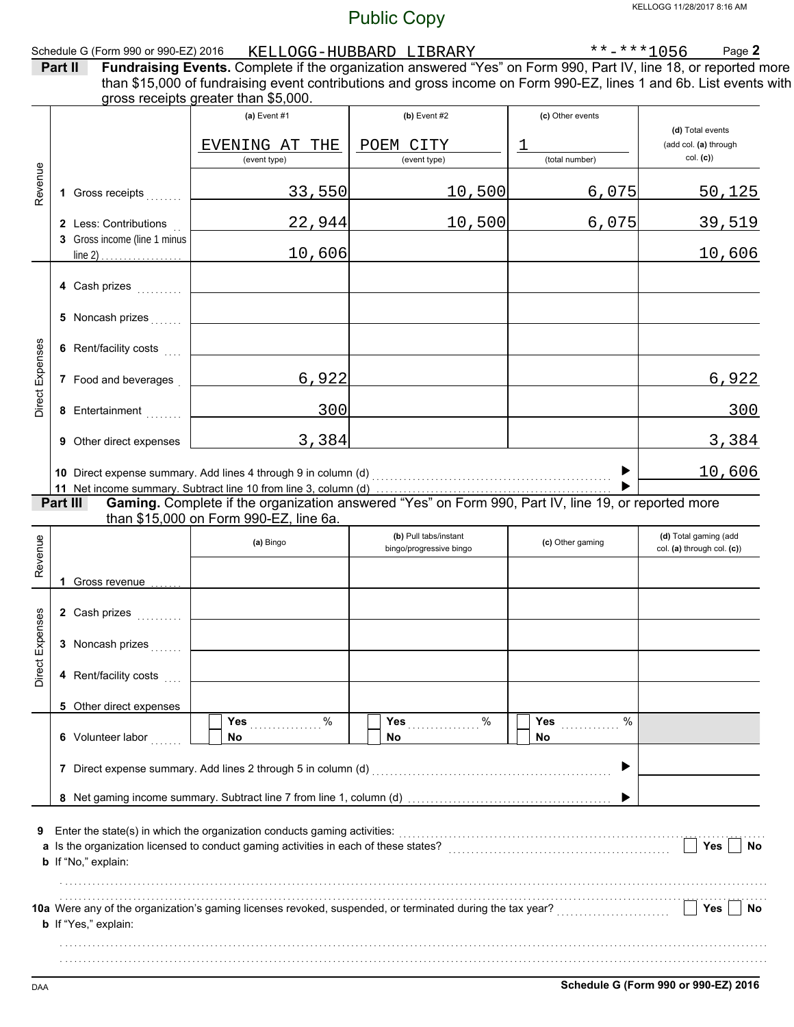|                 |                                                       |                                                                                                                                                                                                                                                                               | <b>FUDIIC COPY</b>                               |                                                          |                                                       |
|-----------------|-------------------------------------------------------|-------------------------------------------------------------------------------------------------------------------------------------------------------------------------------------------------------------------------------------------------------------------------------|--------------------------------------------------|----------------------------------------------------------|-------------------------------------------------------|
|                 | Schedule G (Form 990 or 990-EZ) 2016<br>Part II       | Fundraising Events. Complete if the organization answered "Yes" on Form 990, Part IV, line 18, or reported more<br>than \$15,000 of fundraising event contributions and gross income on Form 990-EZ, lines 1 and 6b. List events with<br>gross receipts greater than \$5,000. | KELLOGG-HUBBARD LIBRARY                          | $\frac{\ast \ast - \ast \ast 1056}{\ast \ast \ast 1056}$ | Page 2                                                |
|                 |                                                       | (a) Event #1<br>EVENING AT THE<br>(event type)                                                                                                                                                                                                                                | $(b)$ Event #2<br>POEM CITY<br>(event type)      | (c) Other events<br>1<br>(total number)                  | (d) Total events<br>(add col. (a) through<br>col. (c) |
| Revenue         | 1 Gross receipts                                      | 33,550                                                                                                                                                                                                                                                                        | 10,500                                           | 6,075                                                    | 50,125                                                |
|                 | 2 Less: Contributions<br>3 Gross income (line 1 minus | 22,944                                                                                                                                                                                                                                                                        | 10,500                                           | 6,075                                                    | 39,519                                                |
|                 | line 2) $\ldots$                                      | 10,606                                                                                                                                                                                                                                                                        |                                                  |                                                          | <u> 10,606</u>                                        |
|                 | 4 Cash prizes                                         |                                                                                                                                                                                                                                                                               |                                                  |                                                          |                                                       |
|                 | 5 Noncash prizes                                      |                                                                                                                                                                                                                                                                               |                                                  |                                                          |                                                       |
|                 | 6 Rent/facility costs                                 |                                                                                                                                                                                                                                                                               |                                                  |                                                          |                                                       |
| Direct Expenses | 7 Food and beverages                                  | 6,922                                                                                                                                                                                                                                                                         |                                                  |                                                          | 6,922                                                 |
|                 | 8 Entertainment                                       | 300                                                                                                                                                                                                                                                                           |                                                  |                                                          | 300                                                   |
|                 | 9 Other direct expenses                               | 3,384                                                                                                                                                                                                                                                                         |                                                  |                                                          | 3,384                                                 |
|                 |                                                       | 10 Direct expense summary. Add lines 4 through 9 in column (d)                                                                                                                                                                                                                |                                                  | ▶                                                        | 10,606                                                |
|                 | Part III                                              | Gaming. Complete if the organization answered "Yes" on Form 990, Part IV, line 19, or reported more<br>than \$15,000 on Form 990-EZ, line 6a.                                                                                                                                 |                                                  |                                                          |                                                       |
| Revenue         |                                                       | (a) Bingo                                                                                                                                                                                                                                                                     | (b) Pull tabs/instant<br>bingo/progressive bingo | (c) Other gaming                                         | (d) Total gaming (add<br>col. (a) through col. (c))   |
|                 | 1 Gross revenue                                       |                                                                                                                                                                                                                                                                               |                                                  |                                                          |                                                       |
|                 | 2 Cash prizes                                         |                                                                                                                                                                                                                                                                               |                                                  |                                                          |                                                       |
| Direct Expenses | 3 Noncash prizes                                      |                                                                                                                                                                                                                                                                               |                                                  |                                                          |                                                       |
|                 | 4 Rent/facility costs                                 |                                                                                                                                                                                                                                                                               |                                                  |                                                          |                                                       |
|                 | 5 Other direct expenses                               | Yes 9%                                                                                                                                                                                                                                                                        | Yes $%$                                          | $\frac{0}{0}$<br><b>Yes</b>                              |                                                       |
|                 | 6 Volunteer labor                                     | No.                                                                                                                                                                                                                                                                           | No.                                              | <b>No</b>                                                |                                                       |
|                 |                                                       | 7 Direct expense summary. Add lines 2 through 5 in column (d) [11] content content content content content and material content and material content and material content and material content and material content and materi                                                |                                                  | ▶                                                        |                                                       |
|                 |                                                       |                                                                                                                                                                                                                                                                               |                                                  |                                                          |                                                       |
| 9               | b If "No," explain:                                   |                                                                                                                                                                                                                                                                               |                                                  |                                                          | Yes<br>No                                             |
|                 | <b>b</b> If "Yes," explain:                           | 10a Were any of the organization's gaming licenses revoked, suspended, or terminated during the tax year?                                                                                                                                                                     |                                                  |                                                          | Yes<br><b>No</b>                                      |
|                 |                                                       |                                                                                                                                                                                                                                                                               |                                                  |                                                          |                                                       |

. . . . . . . . . . . . . . . . . . . . . . . . . . . . . . . . . . . . . . . . . . . . . . . . . . . . . . . . . . . . . . . . . . . . . . . . . . . . . . . . . . . . . . . . . . . . . . . . . . . . . . . . . . . . . . . . . . . . . . . . . . . . . . . . . . . . . . . . . . . . . . . . . . . . . . . . . . . .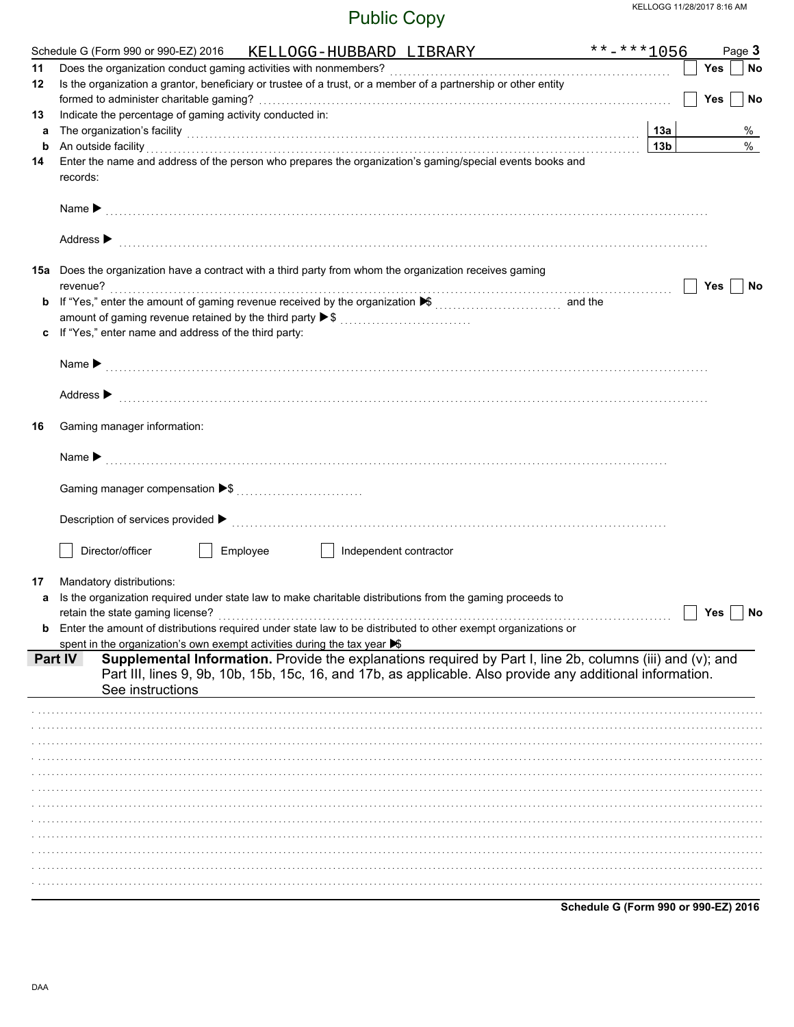| 11<br>12<br>13<br>а<br>b<br>14 | Is the organization a grantor, beneficiary or trustee of a trust, or a member of a partnership or other entity<br>Indicate the percentage of gaming activity conducted in:<br>The organization's facility [1, 2003] The organization's facility [1, 2004] The organization's facility [1, 2004] The organization's facility [1, 2004] The organization's facility [1, 2004] The organization of the organiza<br>An outside facility encourance and an outside facility of the set of the set of the set of the set of the set of the set of the set of the set of the set of the set of the set of the set of the set of the set of the set of | 13а             | Yes<br><b>Yes</b> | No<br>No |
|--------------------------------|------------------------------------------------------------------------------------------------------------------------------------------------------------------------------------------------------------------------------------------------------------------------------------------------------------------------------------------------------------------------------------------------------------------------------------------------------------------------------------------------------------------------------------------------------------------------------------------------------------------------------------------------|-----------------|-------------------|----------|
|                                |                                                                                                                                                                                                                                                                                                                                                                                                                                                                                                                                                                                                                                                |                 |                   |          |
|                                |                                                                                                                                                                                                                                                                                                                                                                                                                                                                                                                                                                                                                                                |                 |                   |          |
|                                |                                                                                                                                                                                                                                                                                                                                                                                                                                                                                                                                                                                                                                                |                 |                   |          |
|                                |                                                                                                                                                                                                                                                                                                                                                                                                                                                                                                                                                                                                                                                |                 |                   |          |
|                                |                                                                                                                                                                                                                                                                                                                                                                                                                                                                                                                                                                                                                                                |                 |                   | $\%$     |
|                                |                                                                                                                                                                                                                                                                                                                                                                                                                                                                                                                                                                                                                                                | 13 <sub>b</sub> |                   | $\%$     |
|                                | Enter the name and address of the person who prepares the organization's gaming/special events books and                                                                                                                                                                                                                                                                                                                                                                                                                                                                                                                                       |                 |                   |          |
|                                | records:                                                                                                                                                                                                                                                                                                                                                                                                                                                                                                                                                                                                                                       |                 |                   |          |
|                                |                                                                                                                                                                                                                                                                                                                                                                                                                                                                                                                                                                                                                                                |                 |                   |          |
|                                | Address $\blacktriangleright$                                                                                                                                                                                                                                                                                                                                                                                                                                                                                                                                                                                                                  |                 |                   |          |
|                                | 15a Does the organization have a contract with a third party from whom the organization receives gaming                                                                                                                                                                                                                                                                                                                                                                                                                                                                                                                                        |                 |                   |          |
|                                | revenue?                                                                                                                                                                                                                                                                                                                                                                                                                                                                                                                                                                                                                                       |                 | Yes               | No       |
| b                              |                                                                                                                                                                                                                                                                                                                                                                                                                                                                                                                                                                                                                                                |                 |                   |          |
|                                | amount of gaming revenue retained by the third party ▶ \$                                                                                                                                                                                                                                                                                                                                                                                                                                                                                                                                                                                      |                 |                   |          |
| c                              | If "Yes," enter name and address of the third party:                                                                                                                                                                                                                                                                                                                                                                                                                                                                                                                                                                                           |                 |                   |          |
|                                |                                                                                                                                                                                                                                                                                                                                                                                                                                                                                                                                                                                                                                                |                 |                   |          |
|                                |                                                                                                                                                                                                                                                                                                                                                                                                                                                                                                                                                                                                                                                |                 |                   |          |
|                                | Address > the communication of the contract of the contract of the contract of the contract of the contract of the contract of the contract of the contract of the contract of the contract of the contract of the contract of                                                                                                                                                                                                                                                                                                                                                                                                                 |                 |                   |          |
| 16                             | Gaming manager information:                                                                                                                                                                                                                                                                                                                                                                                                                                                                                                                                                                                                                    |                 |                   |          |
|                                |                                                                                                                                                                                                                                                                                                                                                                                                                                                                                                                                                                                                                                                |                 |                   |          |
|                                |                                                                                                                                                                                                                                                                                                                                                                                                                                                                                                                                                                                                                                                |                 |                   |          |
|                                |                                                                                                                                                                                                                                                                                                                                                                                                                                                                                                                                                                                                                                                |                 |                   |          |
|                                | Description of services provided $\blacktriangleright$ [100] contract the contract of the contract of services provided $\blacktriangleright$ [100] contract the contract of the contract of the contract of the contract of the contract of the contract                                                                                                                                                                                                                                                                                                                                                                                      |                 |                   |          |
|                                | Director/officer<br>Employee<br>Independent contractor<br>and the state of the                                                                                                                                                                                                                                                                                                                                                                                                                                                                                                                                                                 |                 |                   |          |
| 17                             | Mandatory distributions:                                                                                                                                                                                                                                                                                                                                                                                                                                                                                                                                                                                                                       |                 |                   |          |
| a                              | Is the organization required under state law to make charitable distributions from the gaming proceeds to                                                                                                                                                                                                                                                                                                                                                                                                                                                                                                                                      |                 |                   |          |
|                                |                                                                                                                                                                                                                                                                                                                                                                                                                                                                                                                                                                                                                                                |                 | Yes               | No       |
|                                | Enter the amount of distributions required under state law to be distributed to other exempt organizations or                                                                                                                                                                                                                                                                                                                                                                                                                                                                                                                                  |                 |                   |          |
|                                |                                                                                                                                                                                                                                                                                                                                                                                                                                                                                                                                                                                                                                                |                 |                   |          |
| Part IV                        | spent in the organization's own exempt activities during the tax year S<br>Supplemental Information. Provide the explanations required by Part I, line 2b, columns (iii) and (v); and                                                                                                                                                                                                                                                                                                                                                                                                                                                          |                 |                   |          |
|                                | Part III, lines 9, 9b, 10b, 15b, 15c, 16, and 17b, as applicable. Also provide any additional information.                                                                                                                                                                                                                                                                                                                                                                                                                                                                                                                                     |                 |                   |          |
|                                | See instructions                                                                                                                                                                                                                                                                                                                                                                                                                                                                                                                                                                                                                               |                 |                   |          |
|                                |                                                                                                                                                                                                                                                                                                                                                                                                                                                                                                                                                                                                                                                |                 |                   |          |
|                                |                                                                                                                                                                                                                                                                                                                                                                                                                                                                                                                                                                                                                                                |                 |                   |          |
|                                |                                                                                                                                                                                                                                                                                                                                                                                                                                                                                                                                                                                                                                                |                 |                   |          |
|                                |                                                                                                                                                                                                                                                                                                                                                                                                                                                                                                                                                                                                                                                |                 |                   |          |
|                                |                                                                                                                                                                                                                                                                                                                                                                                                                                                                                                                                                                                                                                                |                 |                   |          |
|                                |                                                                                                                                                                                                                                                                                                                                                                                                                                                                                                                                                                                                                                                |                 |                   |          |
|                                |                                                                                                                                                                                                                                                                                                                                                                                                                                                                                                                                                                                                                                                |                 |                   |          |
|                                |                                                                                                                                                                                                                                                                                                                                                                                                                                                                                                                                                                                                                                                |                 |                   |          |
|                                |                                                                                                                                                                                                                                                                                                                                                                                                                                                                                                                                                                                                                                                |                 |                   |          |
|                                |                                                                                                                                                                                                                                                                                                                                                                                                                                                                                                                                                                                                                                                |                 |                   |          |
|                                |                                                                                                                                                                                                                                                                                                                                                                                                                                                                                                                                                                                                                                                |                 |                   |          |
|                                |                                                                                                                                                                                                                                                                                                                                                                                                                                                                                                                                                                                                                                                |                 |                   |          |
|                                |                                                                                                                                                                                                                                                                                                                                                                                                                                                                                                                                                                                                                                                |                 |                   |          |
|                                |                                                                                                                                                                                                                                                                                                                                                                                                                                                                                                                                                                                                                                                |                 |                   |          |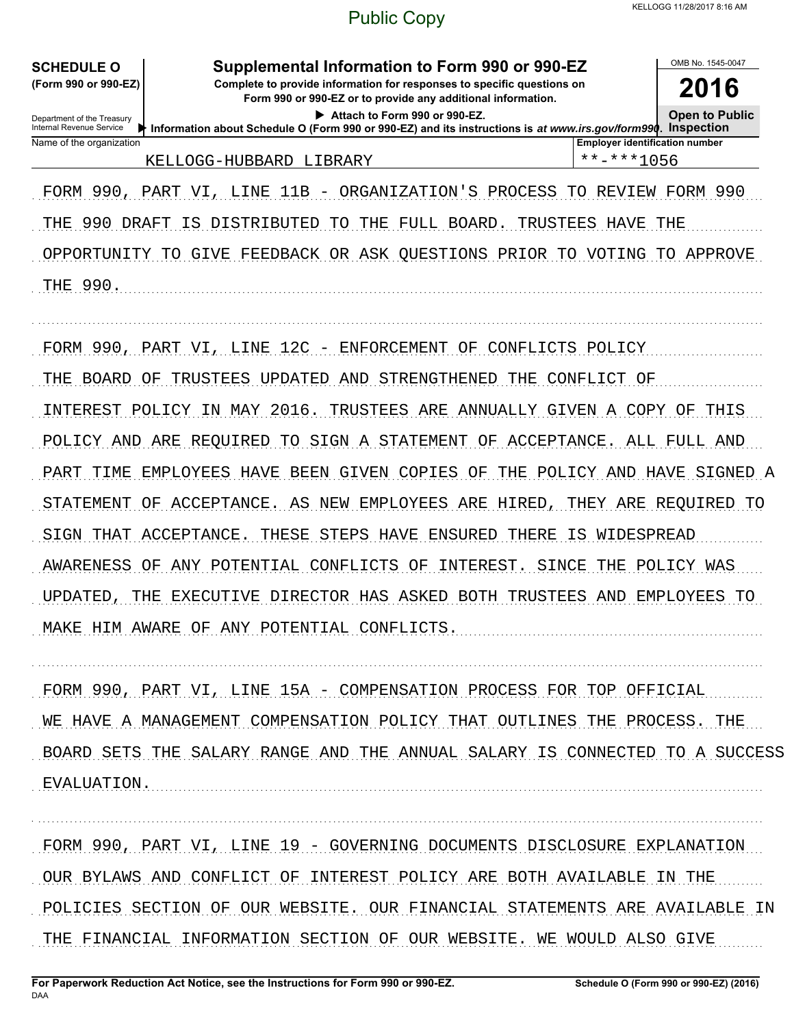**SCHEDULE O** 

(Form 990 or 990-EZ)

Supplemental Information to Form 990 or 990-EZ

Complete to provide information for responses to specific questions on Form 990 or 990-EZ or to provide any additional information.

2016 **Open to Public** 

OMB No 1545-0047

| Attach to Form 990 or 990-EZ. |
|-------------------------------|
|-------------------------------|

Department of the Treasury<br>Internal Revenue Service Information about Schedule O (Form 990 or 990-EZ) and its instructions is at www.irs.gov/form990. Inspection Name of the organization **Employer identification number** \*\*-\*\*\*1056 KELLOGG-HUBBARD LIBRARY

FORM 990, PART VI, LINE 11B - ORGANIZATION'S PROCESS TO REVIEW FORM 990 THE 990 DRAFT IS DISTRIBUTED TO THE FULL BOARD. TRUSTEES HAVE THE OPPORTUNITY TO GIVE FEEDBACK OR ASK QUESTIONS PRIOR TO VOTING TO APPROVE THE 990.

FORM 990, PART VI, LINE 12C - ENFORCEMENT OF CONFLICTS POLICY THE BOARD OF TRUSTEES UPDATED AND STRENGTHENED THE CONFLICT OF INTEREST POLICY IN MAY 2016. TRUSTEES ARE ANNUALLY GIVEN A COPY OF THIS POLICY AND ARE REQUIRED TO SIGN A STATEMENT OF ACCEPTANCE. ALL FULL AND PART TIME EMPLOYEES HAVE BEEN GIVEN COPIES OF THE POLICY AND HAVE SIGNED A STATEMENT OF ACCEPTANCE. AS NEW EMPLOYEES ARE HIRED, THEY ARE REQUIRED TO SIGN THAT ACCEPTANCE. THESE STEPS HAVE ENSURED THERE IS WIDESPREAD AWARENESS OF ANY POTENTIAL CONFLICTS OF INTEREST. SINCE THE POLICY WAS UPDATED, THE EXECUTIVE DIRECTOR HAS ASKED BOTH TRUSTEES AND EMPLOYEES TO MAKE HIM AWARE OF ANY POTENTIAL CONFLICTS.

FORM 990, PART VI, LINE 15A - COMPENSATION PROCESS FOR TOP OFFICIAL WE HAVE A MANAGEMENT COMPENSATION POLICY THAT OUTLINES THE PROCESS. THE BOARD SETS THE SALARY RANGE AND THE ANNUAL SALARY IS CONNECTED TO A SUCCESS EVALUATION.

FORM 990, PART VI, LINE 19 - GOVERNING DOCUMENTS DISCLOSURE EXPLANATION OUR BYLAWS AND CONFLICT OF INTEREST POLICY ARE BOTH AVAILABLE IN THE POLICIES SECTION OF OUR WEBSITE. OUR FINANCIAL STATEMENTS ARE AVAILABLE IN THE FINANCIAL INFORMATION SECTION OF OUR WEBSITE. WE WOULD ALSO GIVE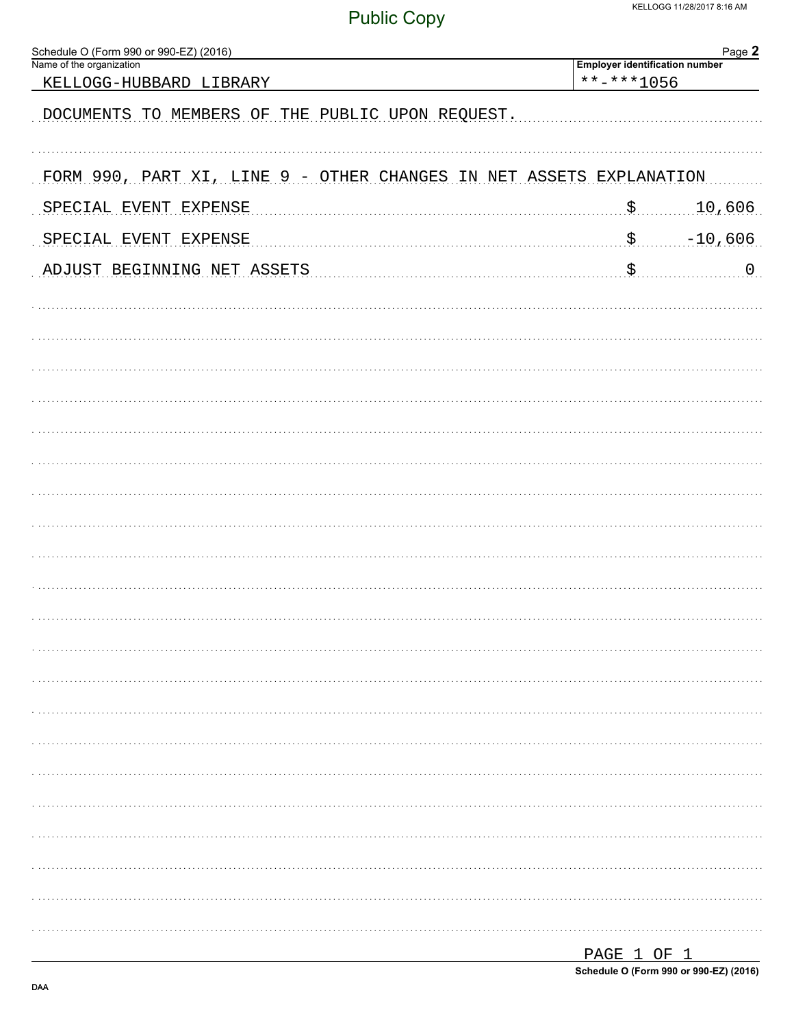| Schedule O (Form 990 or 990-EZ) (2016)                              | Page 2                                              |  |  |  |  |
|---------------------------------------------------------------------|-----------------------------------------------------|--|--|--|--|
| Name of the organization<br>KELLOGG-HUBBARD LIBRARY                 | <b>Employer identification number</b><br>**-***1056 |  |  |  |  |
| DOCUMENTS TO MEMBERS OF THE PUBLIC UPON REQUEST.                    |                                                     |  |  |  |  |
| FORM 990, PART XI, LINE 9 - OTHER CHANGES IN NET ASSETS EXPLANATION |                                                     |  |  |  |  |
| SPECIAL EVENT EXPENSE                                               | $\boldsymbol{\mathsf{S}}$ .<br>10,606               |  |  |  |  |
| SPECIAL EVENT EXPENSE                                               | $\boldsymbol{\mathsf{S}}$<br>$-10,606$              |  |  |  |  |
| ADJUST BEGINNING NET ASSETS                                         | \$<br>0                                             |  |  |  |  |
|                                                                     |                                                     |  |  |  |  |
|                                                                     |                                                     |  |  |  |  |
|                                                                     |                                                     |  |  |  |  |
|                                                                     |                                                     |  |  |  |  |
|                                                                     |                                                     |  |  |  |  |
|                                                                     |                                                     |  |  |  |  |
|                                                                     |                                                     |  |  |  |  |
|                                                                     |                                                     |  |  |  |  |
|                                                                     |                                                     |  |  |  |  |
|                                                                     |                                                     |  |  |  |  |
|                                                                     |                                                     |  |  |  |  |
|                                                                     |                                                     |  |  |  |  |
|                                                                     |                                                     |  |  |  |  |
|                                                                     |                                                     |  |  |  |  |
|                                                                     |                                                     |  |  |  |  |
|                                                                     |                                                     |  |  |  |  |
|                                                                     |                                                     |  |  |  |  |
|                                                                     |                                                     |  |  |  |  |
|                                                                     |                                                     |  |  |  |  |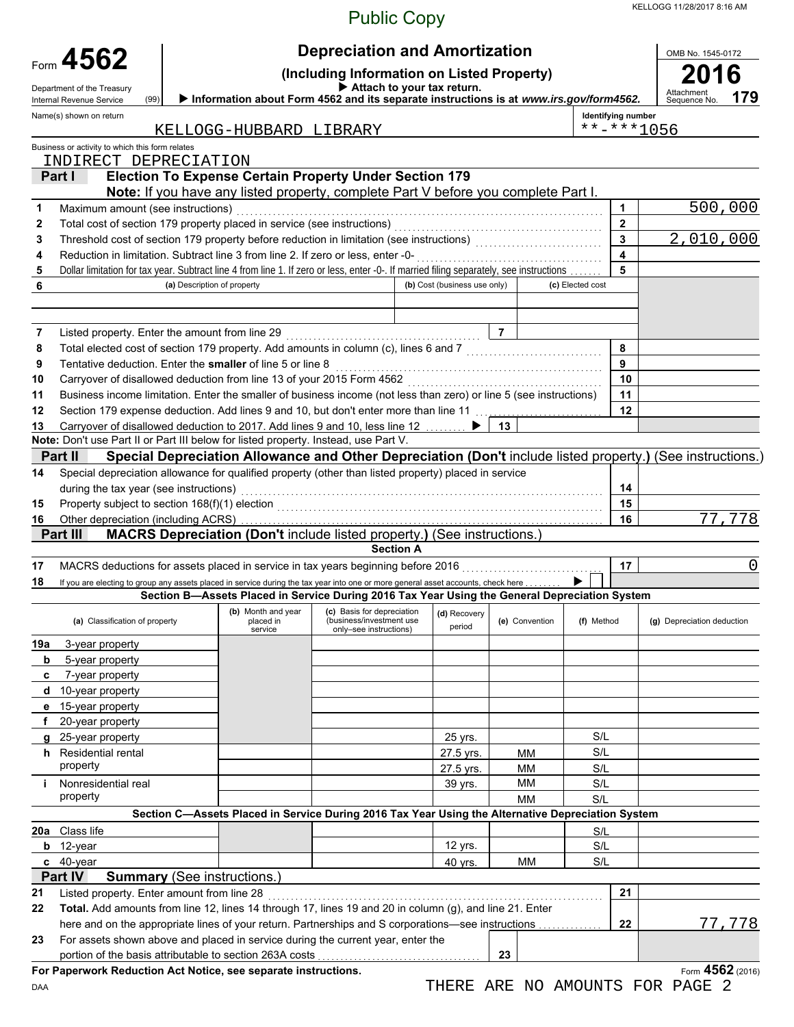KELLOGG 11/28/2017 8:16 AM

### Public Copy

|        | Form 4562                                                                                                                                                                             |                                                                                                   |  | <b>Depreciation and Amortization</b>                                                  |                              |                 |                           | OMB No. 1545-0172                                                                                         |
|--------|---------------------------------------------------------------------------------------------------------------------------------------------------------------------------------------|---------------------------------------------------------------------------------------------------|--|---------------------------------------------------------------------------------------|------------------------------|-----------------|---------------------------|-----------------------------------------------------------------------------------------------------------|
|        | (Including Information on Listed Property)<br>$\blacktriangleright$ Attach to your tax return.                                                                                        |                                                                                                   |  |                                                                                       |                              |                 |                           |                                                                                                           |
|        | Department of the Treasury<br>(99)<br>Internal Revenue Service                                                                                                                        |                                                                                                   |  | Information about Form 4562 and its separate instructions is at www.irs.gov/form4562. |                              |                 |                           | Attachment<br>Sequence No.<br>179                                                                         |
|        | Name(s) shown on return                                                                                                                                                               |                                                                                                   |  |                                                                                       |                              |                 | <b>Identifying number</b> |                                                                                                           |
|        |                                                                                                                                                                                       | KELLOGG-HUBBARD LIBRARY                                                                           |  |                                                                                       |                              |                 | $******1056$              |                                                                                                           |
|        | Business or activity to which this form relates                                                                                                                                       |                                                                                                   |  |                                                                                       |                              |                 |                           |                                                                                                           |
|        | INDIRECT DEPRECIATION<br>Part I                                                                                                                                                       | <b>Election To Expense Certain Property Under Section 179</b>                                     |  |                                                                                       |                              |                 |                           |                                                                                                           |
|        |                                                                                                                                                                                       | Note: If you have any listed property, complete Part V before you complete Part I.                |  |                                                                                       |                              |                 |                           |                                                                                                           |
| 1      | Maximum amount (see instructions)                                                                                                                                                     |                                                                                                   |  |                                                                                       |                              |                 | 1                         | 500,000                                                                                                   |
| 2      |                                                                                                                                                                                       | Total cost of section 179 property placed in service (see instructions)                           |  |                                                                                       |                              |                 | $\mathbf{2}$              |                                                                                                           |
| 3      | Threshold cost of section 179 property before reduction in limitation (see instructions)                                                                                              |                                                                                                   |  |                                                                                       |                              |                 | 3                         | 2,010,000                                                                                                 |
| 4      | Reduction in limitation. Subtract line 3 from line 2. If zero or less, enter -0-                                                                                                      |                                                                                                   |  |                                                                                       |                              |                 | 4                         |                                                                                                           |
| 5<br>6 | Dollar limitation for tax year. Subtract line 4 from line 1. If zero or less, enter -0-. If married filing separately, see instructions                                               | (a) Description of property                                                                       |  |                                                                                       | (b) Cost (business use only) |                 | 5<br>(c) Elected cost     |                                                                                                           |
|        |                                                                                                                                                                                       |                                                                                                   |  |                                                                                       |                              |                 |                           |                                                                                                           |
|        |                                                                                                                                                                                       |                                                                                                   |  |                                                                                       |                              |                 |                           |                                                                                                           |
| 7      | Listed property. Enter the amount from line 29                                                                                                                                        |                                                                                                   |  |                                                                                       |                              | $\overline{7}$  |                           |                                                                                                           |
| 8      | Total elected cost of section 179 property. Add amounts in column (c), lines 6 and 7                                                                                                  |                                                                                                   |  |                                                                                       |                              |                 | 8                         |                                                                                                           |
| 9      | Tentative deduction. Enter the smaller of line 5 or line 8                                                                                                                            |                                                                                                   |  |                                                                                       |                              |                 | 9                         |                                                                                                           |
| 10     | Carryover of disallowed deduction from line 13 of your 2015 Form 4562                                                                                                                 |                                                                                                   |  |                                                                                       |                              |                 | 10                        |                                                                                                           |
| 11     | Business income limitation. Enter the smaller of business income (not less than zero) or line 5 (see instructions)                                                                    |                                                                                                   |  |                                                                                       |                              |                 | 11                        |                                                                                                           |
| 12     | Section 179 expense deduction. Add lines 9 and 10, but don't enter more than line 11                                                                                                  |                                                                                                   |  |                                                                                       |                              |                 | 12                        |                                                                                                           |
| 13     | Note: Don't use Part II or Part III below for listed property. Instead, use Part V.                                                                                                   | Carryover of disallowed deduction to 2017. Add lines 9 and 10, less line 12                       |  |                                                                                       |                              | 13              |                           |                                                                                                           |
|        | Part II                                                                                                                                                                               |                                                                                                   |  |                                                                                       |                              |                 |                           | Special Depreciation Allowance and Other Depreciation (Don't include listed property.) (See instructions. |
| 14     | Special depreciation allowance for qualified property (other than listed property) placed in service                                                                                  |                                                                                                   |  |                                                                                       |                              |                 |                           |                                                                                                           |
|        | during the tax year (see instructions)                                                                                                                                                |                                                                                                   |  |                                                                                       |                              |                 | 14                        |                                                                                                           |
| 15     | Property subject to section 168(f)(1) election                                                                                                                                        |                                                                                                   |  |                                                                                       |                              |                 | 15                        |                                                                                                           |
| 16     |                                                                                                                                                                                       |                                                                                                   |  |                                                                                       |                              |                 | 16                        | ,778<br>77                                                                                                |
|        | Part III                                                                                                                                                                              | MACRS Depreciation (Don't include listed property.) (See instructions.                            |  |                                                                                       |                              |                 |                           |                                                                                                           |
|        |                                                                                                                                                                                       |                                                                                                   |  | <b>Section A</b>                                                                      |                              |                 |                           |                                                                                                           |
| 17     | MACRS deductions for assets placed in service in tax years beginning before 2016                                                                                                      |                                                                                                   |  |                                                                                       |                              |                 | 17                        | 0                                                                                                         |
| 18     | If you are electing to group any assets placed in service during the tax year into one or more general asset accounts, check here                                                     | Section B-Assets Placed in Service During 2016 Tax Year Using the General Depreciation System     |  |                                                                                       |                              |                 |                           |                                                                                                           |
|        |                                                                                                                                                                                       | (b) Month and year                                                                                |  | (c) Basis for depreciation                                                            | (d) Recovery                 |                 |                           |                                                                                                           |
|        | (a) Classification of property                                                                                                                                                        | placed in<br>service                                                                              |  | (business/investment use)<br>only-see instructions)                                   | period                       | (e) Convention  | (f) Method                | (g) Depreciation deduction                                                                                |
| 19a    | 3-year property                                                                                                                                                                       |                                                                                                   |  |                                                                                       |                              |                 |                           |                                                                                                           |
| b      | 5-year property                                                                                                                                                                       |                                                                                                   |  |                                                                                       |                              |                 |                           |                                                                                                           |
| c      | 7-year property                                                                                                                                                                       |                                                                                                   |  |                                                                                       |                              |                 |                           |                                                                                                           |
| d      | 10-year property                                                                                                                                                                      |                                                                                                   |  |                                                                                       |                              |                 |                           |                                                                                                           |
| е      | 15-year property                                                                                                                                                                      |                                                                                                   |  |                                                                                       |                              |                 |                           |                                                                                                           |
|        | 20-year property                                                                                                                                                                      |                                                                                                   |  |                                                                                       |                              |                 |                           |                                                                                                           |
|        | 25-year property                                                                                                                                                                      |                                                                                                   |  |                                                                                       | 25 yrs.                      |                 | S/L                       |                                                                                                           |
|        | h Residential rental<br>property                                                                                                                                                      |                                                                                                   |  |                                                                                       | 27.5 yrs.                    | MM<br><b>MM</b> | S/L                       |                                                                                                           |
| j.     | Nonresidential real                                                                                                                                                                   |                                                                                                   |  |                                                                                       | 27.5 yrs.<br>39 yrs.         | МM              | S/L<br>S/L                |                                                                                                           |
|        | property                                                                                                                                                                              |                                                                                                   |  |                                                                                       |                              | МM              | S/L                       |                                                                                                           |
|        |                                                                                                                                                                                       | Section C-Assets Placed in Service During 2016 Tax Year Using the Alternative Depreciation System |  |                                                                                       |                              |                 |                           |                                                                                                           |
| 20a    | Class life                                                                                                                                                                            |                                                                                                   |  |                                                                                       |                              |                 | S/L                       |                                                                                                           |
|        | $b$ 12-year                                                                                                                                                                           |                                                                                                   |  |                                                                                       | 12 yrs.                      |                 | S/L                       |                                                                                                           |
|        | c 40-year                                                                                                                                                                             |                                                                                                   |  |                                                                                       | 40 yrs.                      | <b>MM</b>       | S/L                       |                                                                                                           |
|        | Part IV                                                                                                                                                                               | <b>Summary (See instructions.)</b>                                                                |  |                                                                                       |                              |                 |                           |                                                                                                           |
| 21     | Listed property. Enter amount from line 28                                                                                                                                            |                                                                                                   |  |                                                                                       |                              |                 | 21                        |                                                                                                           |
| 22     | Total. Add amounts from line 12, lines 14 through 17, lines 19 and 20 in column (g), and line 21. Enter                                                                               |                                                                                                   |  |                                                                                       |                              |                 |                           |                                                                                                           |
|        | here and on the appropriate lines of your return. Partnerships and S corporations-see instructions<br>For assets shown above and placed in service during the current year, enter the |                                                                                                   |  |                                                                                       |                              |                 | 22                        | 77,778                                                                                                    |
| 23     |                                                                                                                                                                                       | portion of the basis attributable to section 263A costs                                           |  |                                                                                       |                              | 23              |                           |                                                                                                           |
|        | For Paperwork Reduction Act Notice, see separate instructions.                                                                                                                        |                                                                                                   |  |                                                                                       |                              |                 |                           | Form 4562 (2016)                                                                                          |
|        |                                                                                                                                                                                       |                                                                                                   |  |                                                                                       |                              |                 | <b>DELENTED</b>           |                                                                                                           |

THERE ARE NO AMOUNTS FOR PAGE 2

DAA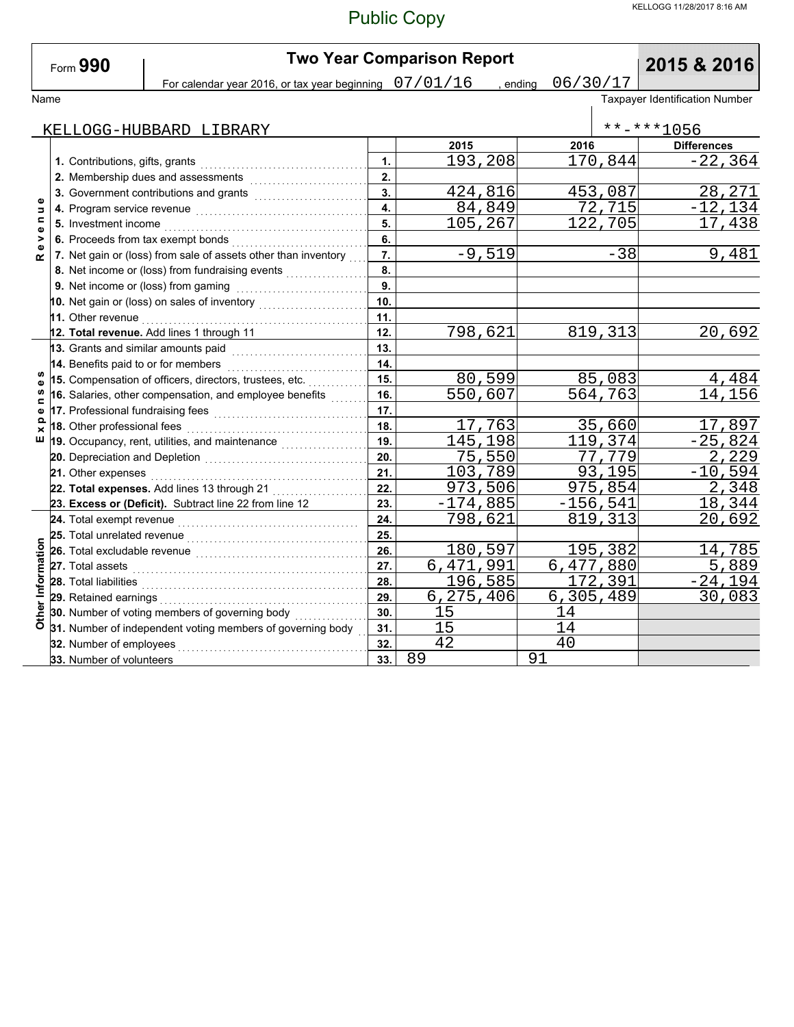| Form $990$                    |  |                                                                          | <b>Two Year Comparison Report</b>                                                                                                                                                                                                   | 2015 & 2016      |            |                      |             |                                |
|-------------------------------|--|--------------------------------------------------------------------------|-------------------------------------------------------------------------------------------------------------------------------------------------------------------------------------------------------------------------------------|------------------|------------|----------------------|-------------|--------------------------------|
|                               |  |                                                                          | For calendar year 2016, or tax year beginning $07/01/16$                                                                                                                                                                            |                  |            | 06/30/17<br>, ending |             |                                |
| Name                          |  |                                                                          |                                                                                                                                                                                                                                     |                  |            |                      |             | Taxpayer Identification Number |
|                               |  |                                                                          |                                                                                                                                                                                                                                     |                  |            |                      |             |                                |
|                               |  |                                                                          | KELLOGG-HUBBARD LIBRARY                                                                                                                                                                                                             |                  |            |                      |             | **-***1056                     |
|                               |  |                                                                          |                                                                                                                                                                                                                                     |                  | 2015       | 2016                 |             | <b>Differences</b>             |
|                               |  |                                                                          |                                                                                                                                                                                                                                     | $\mathbf{1}$     | 193,208    |                      | 170,844     | $-22, 364$                     |
|                               |  | 2. Membership dues and assessments [111] Membership dues and assessments |                                                                                                                                                                                                                                     |                  |            |                      |             |                                |
|                               |  |                                                                          | 3. Government contributions and grants [111] [11] Contract and Superman and Superman and Superman and Superman and Superman and Superman and Superman and Superman and Superman and Superman and Superman and Superman and Sup      | $\overline{3}$ . | 424,816    |                      | 453,087     | 28,271                         |
| Φ<br>$\overline{\phantom{a}}$ |  |                                                                          |                                                                                                                                                                                                                                     | $\overline{4}$   | 84,849     |                      | 72,715      | $-12, 134$                     |
| $\blacksquare$<br>Φ           |  | 5. Investment income                                                     |                                                                                                                                                                                                                                     | 5.               | 105,267    |                      | 122,705     | 17,438                         |
| >                             |  |                                                                          | 6. Proceeds from tax exempt bonds<br>.                                                                                                                                                                                              | 6.               |            |                      |             |                                |
| Φ<br>$\alpha$                 |  |                                                                          | 7. Net gain or (loss) from sale of assets other than inventory                                                                                                                                                                      | 7.               | $-9,519$   |                      | $-38$       | 9,481                          |
|                               |  |                                                                          | 8. Net income or (loss) from fundraising events                                                                                                                                                                                     | 8.               |            |                      |             |                                |
|                               |  |                                                                          |                                                                                                                                                                                                                                     | 9.               |            |                      |             |                                |
|                               |  |                                                                          |                                                                                                                                                                                                                                     | 10.              |            |                      |             |                                |
|                               |  |                                                                          |                                                                                                                                                                                                                                     | 11.              |            |                      |             |                                |
|                               |  |                                                                          | 12. Total revenue. Add lines 1 through 11                                                                                                                                                                                           | 12.              | 798,621    |                      | 819,313     | 20,692                         |
|                               |  |                                                                          | 13. Grants and similar amounts paid                                                                                                                                                                                                 | 13.              |            |                      |             |                                |
|                               |  |                                                                          | 14. Benefits paid to or for members                                                                                                                                                                                                 | 14.              |            |                      |             |                                |
| w                             |  |                                                                          | 15. Compensation of officers, directors, trustees, etc.                                                                                                                                                                             |                  | 80,599     |                      | 85,083      | 4,484                          |
| m                             |  |                                                                          | 16. Salaries, other compensation, and employee benefits                                                                                                                                                                             |                  | 550,607    | 564,763              |             | 14,156                         |
| $\blacksquare$<br>Φ           |  | 17. Professional fundraising fees                                        |                                                                                                                                                                                                                                     |                  |            |                      |             |                                |
| $\Omega$<br>×                 |  | 18. Other professional fees                                              |                                                                                                                                                                                                                                     | 18.              | 17,763     |                      | 35,660      | 17,897                         |
| ш                             |  |                                                                          | 19. Occupancy, rent, utilities, and maintenance <i>millionalism</i>                                                                                                                                                                 |                  | 145,198    | 119,374              |             | $-25,824$                      |
|                               |  |                                                                          |                                                                                                                                                                                                                                     |                  | 75,550     | 77,779               |             | 2,229                          |
|                               |  |                                                                          |                                                                                                                                                                                                                                     | 21.              | 103,789    | 93,195               |             | $-10,594$                      |
|                               |  |                                                                          | 22. Total expenses. Add lines 13 through 21                                                                                                                                                                                         | 22.              | 973,506    |                      | 975,854     | 2,348                          |
|                               |  |                                                                          | 23. Excess or (Deficit). Subtract line 22 from line 12                                                                                                                                                                              | 23.              | $-174,885$ |                      | $-156, 541$ | 18,344                         |
|                               |  |                                                                          |                                                                                                                                                                                                                                     | 24.              | 798,621    |                      | 819, 313    | 20,692                         |
|                               |  |                                                                          | 25. Total unrelated revenue <i>communically</i> contained a set of the set of the set of the set of the set of the set of the set of the set of the set of the set of the set of the set of the set of the set of the set of the se | 25.              |            |                      |             |                                |
|                               |  |                                                                          |                                                                                                                                                                                                                                     | 26.              | 180,597    |                      | 195,382     | 14,785                         |
|                               |  |                                                                          |                                                                                                                                                                                                                                     | 27.              | 6,471,991  |                      | 6,477,880   | 5,889                          |
| Other Information             |  |                                                                          |                                                                                                                                                                                                                                     | 28.              | 196,585    |                      | 172,391     | $-24,194$                      |
|                               |  |                                                                          |                                                                                                                                                                                                                                     | 29.              | 6,275,406  | 6,305,489            |             | 30,083                         |
|                               |  |                                                                          | 30. Number of voting members of governing body                                                                                                                                                                                      | 30.              | 15         | 14                   |             |                                |
|                               |  |                                                                          | 31. Number of independent voting members of governing body                                                                                                                                                                          | 31.              | 15         | 14                   |             |                                |
|                               |  | 32. Number of employees                                                  |                                                                                                                                                                                                                                     | 32.              | 42         | 40                   |             |                                |
|                               |  | 33. Number of volunteers                                                 |                                                                                                                                                                                                                                     | 33.              | 89         | 91                   |             |                                |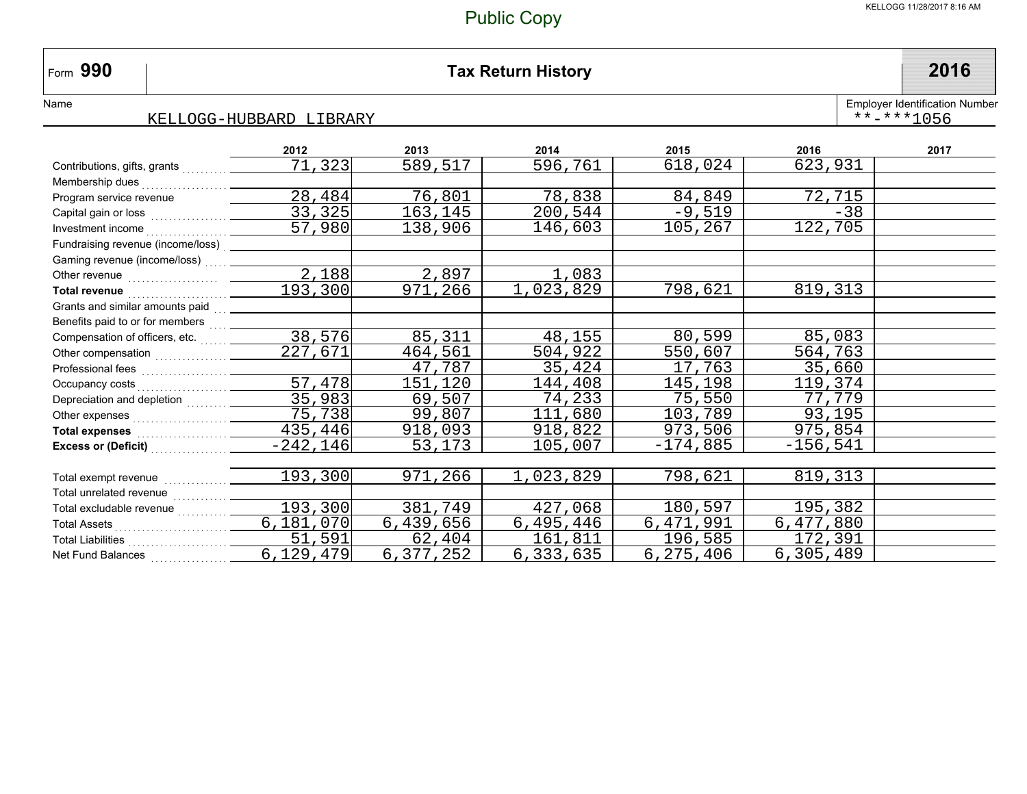#### **990 Tax Return History 2016**

NameEmployer Identification Number

Form 990

#### KELLOGG-HUBBARD LIBRARY\*\*-\*\*\*1056

|                                                                                                  | 2012        | 2013      | 2014      | 2015       | 2016        | 2017 |
|--------------------------------------------------------------------------------------------------|-------------|-----------|-----------|------------|-------------|------|
| Contributions, gifts, grants                                                                     | 71,323      | 589,517   | 596,761   | 618,024    | 623,931     |      |
|                                                                                                  |             |           |           |            |             |      |
| Program service revenue                                                                          | 28,484      | 76,801    | 78,838    | 84,849     | 72,715      |      |
|                                                                                                  | 33,325      | 163,145   | 200,544   | $-9,519$   | $-38$       |      |
|                                                                                                  | 57,980      | 138,906   | 146,603   | 105,267    | 122,705     |      |
| Fundraising revenue (income/loss) __________                                                     |             |           |           |            |             |      |
| Gaming revenue (income/loss)  ____                                                               |             |           |           |            |             |      |
| Other revenue <b>contained contained contained contained contained contained </b>                | 2,188       | 2,897     | 1,083     |            |             |      |
|                                                                                                  | 193,300     | 971,266   | 1,023,829 | 798,621    | 819,313     |      |
| Grants and similar amounts paid<br><u>[11]</u>                                                   |             |           |           |            |             |      |
| Benefits paid to or for members  _____                                                           |             |           |           |            |             |      |
| Compensation of officers, etc.                                                                   | 38,576      | 85,311    | 48,155    | 80,599     | 85,083      |      |
|                                                                                                  | 227,671     | 464,561   | 504,922   | 550,607    | 564,763     |      |
|                                                                                                  |             | 47,787    | 35,424    | 17,763     | 35,660      |      |
|                                                                                                  | 57,478      | 151,120   | 144,408   | 145,198    | 119,374     |      |
| Depreciation and depletion                                                                       | 35,983      | 69,507    | 74,233    | 75,550     | 77,779      |      |
|                                                                                                  | 75,738      | 99,807    | 111,680   | 103,789    | 93,195      |      |
| Total expenses 235, 446                                                                          |             | 918,093   | 918,822   | 973,506    | 975,854     |      |
| Excess or (Deficit) <b>Excess</b> or (Deficit)                                                   | $-242, 146$ | 53,173    | 105,007   | $-174,885$ | $-156,541$  |      |
|                                                                                                  |             |           |           |            |             |      |
| Total exempt revenue <i>[[[[[[[[[[[[[[[[[[[[[[[[[[[[[[[]]]]</i> ]]]]                             | 193,300     | 971,266   | 1,023,829 | 798,621    | 819,313     |      |
| Total unrelated revenue                                                                          |             |           |           |            |             |      |
| Total excludable revenue                                                                         | 193,300     | 381,749   | 427,068   | 180,597    | 195,382     |      |
| Total Assets<br><br><br><br><br><br><br><br><br><br><br><br><br><br><br><br><br><br><br><br><br> | 6,181,070   | 6,439,656 | 6,495,446 | 6,471,991  | 6,477,880   |      |
|                                                                                                  | 51,591      | 62,404    | 161,811   | 196,585    | 172,391     |      |
| Net Fund Balances                                                                                | 6,129,479   | 6,377,252 | 6,333,635 | 6,275,406  | 6, 305, 489 |      |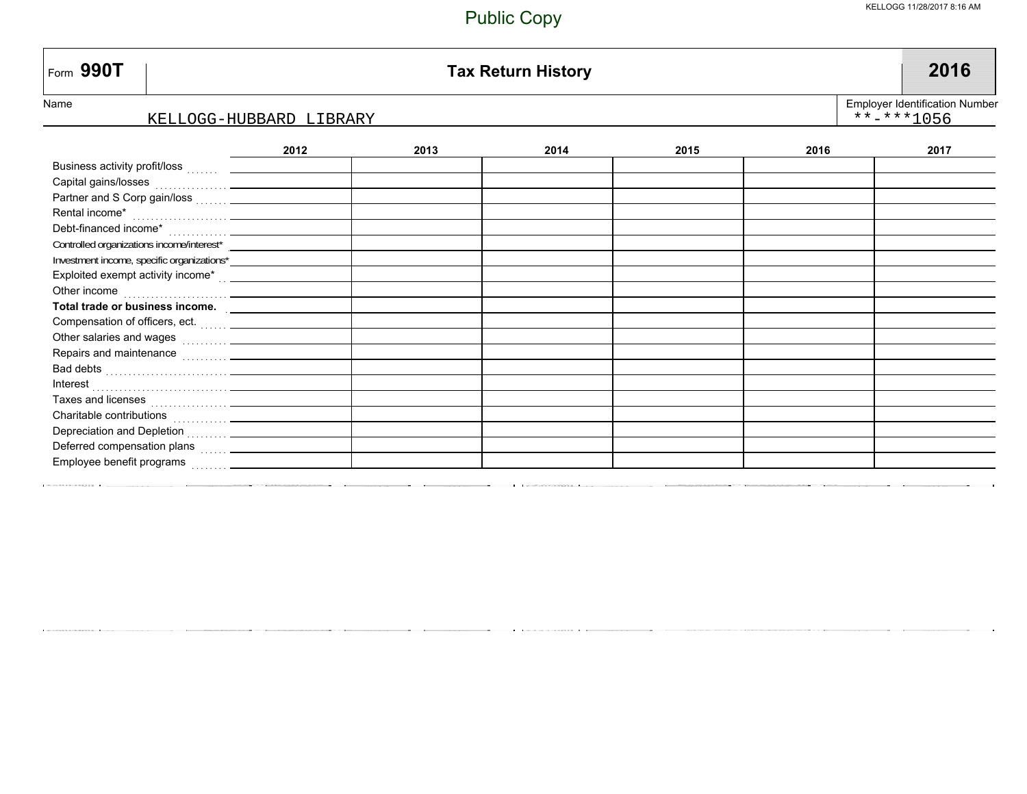#### KELLOGG 11/28/2017 8:16 AM

| Form 990T                                                                                                                                                                                                                      |                         |      | <b>Tax Return History</b> |      |      | 2016                                                  |
|--------------------------------------------------------------------------------------------------------------------------------------------------------------------------------------------------------------------------------|-------------------------|------|---------------------------|------|------|-------------------------------------------------------|
| Name                                                                                                                                                                                                                           |                         |      |                           |      |      | <b>Employer Identification Number</b><br>$******1056$ |
|                                                                                                                                                                                                                                | KELLOGG-HUBBARD LIBRARY |      |                           |      |      |                                                       |
|                                                                                                                                                                                                                                | 2012                    | 2013 | 2014                      | 2015 | 2016 | 2017                                                  |
|                                                                                                                                                                                                                                |                         |      |                           |      |      |                                                       |
|                                                                                                                                                                                                                                |                         |      |                           |      |      |                                                       |
|                                                                                                                                                                                                                                |                         |      |                           |      |      |                                                       |
|                                                                                                                                                                                                                                |                         |      |                           |      |      |                                                       |
|                                                                                                                                                                                                                                |                         |      |                           |      |      |                                                       |
|                                                                                                                                                                                                                                |                         |      |                           |      |      |                                                       |
|                                                                                                                                                                                                                                |                         |      |                           |      |      |                                                       |
| Exploited exempt activity income* contain and the set of the set of the set of the set of the set of the set of the set of the set of the set of the set of the set of the set of the set of the set of the set of the set of  |                         |      |                           |      |      |                                                       |
|                                                                                                                                                                                                                                |                         |      |                           |      |      |                                                       |
|                                                                                                                                                                                                                                |                         |      |                           |      |      |                                                       |
|                                                                                                                                                                                                                                |                         |      |                           |      |      |                                                       |
|                                                                                                                                                                                                                                |                         |      |                           |      |      |                                                       |
| Repairs and maintenance <b>container and maintenance</b>                                                                                                                                                                       |                         |      |                           |      |      |                                                       |
| Bad debts in the contract of the contract of the contract of the contract of the contract of the contract of the contract of the contract of the contract of the contract of the contract of the contract of the contract of t |                         |      |                           |      |      |                                                       |
|                                                                                                                                                                                                                                |                         |      |                           |      |      |                                                       |
|                                                                                                                                                                                                                                |                         |      |                           |      |      |                                                       |
| Charitable contributions<br><br><br><br><br><br><br><br><br><br><br><br><br><br><br><br><br><br><br><br><br><br><br><br><br><br>                                                                                               |                         |      |                           |      |      |                                                       |
|                                                                                                                                                                                                                                |                         |      |                           |      |      |                                                       |
|                                                                                                                                                                                                                                |                         |      |                           |      |      |                                                       |
|                                                                                                                                                                                                                                |                         |      |                           |      |      |                                                       |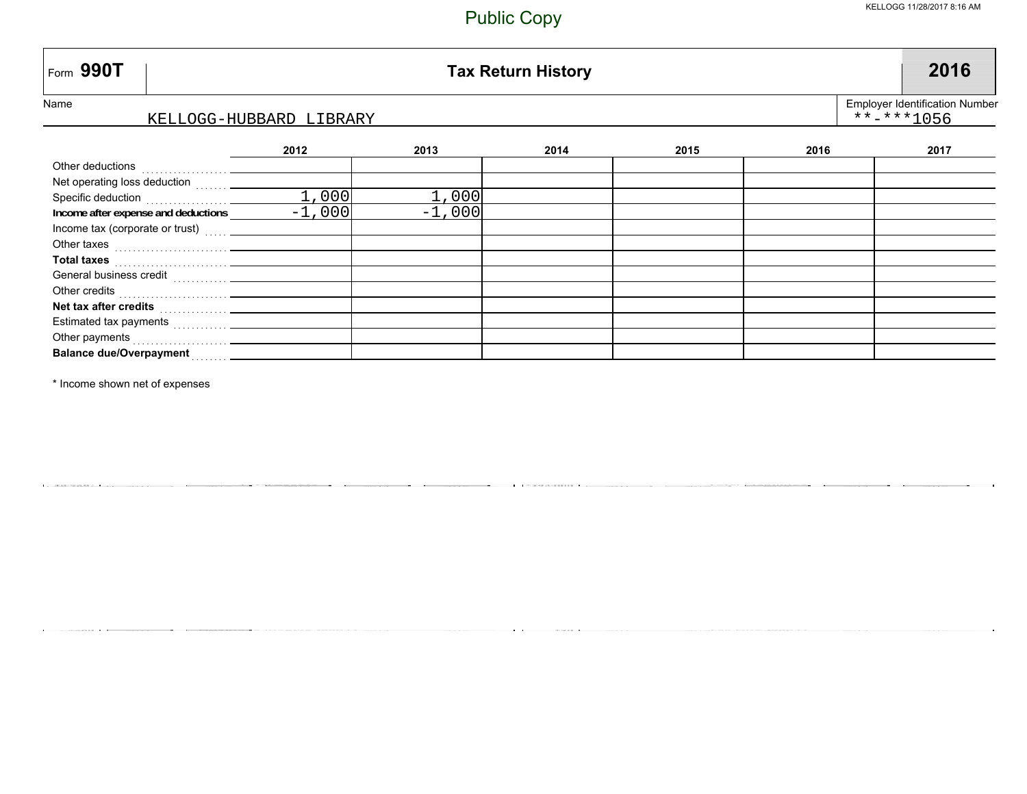| Form 990T<br><b>Tax Return History</b>                                                                                                                                                                                               |                                                           |          |      |      |      |      |
|--------------------------------------------------------------------------------------------------------------------------------------------------------------------------------------------------------------------------------------|-----------------------------------------------------------|----------|------|------|------|------|
| Name<br>KELLOGG-HUBBARD LIBRARY                                                                                                                                                                                                      | <b>Employer Identification Number</b><br>$***$ $***$ 1056 |          |      |      |      |      |
|                                                                                                                                                                                                                                      | 2012                                                      | 2013     | 2014 | 2015 | 2016 | 2017 |
|                                                                                                                                                                                                                                      |                                                           |          |      |      |      |      |
|                                                                                                                                                                                                                                      |                                                           |          |      |      |      |      |
|                                                                                                                                                                                                                                      | 1,000                                                     | 1,000    |      |      |      |      |
| Income after expense and deductions __________                                                                                                                                                                                       | $-1,000$                                                  | $-1,000$ |      |      |      |      |
| Income tax (corporate or trust)                                                                                                                                                                                                      |                                                           |          |      |      |      |      |
|                                                                                                                                                                                                                                      |                                                           |          |      |      |      |      |
| Total taxes <b>with the contract of the contract of the contract of the contract of the contract of the contract of the contract of the contract of the contract of the contract of the contract of the contract of the contract</b> |                                                           |          |      |      |      |      |
|                                                                                                                                                                                                                                      |                                                           |          |      |      |      |      |
|                                                                                                                                                                                                                                      |                                                           |          |      |      |      |      |
|                                                                                                                                                                                                                                      |                                                           |          |      |      |      |      |
|                                                                                                                                                                                                                                      |                                                           |          |      |      |      |      |
| Other payments                                                                                                                                                                                                                       |                                                           |          |      |      |      |      |
| <b>Balance due/Overpayment</b><br>. <b>.</b>                                                                                                                                                                                         |                                                           |          |      |      |      |      |

\* Income shown net of expenses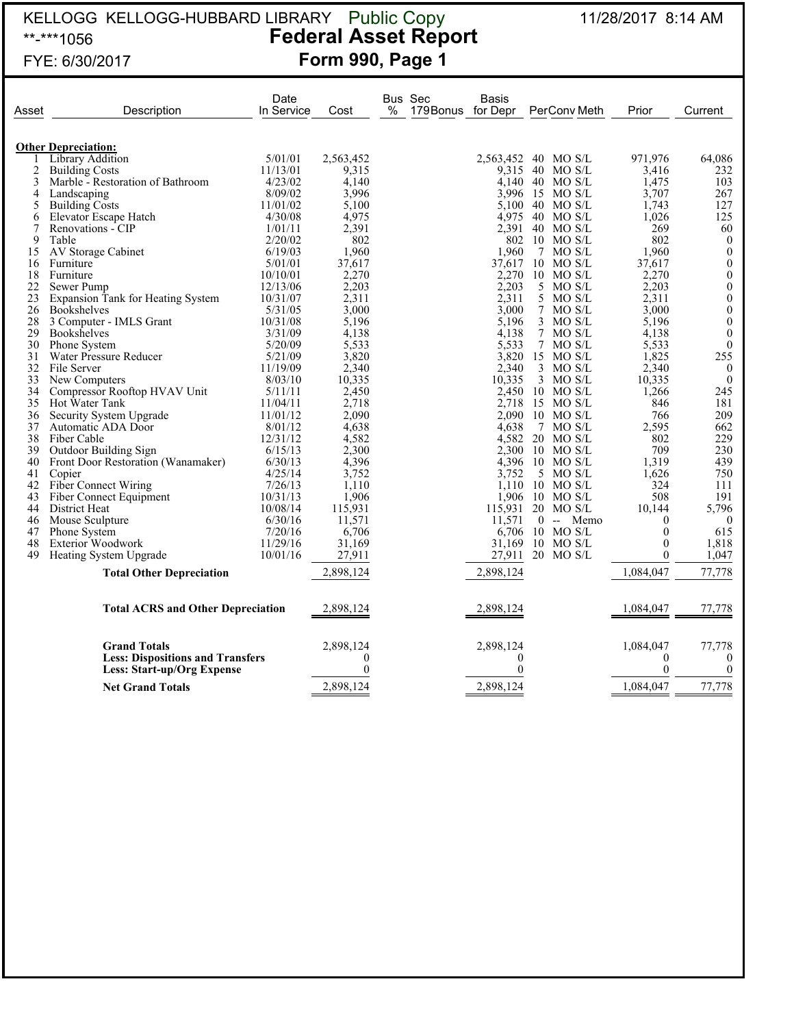#### KELLOGG KELLOGG-HUBBARD LIBRARY 11/28/2017 8:14 AM \*\*-\*\*\*1056 **Federal Asset Report** FYE: 6/30/2017 **Form 990, Page 1** Public Copy

| 1 U U U        |  |
|----------------|--|
| FYE: 6/30/2017 |  |

|       |                                          | Date       |           |   | Bus Sec           | Basis               |       |                  |                |                  |
|-------|------------------------------------------|------------|-----------|---|-------------------|---------------------|-------|------------------|----------------|------------------|
| Asset | Description                              | In Service | Cost      | % | 179Bonus for Depr |                     |       | PerConv Meth     | Prior          | Current          |
|       |                                          |            |           |   |                   |                     |       |                  |                |                  |
|       | <b>Other Depreciation:</b>               |            |           |   |                   |                     |       |                  |                |                  |
|       | Library Addition                         | 5/01/01    | 2,563,452 |   |                   | 2,563,452 40 MO S/L |       |                  | 971,976        | 64,086           |
| 2     | <b>Building Costs</b>                    | 11/13/01   | 9,315     |   |                   | 9,315               |       | 40 MO S/L        | 3,416          | 232              |
| 3     | Marble - Restoration of Bathroom         | 4/23/02    | 4.140     |   |                   |                     |       | 4.140 40 MO S/L  | 1,475          | 103              |
| 4     | Landscaping                              | 8/09/02    | 3,996     |   |                   |                     |       | 3.996 15 MO S/L  | 3,707          | 267              |
| 5     | Building Costs                           | 11/01/02   | 5,100     |   |                   |                     |       | 5,100 40 MO S/L  | 1,743          | 127              |
| 6     | Elevator Escape Hatch                    | 4/30/08    | 4,975     |   |                   |                     |       | 4.975 40 MO S/L  | 1,026          | 125              |
| 7     | Renovations - CIP                        | 1/01/11    | 2,391     |   |                   |                     |       | 2,391 40 MO S/L  | 269            | 60               |
| 9     | Table                                    | 2/20/02    | 802       |   |                   |                     |       | 802 10 MO S/L    | 802            | $\mathbf{0}$     |
| 15    | AV Storage Cabinet                       | 6/19/03    | 1,960     |   |                   | 1,960               |       | 7 MO S/L         | 1,960          | $\boldsymbol{0}$ |
| 16    | Furniture                                | 5/01/01    | 37,617    |   |                   | 37,617              |       | $10$ MO S/L      | 37,617         | $\boldsymbol{0}$ |
| 18    | Furniture                                | 10/10/01   | 2,270     |   |                   | 2,270               |       | $10$ MO S/L      | 2,270          | $\boldsymbol{0}$ |
| 22    | Sewer Pump                               | 12/13/06   | 2,203     |   |                   | 2,203               |       | 5 MO S/L         | 2,203          | $\boldsymbol{0}$ |
| 23    | Expansion Tank for Heating System        | 10/31/07   | 2,311     |   |                   | 2,311               |       | 5 MO S/L         | 2,311          | $\boldsymbol{0}$ |
| 26    | <b>Bookshelves</b>                       | 5/31/05    | 3,000     |   |                   | 3,000               |       | 7 MO S/L         | 3,000          | $\boldsymbol{0}$ |
| 28    | 3 Computer - IMLS Grant                  | 10/31/08   | 5,196     |   |                   | 5,196               |       | $3$ MO S/L       | 5,196          | $\boldsymbol{0}$ |
| 29    | <b>Bookshelves</b>                       | 3/31/09    | 4,138     |   |                   | 4.138               |       | 7 MO S/L         | 4.138          | $\overline{0}$   |
| 30    | Phone System                             | 5/20/09    | 5,533     |   |                   | 5,533               |       | 7 MO S/L         | 5,533          | $\mathbf{0}$     |
| 31    | Water Pressure Reducer                   | 5/21/09    | 3,820     |   |                   | 3,820               |       | 15 MO S/L        | 1,825          | 255              |
| 32    | File Server                              | 11/19/09   | 2,340     |   |                   | 2,340               |       | 3 MO S/L         | 2,340          | $\mathbf{0}$     |
| 33    | New Computers                            | 8/03/10    | 10,335    |   |                   | 10,335              |       | $3$ MO S/L       | 10,335         | $\mathbf{0}$     |
| 34    | Compressor Rooftop HVAV Unit             | 5/11/11    | 2,450     |   |                   |                     |       | 2,450 10 MO S/L  | 1,266          | 245              |
| 35    | Hot Water Tank                           | 11/04/11   | 2,718     |   |                   |                     |       | 2,718 15 MO S/L  | 846            | 181              |
| 36    | Security System Upgrade                  | 11/01/12   | 2,090     |   |                   | 2,090               |       | $10$ MO S/L      | 766            | 209              |
| 37    | Automatic ADA Door                       | 8/01/12    | 4,638     |   |                   | 4.638               |       | 7 MO S/L         | 2,595          | 662              |
| 38    | Fiber Cable                              | 12/31/12   | 4,582     |   |                   |                     |       | 4,582 20 MO S/L  | 802            | 229              |
| 39    | Outdoor Building Sign                    | 6/15/13    | 2,300     |   |                   |                     |       | 2,300 10 MO S/L  | 709            | 230              |
| 40    | Front Door Restoration (Wanamaker)       | 6/30/13    | 4,396     |   |                   |                     |       | 4.396 10 MO S/L  | 1,319          | 439              |
| 41    | Copier                                   | 4/25/14    | 3,752     |   |                   | 3.752               |       | 5 MO S/L         | 1,626          | 750              |
| 42    | <b>Fiber Connect Wiring</b>              | 7/26/13    | 1,110     |   |                   | 1.110               |       | $10$ MO S/L      | 324            | 111              |
| 43    | Fiber Connect Equipment                  | 10/31/13   | 1,906     |   |                   |                     |       | 1,906 10 MO S/L  | 508            | 191              |
| 44    | District Heat                            | 10/08/14   | 115,931   |   |                   | 115,931 20 MO S/L   |       |                  | 10,144         | 5,796            |
| 46    | Mouse Sculpture                          | 6/30/16    | 11,571    |   |                   | 11.571              | $0 -$ | Memo             | $\overline{0}$ | $\theta$         |
| 47    | <b>Phone System</b>                      | 7/20/16    | 6,706     |   |                   |                     |       | 6,706 10 MO S/L  | $\theta$       | 615              |
| 48    | <b>Exterior Woodwork</b>                 | 11/29/16   | 31,169    |   |                   | 31,169              |       | 10 MO S/L        | $\mathbf{0}$   | 1,818            |
| 49    | Heating System Upgrade                   | 10/01/16   | 27,911    |   |                   |                     |       | 27,911 20 MO S/L | $\mathbf{0}$   | 1,047            |
|       | <b>Total Other Depreciation</b>          |            | 2,898,124 |   |                   | 2,898,124           |       |                  | 1,084,047      | 77,778           |
|       |                                          |            |           |   |                   |                     |       |                  |                |                  |
|       | <b>Total ACRS and Other Depreciation</b> |            | 2,898,124 |   |                   | 2,898,124           |       |                  | 1,084,047      | 77,778           |
|       | <b>Grand Totals</b>                      |            | 2,898,124 |   |                   | 2,898,124           |       |                  | 1,084,047      | 77,778           |
|       | <b>Less: Dispositions and Transfers</b>  |            | $\Omega$  |   |                   | $\boldsymbol{0}$    |       |                  | $\overline{0}$ | $\theta$         |
|       | Less: Start-up/Org Expense               |            | $\theta$  |   |                   | $\theta$            |       |                  | $\mathbf{0}$   | $\theta$         |
|       |                                          |            | 2,898,124 |   |                   | 2,898,124           |       |                  | 1,084,047      | 77,778           |
|       | <b>Net Grand Totals</b>                  |            |           |   |                   |                     |       |                  |                |                  |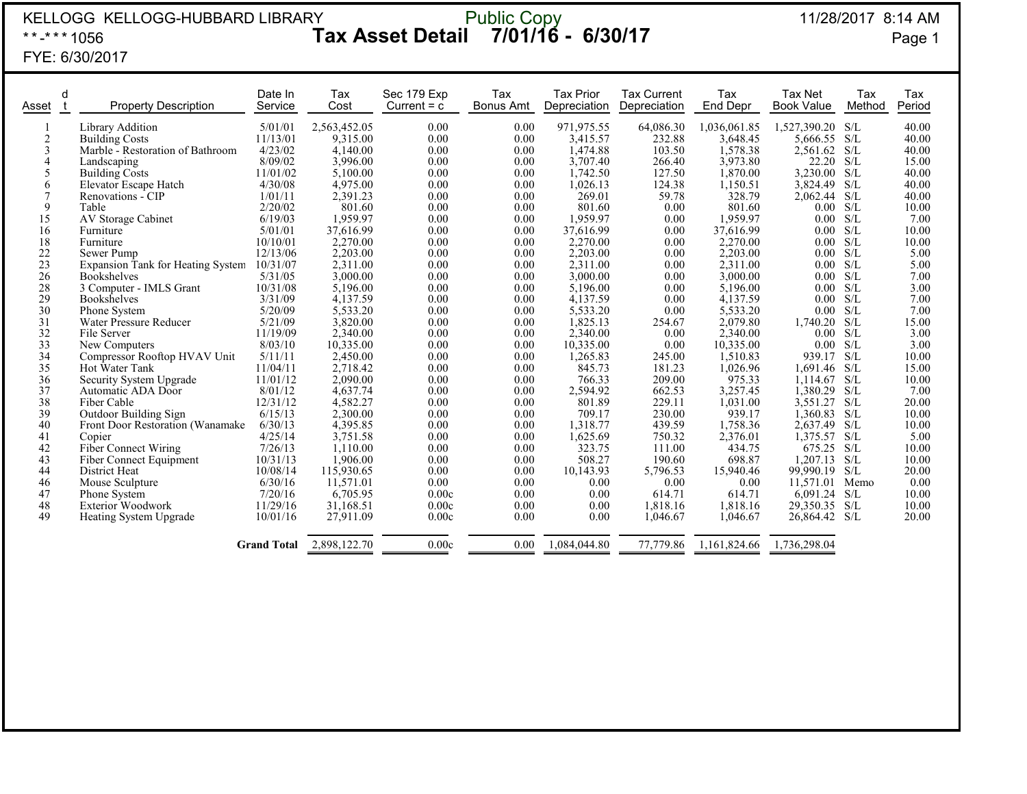| KELLOGG KELLOGG-HUBBARD LIBRARY<br>Public Copy<br><b>I</b> 7/01/16 - 6/30/17<br>11/28/2017 8:14 AM<br><b>Tax Asset Detail</b><br>**-*** 1056<br>FYE: 6/30/2017 |                                                                                                                                                                                                                                                                                                                                                                                                                                                                                             |                                                                                                                                                                                                                                            |                                                                                                                                                                                                                                                                          |                                                                                                                                                                              |                                                                                                                                                                              |                                                                                                                                                                                                                                                                    |                                                                                                                                                                                                    |                                                                                                                                                                                                                                                                        | Page 1                                                                                                                                                                                                                  |                                                                                                                                                 |                                                                                                                                                                                           |
|----------------------------------------------------------------------------------------------------------------------------------------------------------------|---------------------------------------------------------------------------------------------------------------------------------------------------------------------------------------------------------------------------------------------------------------------------------------------------------------------------------------------------------------------------------------------------------------------------------------------------------------------------------------------|--------------------------------------------------------------------------------------------------------------------------------------------------------------------------------------------------------------------------------------------|--------------------------------------------------------------------------------------------------------------------------------------------------------------------------------------------------------------------------------------------------------------------------|------------------------------------------------------------------------------------------------------------------------------------------------------------------------------|------------------------------------------------------------------------------------------------------------------------------------------------------------------------------|--------------------------------------------------------------------------------------------------------------------------------------------------------------------------------------------------------------------------------------------------------------------|----------------------------------------------------------------------------------------------------------------------------------------------------------------------------------------------------|------------------------------------------------------------------------------------------------------------------------------------------------------------------------------------------------------------------------------------------------------------------------|-------------------------------------------------------------------------------------------------------------------------------------------------------------------------------------------------------------------------|-------------------------------------------------------------------------------------------------------------------------------------------------|-------------------------------------------------------------------------------------------------------------------------------------------------------------------------------------------|
| d<br>Asset                                                                                                                                                     | <b>Property Description</b>                                                                                                                                                                                                                                                                                                                                                                                                                                                                 | Date In<br>Service                                                                                                                                                                                                                         | Tax<br>Cost                                                                                                                                                                                                                                                              | Sec 179 Exp<br>Current $= c$                                                                                                                                                 | Tax<br><b>Bonus Amt</b>                                                                                                                                                      | <b>Tax Prior</b><br>Depreciation                                                                                                                                                                                                                                   | <b>Tax Current</b><br>Depreciation                                                                                                                                                                 | Tax<br>End Depr                                                                                                                                                                                                                                                        | <b>Tax Net</b><br><b>Book Value</b>                                                                                                                                                                                     | Tax<br>Method                                                                                                                                   | Tax<br>Period                                                                                                                                                                             |
| $\overline{c}$<br>3<br>$\overline{4}$<br>5<br>6<br>$\tau$<br>9<br>15<br>16<br>18<br>$22\,$<br>23<br>26<br>28<br>29<br>30<br>31<br>32<br>33<br>34<br>35         | <b>Library Addition</b><br><b>Building Costs</b><br>Marble - Restoration of Bathroom<br>Landscaping<br>Building Costs<br>Elevator Escape Hatch<br>Renovations - CIP<br>Table<br>AV Storage Cabinet<br>Furniture<br>Furniture<br>Sewer Pump<br>Expansion Tank for Heating System 10/31/07<br><b>Bookshelves</b><br>3 Computer - IMLS Grant<br><b>Bookshelves</b><br>Phone System<br>Water Pressure Reducer<br>File Server<br>New Computers<br>Compressor Rooftop HVAV Unit<br>Hot Water Tank | 5/01/01<br>11/13/01<br>4/23/02<br>8/09/02<br>11/01/02<br>4/30/08<br>1/01/11<br>2/20/02<br>6/19/03<br>5/01/01<br>10/10/01<br>12/13/06<br>5/31/05<br>10/31/08<br>3/31/09<br>5/20/09<br>5/21/09<br>11/19/09<br>8/03/10<br>5/11/11<br>11/04/11 | 2.563.452.05<br>9.315.00<br>4,140.00<br>3,996.00<br>5,100.00<br>4,975.00<br>2,391.23<br>801.60<br>1,959.97<br>37,616.99<br>2,270.00<br>2,203.00<br>2.311.00<br>3,000.00<br>5,196.00<br>4,137.59<br>5,533.20<br>3,820.00<br>2,340.00<br>10,335.00<br>2,450.00<br>2,718.42 | 0.00<br>0.00<br>0.00<br>0.00<br>0.00<br>0.00<br>0.00<br>0.00<br>0.00<br>0.00<br>0.00<br>0.00<br>0.00<br>0.00<br>0.00<br>0.00<br>0.00<br>0.00<br>0.00<br>0.00<br>0.00<br>0.00 | 0.00<br>0.00<br>0.00<br>0.00<br>0.00<br>0.00<br>0.00<br>0.00<br>0.00<br>0.00<br>0.00<br>0.00<br>0.00<br>0.00<br>0.00<br>0.00<br>0.00<br>0.00<br>0.00<br>0.00<br>0.00<br>0.00 | 971.975.55<br>3.415.57<br>1,474.88<br>3,707.40<br>1,742.50<br>1,026.13<br>269.01<br>801.60<br>1,959.97<br>37,616.99<br>2,270.00<br>2,203.00<br>2,311.00<br>3,000.00<br>5.196.00<br>4,137.59<br>5,533.20<br>1,825.13<br>2,340.00<br>10,335.00<br>1,265.83<br>845.73 | 64.086.30<br>232.88<br>103.50<br>266.40<br>127.50<br>124.38<br>59.78<br>0.00<br>0.00<br>0.00<br>0.00<br>0.00<br>0.00<br>0.00<br>0.00<br>0.00<br>0.00<br>254.67<br>0.00<br>0.00<br>245.00<br>181.23 | 1,036,061.85<br>3.648.45<br>1,578.38<br>3,973.80<br>1,870.00<br>1,150.51<br>328.79<br>801.60<br>1.959.97<br>37,616.99<br>2,270.00<br>2,203.00<br>2.311.00<br>3,000.00<br>5,196.00<br>4.137.59<br>5,533.20<br>2,079.80<br>2,340.00<br>10,335.00<br>1.510.83<br>1,026.96 | 1,527,390.20 S/L<br>5.666.55<br>2,561.62<br>22.20<br>3,230.00<br>3,824.49<br>2,062.44<br>0.00<br>0.00<br>0.00<br>0.00<br>0.00<br>0.00<br>0.00<br>0.00<br>0.00<br>0.00<br>1,740.20<br>0.00<br>0.00<br>939.17<br>1.691.46 | S/L<br>S/L<br>S/L<br>S/L<br>S/L<br>S/L<br>S/L<br>S/L<br>S/L<br>S/L<br>S/L<br>S/L<br>S/L<br>S/L<br>S/L<br>S/L<br>S/L<br>S/L<br>S/L<br>S/L<br>S/L | 40.00<br>40.00<br>40.00<br>15.00<br>40.00<br>40.00<br>40.00<br>10.00<br>7.00<br>10.00<br>10.00<br>5.00<br>5.00<br>7.00<br>3.00<br>7.00<br>7.00<br>15.00<br>3.00<br>3.00<br>10.00<br>15.00 |
| 36<br>37<br>38<br>39<br>40<br>41<br>42<br>43<br>44<br>46<br>47<br>48<br>49                                                                                     | Security System Upgrade<br>Automatic ADA Door<br>Fiber Cable<br>Outdoor Building Sign<br>Front Door Restoration (Wanamake<br>Copier<br>Fiber Connect Wiring<br>Fiber Connect Equipment<br>District Heat<br>Mouse Sculpture<br>Phone System<br>Exterior Woodwork<br>Heating System Upgrade                                                                                                                                                                                                   | 11/01/12<br>8/01/12<br>12/31/12<br>6/15/13<br>6/30/13<br>4/25/14<br>7/26/13<br>10/31/13<br>10/08/14<br>6/30/16<br>7/20/16<br>11/29/16<br>10/01/16<br><b>Grand Total</b>                                                                    | 2.090.00<br>4,637.74<br>4,582.27<br>2,300.00<br>4,395.85<br>3.751.58<br>1,110.00<br>1,906.00<br>115,930.65<br>11,571.01<br>6,705.95<br>31,168.51<br>27,911.09<br>2,898,122.70                                                                                            | 0.00<br>0.00<br>0.00<br>0.00<br>0.00<br>0.00<br>0.00<br>0.00<br>0.00<br>0.00<br>0.00c<br>0.00c<br>0.00c<br>0.00c                                                             | 0.00<br>0.00<br>0.00<br>0.00<br>0.00<br>0.00<br>0.00<br>0.00<br>0.00<br>0.00<br>0.00<br>0.00<br>0.00<br>0.00                                                                 | 766.33<br>2,594.92<br>801.89<br>709.17<br>1,318.77<br>1,625.69<br>323.75<br>508.27<br>10,143.93<br>0.00<br>0.00<br>0.00<br>0.00<br>1,084,044.80                                                                                                                    | 209.00<br>662.53<br>229.11<br>230.00<br>439.59<br>750.32<br>111.00<br>190.60<br>5,796.53<br>0.00<br>614.71<br>1,818.16<br>1,046.67<br>77,779.86                                                    | 975.33<br>3,257.45<br>1.031.00<br>939.17<br>1,758.36<br>2,376.01<br>434.75<br>698.87<br>15,940.46<br>0.00<br>614.71<br>1,818.16<br>1,046.67<br>1,161,824.66                                                                                                            | 1.114.67<br>1,380.29 S/L<br>3.551.27<br>$1.360.83$ S/L<br>2.637.49<br>1,375.57 S/L<br>675.25 S/L<br>$1,207.13$ S/L<br>99,990.19<br>11,571.01<br>6,091.24<br>29,350.35<br>26,864.42 S/L<br>1,736,298.04                  | S/L<br>S/L<br>S/L<br>S/L<br>Memo<br>S/L<br>S/L                                                                                                  | 10.00<br>7.00<br>20.00<br>10.00<br>10.00<br>5.00<br>10.00<br>10.00<br>20.00<br>0.00<br>10.00<br>10.00<br>20.00                                                                            |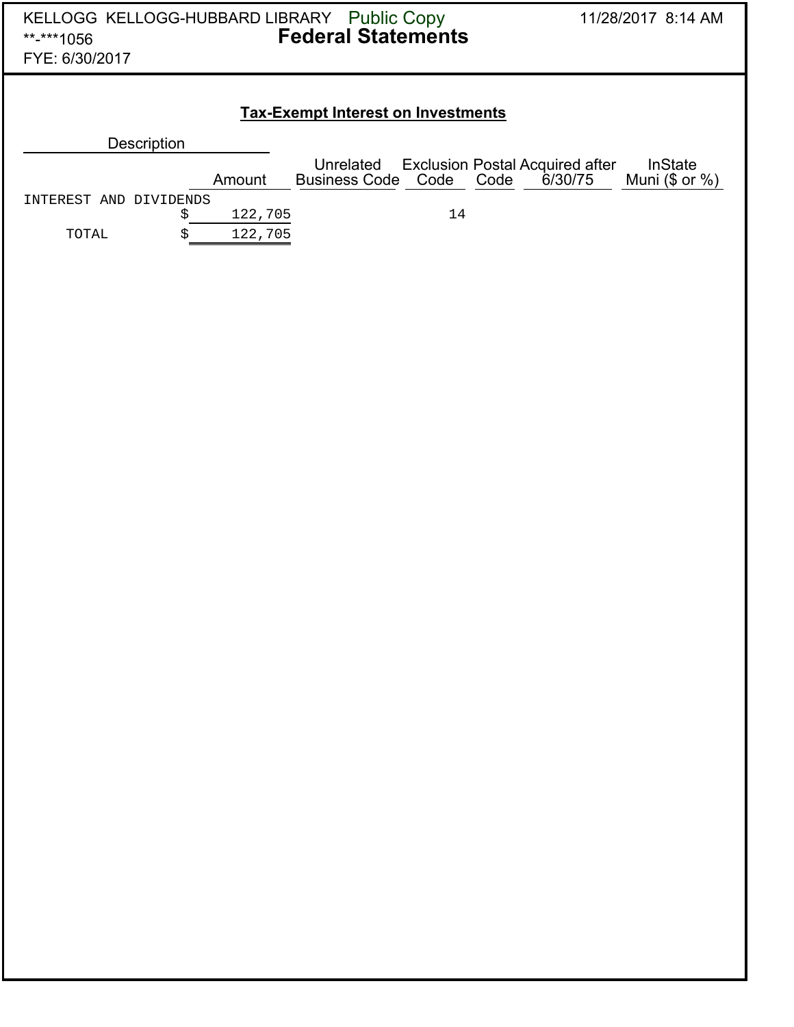| KELLOGG KELLOGG-HUBBARD LIBRARY Public Copy<br>**-***1056<br>FYE: 6/30/2017 |    |         | <b>Federal Statements</b>                 |    | 11/28/2017 8:14 AM |                                                   |                                       |  |  |
|-----------------------------------------------------------------------------|----|---------|-------------------------------------------|----|--------------------|---------------------------------------------------|---------------------------------------|--|--|
|                                                                             |    |         | <b>Tax-Exempt Interest on Investments</b> |    |                    |                                                   |                                       |  |  |
| <b>Description</b>                                                          |    |         |                                           |    |                    |                                                   |                                       |  |  |
|                                                                             |    | Amount  | Unrelated<br>Business Code Code Code      |    |                    | <b>Exclusion Postal Acquired after</b><br>6/30/75 | <b>InState</b><br>Muni $(\$$ or $%$ ) |  |  |
| INTEREST AND DIVIDENDS                                                      |    |         |                                           |    |                    |                                                   |                                       |  |  |
|                                                                             | \$ | 122,705 |                                           | 14 |                    |                                                   |                                       |  |  |
| TOTAL                                                                       | Ś  | 122,705 |                                           |    |                    |                                                   |                                       |  |  |
|                                                                             |    |         |                                           |    |                    |                                                   |                                       |  |  |
|                                                                             |    |         |                                           |    |                    |                                                   |                                       |  |  |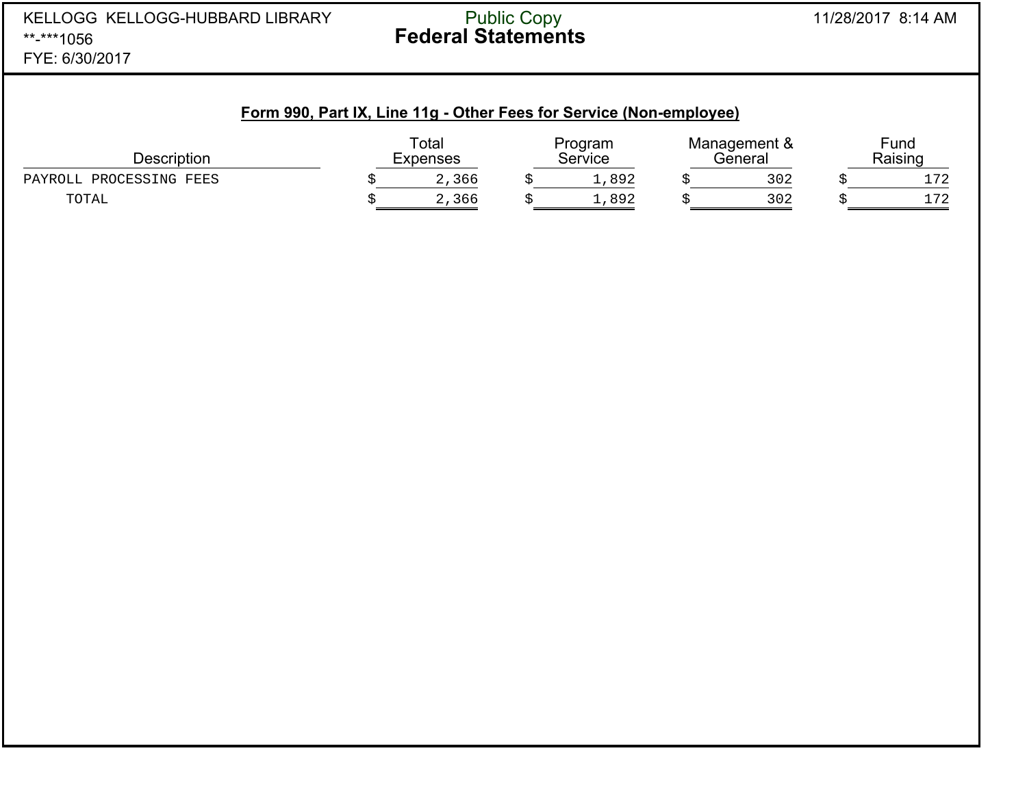#### 11/28/2017 8:14 AMPublic Copy

#### **Form 990, Part IX, Line 11g - Other Fees for Service (Non-employee)**

| <b>Description</b>      | Total<br>Expenses |  | Program<br>Service |  | Management &<br>Beneral |  | Fund<br>Raising          |  |
|-------------------------|-------------------|--|--------------------|--|-------------------------|--|--------------------------|--|
| PAYROLL PROCESSING FEES | 2,366             |  | ,892               |  | 302                     |  | 1.70                     |  |
| TOTAL                   | 2,366             |  | ⊥,892              |  | 302                     |  | $\overline{\phantom{a}}$ |  |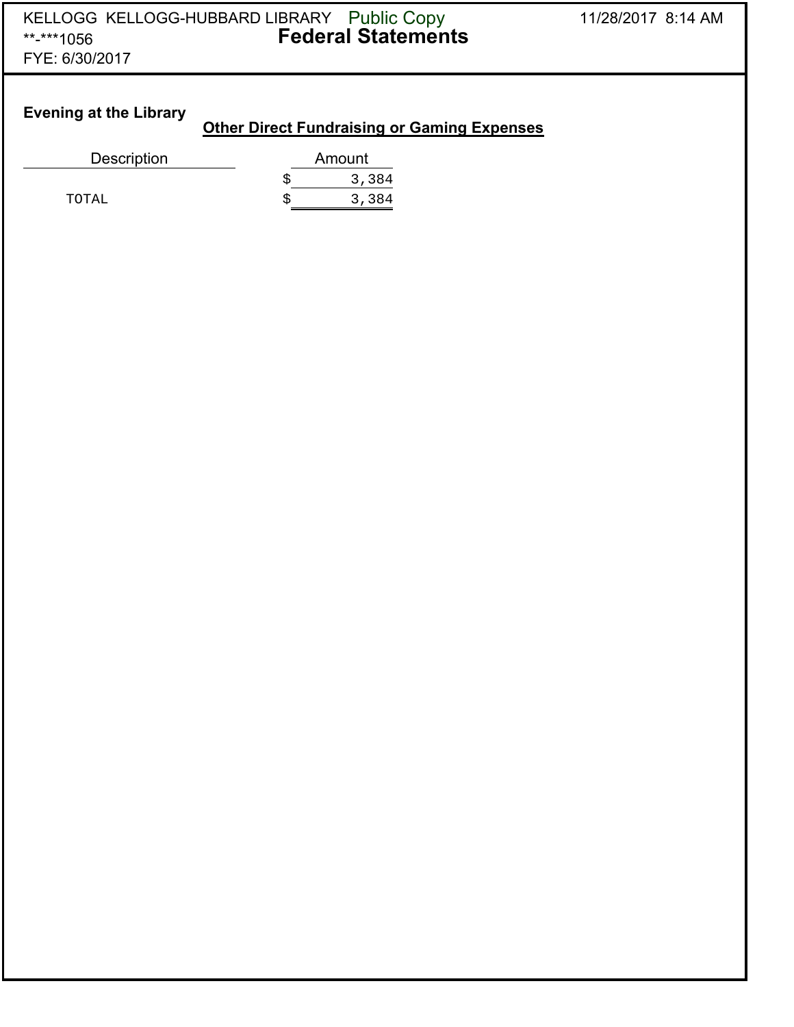#### **Evening at the Library**

#### **Other Direct Fundraising or Gaming Expenses**

| Description | Amount |
|-------------|--------|
|             | 3,384  |
| TOTAL       | 3,384  |